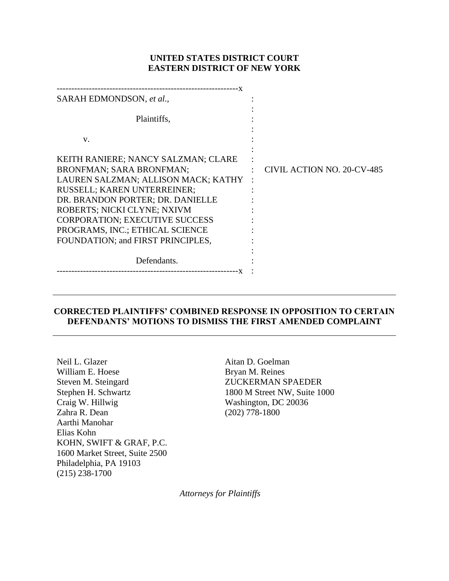# **UNITED STATES DISTRICT COURT EASTERN DISTRICT OF NEW YORK**

| SARAH EDMONDSON, et al.,                                                                                                                                                                                                                                                                                                         |                            |
|----------------------------------------------------------------------------------------------------------------------------------------------------------------------------------------------------------------------------------------------------------------------------------------------------------------------------------|----------------------------|
| Plaintiffs,                                                                                                                                                                                                                                                                                                                      |                            |
| V.                                                                                                                                                                                                                                                                                                                               |                            |
| KEITH RANIERE; NANCY SALZMAN; CLARE<br><b>BRONFMAN; SARA BRONFMAN;</b><br>LAUREN SALZMAN; ALLISON MACK; KATHY<br>RUSSELL; KAREN UNTERREINER;<br>DR. BRANDON PORTER; DR. DANIELLE<br>ROBERTS; NICKI CLYNE; NXIVM<br><b>CORPORATION; EXECUTIVE SUCCESS</b><br>PROGRAMS, INC.; ETHICAL SCIENCE<br>FOUNDATION; and FIRST PRINCIPLES, | CIVIL ACTION NO. 20-CV-485 |
| Defendants.                                                                                                                                                                                                                                                                                                                      |                            |

# **CORRECTED PLAINTIFFS' COMBINED RESPONSE IN OPPOSITION TO CERTAIN DEFENDANTS' MOTIONS TO DISMISS THE FIRST AMENDED COMPLAINT**

Neil L. Glazer William E. Hoese Steven M. Steingard Stephen H. Schwartz Craig W. Hillwig Zahra R. Dean Aarthi Manohar Elias Kohn KOHN, SWIFT & GRAF, P.C. 1600 Market Street, Suite 2500 Philadelphia, PA 19103 (215) 238-1700

Aitan D. Goelman Bryan M. Reines ZUCKERMAN SPAEDER 1800 M Street NW, Suite 1000 Washington, DC 20036 (202) 778-1800

*Attorneys for Plaintiffs*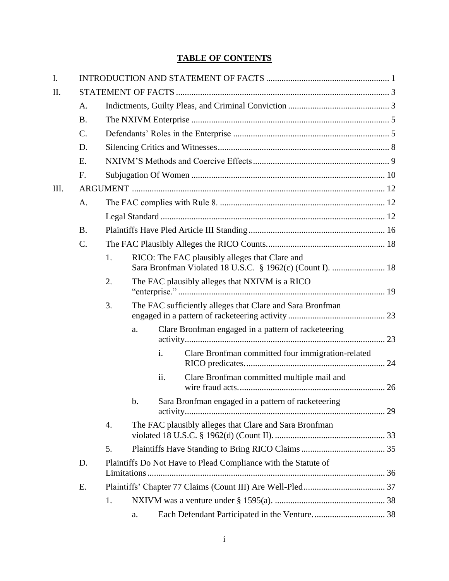# **TABLE OF CONTENTS**

| I.   |           |    |    |                |                                                                |  |  |  |
|------|-----------|----|----|----------------|----------------------------------------------------------------|--|--|--|
| Π.   |           |    |    |                |                                                                |  |  |  |
|      | A.        |    |    |                |                                                                |  |  |  |
|      | <b>B.</b> |    |    |                |                                                                |  |  |  |
|      | $C$ .     |    |    |                |                                                                |  |  |  |
|      | D.        |    |    |                |                                                                |  |  |  |
|      | E.        |    |    |                |                                                                |  |  |  |
|      | F.        |    |    |                |                                                                |  |  |  |
| III. |           |    |    |                |                                                                |  |  |  |
|      | A.        |    |    |                |                                                                |  |  |  |
|      |           |    |    |                |                                                                |  |  |  |
|      | <b>B.</b> |    |    |                |                                                                |  |  |  |
|      | $C$ .     |    |    |                |                                                                |  |  |  |
|      |           | 1. |    |                | RICO: The FAC plausibly alleges that Clare and                 |  |  |  |
|      |           | 2. |    |                | The FAC plausibly alleges that NXIVM is a RICO                 |  |  |  |
|      |           | 3. |    |                | The FAC sufficiently alleges that Clare and Sara Bronfman      |  |  |  |
|      |           |    | a. |                | Clare Bronfman engaged in a pattern of racketeering            |  |  |  |
|      |           |    |    | $\mathbf{i}$ . | Clare Bronfman committed four immigration-related              |  |  |  |
|      |           |    |    | ii.            | Clare Bronfman committed multiple mail and                     |  |  |  |
|      |           |    | b. |                | Sara Bronfman engaged in a pattern of racketeering             |  |  |  |
|      |           | 4. |    |                | The FAC plausibly alleges that Clare and Sara Bronfman         |  |  |  |
|      |           | 5. |    |                |                                                                |  |  |  |
|      | D.        |    |    |                | Plaintiffs Do Not Have to Plead Compliance with the Statute of |  |  |  |
|      |           |    |    |                |                                                                |  |  |  |
|      | E.        |    |    |                |                                                                |  |  |  |
|      |           | 1. |    |                |                                                                |  |  |  |
|      |           |    | a. |                |                                                                |  |  |  |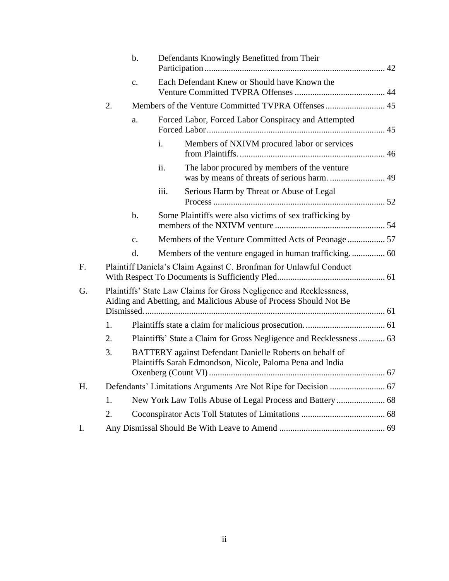|    |    | $b$ .          |                | Defendants Knowingly Benefitted from Their                                                                                               |  |
|----|----|----------------|----------------|------------------------------------------------------------------------------------------------------------------------------------------|--|
|    |    | $\mathbf{c}$ . |                | Each Defendant Knew or Should have Known the                                                                                             |  |
|    | 2. |                |                |                                                                                                                                          |  |
|    |    | a.             |                | Forced Labor, Forced Labor Conspiracy and Attempted                                                                                      |  |
|    |    |                | $\mathbf{i}$ . | Members of NXIVM procured labor or services                                                                                              |  |
|    |    |                | ii.            | The labor procured by members of the venture                                                                                             |  |
|    |    |                | iii.           | Serious Harm by Threat or Abuse of Legal                                                                                                 |  |
|    |    | b.             |                | Some Plaintiffs were also victims of sex trafficking by                                                                                  |  |
|    |    | c.             |                | Members of the Venture Committed Acts of Peonage  57                                                                                     |  |
|    |    | d.             |                |                                                                                                                                          |  |
| F. |    |                |                | Plaintiff Daniela's Claim Against C. Bronfman for Unlawful Conduct                                                                       |  |
| G. |    |                |                | Plaintiffs' State Law Claims for Gross Negligence and Recklessness,<br>Aiding and Abetting, and Malicious Abuse of Process Should Not Be |  |
|    |    |                |                |                                                                                                                                          |  |
|    | 1. |                |                |                                                                                                                                          |  |
|    | 2. |                |                | Plaintiffs' State a Claim for Gross Negligence and Recklessness 63                                                                       |  |
|    | 3. |                |                | BATTERY against Defendant Danielle Roberts on behalf of<br>Plaintiffs Sarah Edmondson, Nicole, Paloma Pena and India                     |  |
| Η. |    |                |                |                                                                                                                                          |  |
|    | 1. |                |                |                                                                                                                                          |  |
|    | 2. |                |                |                                                                                                                                          |  |
| I. |    |                |                |                                                                                                                                          |  |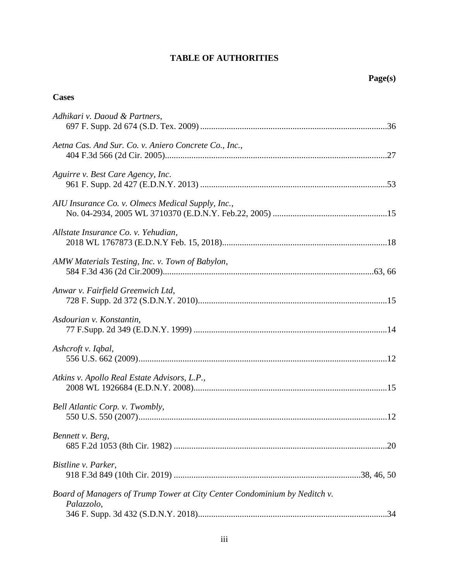# **TABLE OF AUTHORITIES**

# **Cases**

| Adhikari v. Daoud & Partners,                                                           |  |
|-----------------------------------------------------------------------------------------|--|
| Aetna Cas. And Sur. Co. v. Aniero Concrete Co., Inc.,                                   |  |
| Aguirre v. Best Care Agency, Inc.                                                       |  |
| AIU Insurance Co. v. Olmecs Medical Supply, Inc.,                                       |  |
| Allstate Insurance Co. v. Yehudian,                                                     |  |
| AMW Materials Testing, Inc. v. Town of Babylon,                                         |  |
| Anwar v. Fairfield Greenwich Ltd,                                                       |  |
| Asdourian v. Konstantin,                                                                |  |
| Ashcroft v. Iqbal,                                                                      |  |
| Atkins v. Apollo Real Estate Advisors, L.P.,                                            |  |
| Bell Atlantic Corp. v. Twombly,                                                         |  |
| Bennett v. Berg,                                                                        |  |
| Bistline v. Parker,                                                                     |  |
| Board of Managers of Trump Tower at City Center Condominium by Neditch v.<br>Palazzolo, |  |
|                                                                                         |  |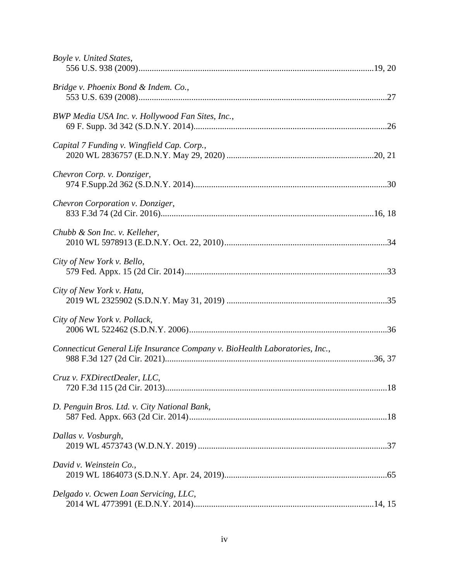| Boyle v. United States,                                                     |  |
|-----------------------------------------------------------------------------|--|
| Bridge v. Phoenix Bond & Indem. Co.,                                        |  |
| BWP Media USA Inc. v. Hollywood Fan Sites, Inc.,                            |  |
| Capital 7 Funding v. Wingfield Cap. Corp.,                                  |  |
| Chevron Corp. v. Donziger,                                                  |  |
| Chevron Corporation v. Donziger,                                            |  |
| Chubb & Son Inc. v. Kelleher,                                               |  |
| City of New York v. Bello,                                                  |  |
| City of New York v. Hatu,                                                   |  |
| City of New York v. Pollack,                                                |  |
| Connecticut General Life Insurance Company v. BioHealth Laboratories, Inc., |  |
| Cruz v. FXDirectDealer, LLC,                                                |  |
| D. Penguin Bros. Ltd. v. City National Bank,                                |  |
| Dallas v. Vosburgh,                                                         |  |
| David v. Weinstein Co.,                                                     |  |
| Delgado v. Ocwen Loan Servicing, LLC,                                       |  |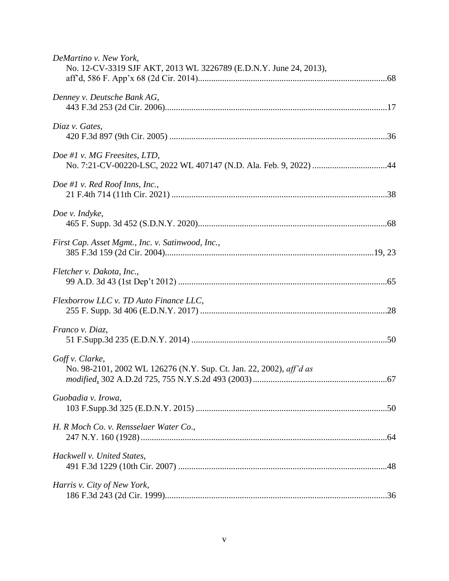| DeMartino v. New York,<br>No. 12-CV-3319 SJF AKT, 2013 WL 3226789 (E.D.N.Y. June 24, 2013), |  |
|---------------------------------------------------------------------------------------------|--|
| Denney v. Deutsche Bank AG,                                                                 |  |
| Diaz v. Gates,                                                                              |  |
| Doe #1 v. MG Freesites, LTD,                                                                |  |
| Doe #1 v. Red Roof Inns, Inc.,                                                              |  |
| Doe v. Indyke,                                                                              |  |
| First Cap. Asset Mgmt., Inc. v. Satinwood, Inc.,                                            |  |
| Fletcher v. Dakota, Inc.,                                                                   |  |
| Flexborrow LLC v. TD Auto Finance LLC,                                                      |  |
| Franco v. Diaz,                                                                             |  |
| Goff v. Clarke,<br>No. 98-2101, 2002 WL 126276 (N.Y. Sup. Ct. Jan. 22, 2002), aff'd as      |  |
| Guobadia v. Irowa,                                                                          |  |
| H. R Moch Co. v. Rensselaer Water Co.,                                                      |  |
| Hackwell v. United States,                                                                  |  |
| Harris v. City of New York,                                                                 |  |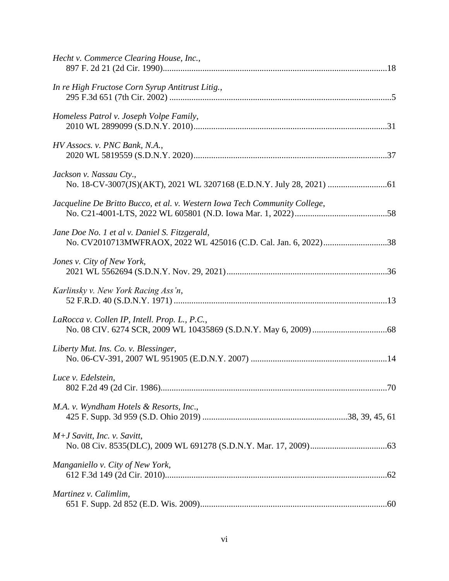| Hecht v. Commerce Clearing House, Inc.,                                    |
|----------------------------------------------------------------------------|
| In re High Fructose Corn Syrup Antitrust Litig.,                           |
| Homeless Patrol v. Joseph Volpe Family,                                    |
| HV Assocs. v. PNC Bank, N.A.,                                              |
| Jackson v. Nassau Cty.,                                                    |
| Jacqueline De Britto Bucco, et al. v. Western Iowa Tech Community College, |
| Jane Doe No. 1 et al v. Daniel S. Fitzgerald,                              |
| Jones v. City of New York,                                                 |
| Karlinsky v. New York Racing Ass'n,                                        |
| LaRocca v. Collen IP, Intell. Prop. L., P.C.,                              |
| Liberty Mut. Ins. Co. v. Blessinger,                                       |
| Luce v. Edelstein,                                                         |
| M.A. v. Wyndham Hotels & Resorts, Inc.,                                    |
| $M+J$ Savitt, Inc. v. Savitt,                                              |
| Manganiello v. City of New York,                                           |
| Martinez v. Calimlim,                                                      |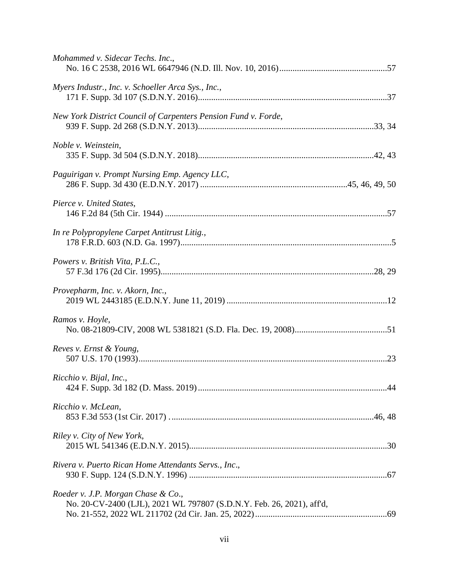| Mohammed v. Sidecar Techs. Inc.,                                                                            |  |
|-------------------------------------------------------------------------------------------------------------|--|
| Myers Industr., Inc. v. Schoeller Arca Sys., Inc.,                                                          |  |
| New York District Council of Carpenters Pension Fund v. Forde,                                              |  |
| Noble v. Weinstein,                                                                                         |  |
| Paguirigan v. Prompt Nursing Emp. Agency LLC,                                                               |  |
| Pierce v. United States,                                                                                    |  |
| In re Polypropylene Carpet Antitrust Litig.,                                                                |  |
| Powers v. British Vita, P.L.C.,                                                                             |  |
| Provepharm, Inc. v. Akorn, Inc.,                                                                            |  |
| Ramos v. Hoyle,                                                                                             |  |
| Reves v. Ernst & Young,                                                                                     |  |
| Ricchio v. Bijal, Inc.,                                                                                     |  |
| Ricchio v. McLean,                                                                                          |  |
| Riley v. City of New York,                                                                                  |  |
| Rivera v. Puerto Rican Home Attendants Servs., Inc.,                                                        |  |
| Roeder v. J.P. Morgan Chase & Co.,<br>No. 20-CV-2400 (LJL), 2021 WL 797807 (S.D.N.Y. Feb. 26, 2021), aff'd, |  |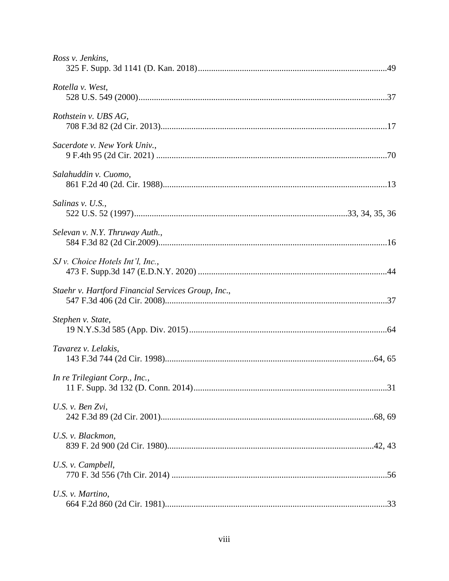| Ross v. Jenkins,                                   |  |
|----------------------------------------------------|--|
| Rotella v. West,                                   |  |
| Rothstein v. UBS AG,                               |  |
| Sacerdote v. New York Univ.,                       |  |
| Salahuddin v. Cuomo,                               |  |
| Salinas v. U.S.,                                   |  |
| Selevan v. N.Y. Thruway Auth.,                     |  |
| $SJ$ v. Choice Hotels Int'l, Inc.,                 |  |
| Staehr v. Hartford Financial Services Group, Inc., |  |
| Stephen v. State,                                  |  |
| Tavarez v. Lelakis,                                |  |
| In re Trilegiant Corp., Inc.,                      |  |
| U.S. v. Ben Zvi,                                   |  |
| U.S. v. Blackmon,                                  |  |
| U.S. v. Campbell,                                  |  |
| U.S. v. Martino,                                   |  |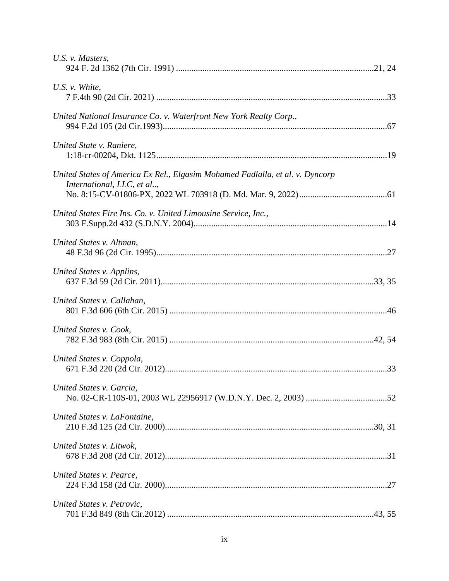| U.S. v. Masters,                                                                                            |  |
|-------------------------------------------------------------------------------------------------------------|--|
| U.S. $v$ . White,                                                                                           |  |
| United National Insurance Co. v. Waterfront New York Realty Corp.,                                          |  |
| United State v. Raniere,                                                                                    |  |
| United States of America Ex Rel., Elgasim Mohamed Fadlalla, et al. v. Dyncorp<br>International, LLC, et al, |  |
| United States Fire Ins. Co. v. United Limousine Service, Inc.,                                              |  |
| United States v. Altman,                                                                                    |  |
| United States v. Applins,                                                                                   |  |
| United States v. Callahan,                                                                                  |  |
| United States v. Cook,                                                                                      |  |
| United States v. Coppola,                                                                                   |  |
| United States v. Garcia,                                                                                    |  |
| United States v. LaFontaine,                                                                                |  |
| United States v. Litwok,                                                                                    |  |
| United States v. Pearce,                                                                                    |  |
| United States v. Petrovic,                                                                                  |  |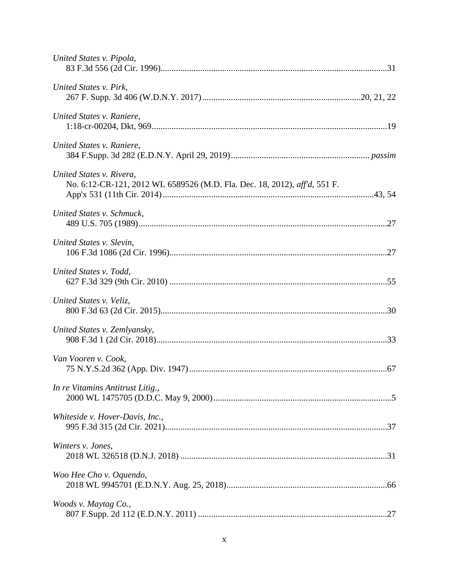| United States v. Pipola,                                                                              |  |
|-------------------------------------------------------------------------------------------------------|--|
| United States v. Pirk,                                                                                |  |
| United States v. Raniere,                                                                             |  |
| United States v. Raniere,                                                                             |  |
| United States v. Rivera,<br>No. 6:12-CR-121, 2012 WL 6589526 (M.D. Fla. Dec. 18, 2012), aff'd, 551 F. |  |
| United States v. Schmuck,                                                                             |  |
| United States v. Slevin,                                                                              |  |
| United States v. Todd,                                                                                |  |
| United States v. Veliz,                                                                               |  |
| United States v. Zemlyansky,                                                                          |  |
| Van Vooren v. Cook,                                                                                   |  |
| In re Vitamins Antitrust Litig.,                                                                      |  |
| Whiteside v. Hover-Davis, Inc.,                                                                       |  |
| Winters v. Jones,                                                                                     |  |
| Woo Hee Cho v. Oquendo,                                                                               |  |
| Woods v. Maytag Co.,                                                                                  |  |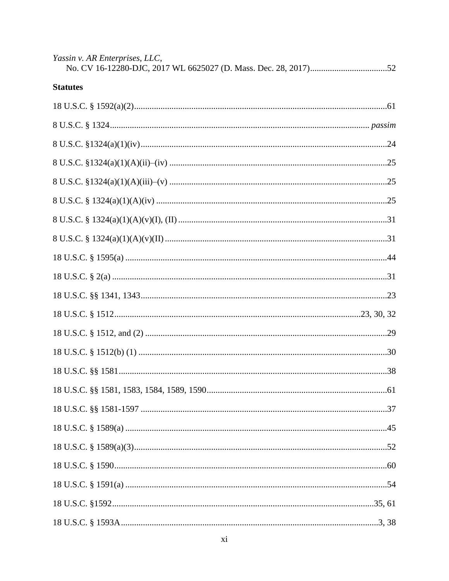| Yassin v. AR Enterprises, LLC, |  |
|--------------------------------|--|
| <b>Statutes</b>                |  |
|                                |  |
|                                |  |
|                                |  |
|                                |  |
|                                |  |
|                                |  |
|                                |  |
|                                |  |
|                                |  |
|                                |  |
|                                |  |
|                                |  |
|                                |  |
|                                |  |
|                                |  |
|                                |  |
|                                |  |
|                                |  |
|                                |  |
|                                |  |
|                                |  |
|                                |  |
|                                |  |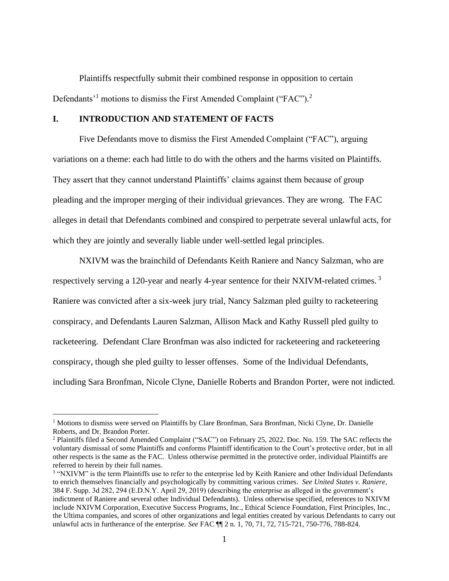Plaintiffs respectfully submit their combined response in opposition to certain Defendants<sup>'1</sup> motions to dismiss the First Amended Complaint ("FAC").<sup>2</sup>

## **I. INTRODUCTION AND STATEMENT OF FACTS**

Five Defendants move to dismiss the First Amended Complaint ("FAC"), arguing variations on a theme: each had little to do with the others and the harms visited on Plaintiffs. They assert that they cannot understand Plaintiffs' claims against them because of group pleading and the improper merging of their individual grievances. They are wrong. The FAC alleges in detail that Defendants combined and conspired to perpetrate several unlawful acts, for which they are jointly and severally liable under well-settled legal principles.

NXIVM was the brainchild of Defendants Keith Raniere and Nancy Salzman, who are respectively serving a 120-year and nearly 4-year sentence for their NXIVM-related crimes.<sup>3</sup> Raniere was convicted after a six-week jury trial, Nancy Salzman pled guilty to racketeering conspiracy, and Defendants Lauren Salzman, Allison Mack and Kathy Russell pled guilty to racketeering. Defendant Clare Bronfman was also indicted for racketeering and racketeering conspiracy, though she pled guilty to lesser offenses. Some of the Individual Defendants, including Sara Bronfman, Nicole Clyne, Danielle Roberts and Brandon Porter, were not indicted.

<sup>1</sup> Motions to dismiss were served on Plaintiffs by Clare Bronfman, Sara Bronfman, Nicki Clyne, Dr. Danielle Roberts, and Dr. Brandon Porter.

<sup>2</sup> Plaintiffs filed a Second Amended Complaint ("SAC") on February 25, 2022. Doc. No. 159. The SAC reflects the voluntary dismissal of some Plaintiffs and conforms Plaintiff identification to the Court's protective order, but in all other respects is the same as the FAC. Unless otherwise permitted in the protective order, individual Plaintiffs are referred to herein by their full names.

<span id="page-13-0"></span><sup>&</sup>lt;sup>3</sup> "NXIVM" is the term Plaintiffs use to refer to the enterprise led by Keith Raniere and other Individual Defendants to enrich themselves financially and psychologically by committing various crimes. *See United States v. Raniere*, 384 F. Supp. 3d 282, 294 (E.D.N.Y. April 29, 2019) (describing the enterprise as alleged in the government's indictment of Raniere and several other Individual Defendants). Unless otherwise specified, references to NXIVM include NXIVM Corporation, Executive Success Programs, Inc., Ethical Science Foundation, First Principles, Inc., the Ultima companies, and scores of other organizations and legal entities created by various Defendants to carry out unlawful acts in furtherance of the enterprise. *See* FAC ¶¶ 2 n. 1, 70, 71, 72, 715-721, 750-776, 788-824.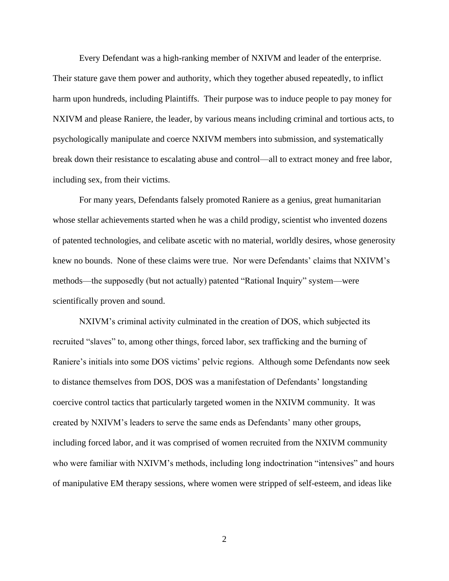Every Defendant was a high-ranking member of NXIVM and leader of the enterprise. Their stature gave them power and authority, which they together abused repeatedly, to inflict harm upon hundreds, including Plaintiffs. Their purpose was to induce people to pay money for NXIVM and please Raniere, the leader, by various means including criminal and tortious acts, to psychologically manipulate and coerce NXIVM members into submission, and systematically break down their resistance to escalating abuse and control—all to extract money and free labor, including sex, from their victims.

For many years, Defendants falsely promoted Raniere as a genius, great humanitarian whose stellar achievements started when he was a child prodigy, scientist who invented dozens of patented technologies, and celibate ascetic with no material, worldly desires, whose generosity knew no bounds. None of these claims were true. Nor were Defendants' claims that NXIVM's methods—the supposedly (but not actually) patented "Rational Inquiry" system—were scientifically proven and sound.

NXIVM's criminal activity culminated in the creation of DOS, which subjected its recruited "slaves" to, among other things, forced labor, sex trafficking and the burning of Raniere's initials into some DOS victims' pelvic regions. Although some Defendants now seek to distance themselves from DOS, DOS was a manifestation of Defendants' longstanding coercive control tactics that particularly targeted women in the NXIVM community. It was created by NXIVM's leaders to serve the same ends as Defendants' many other groups, including forced labor, and it was comprised of women recruited from the NXIVM community who were familiar with NXIVM's methods, including long indoctrination "intensives" and hours of manipulative EM therapy sessions, where women were stripped of self-esteem, and ideas like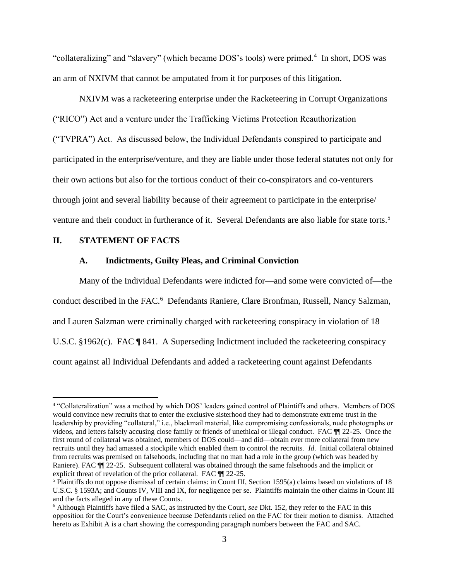"collateralizing" and "slavery" (which became DOS's tools) were primed.<sup>4</sup> In short, DOS was an arm of NXIVM that cannot be amputated from it for purposes of this litigation.

NXIVM was a racketeering enterprise under the Racketeering in Corrupt Organizations ("RICO") Act and a venture under the Trafficking Victims Protection Reauthorization ("TVPRA") Act. As discussed below, the Individual Defendants conspired to participate and participated in the enterprise/venture, and they are liable under those federal statutes not only for their own actions but also for the tortious conduct of their co-conspirators and co-venturers through joint and several liability because of their agreement to participate in the enterprise/ venture and their conduct in furtherance of it. Several Defendants are also liable for state torts.<sup>5</sup>

### **II. STATEMENT OF FACTS**

### <span id="page-15-0"></span>**A. Indictments, Guilty Pleas, and Criminal Conviction**

Many of the Individual Defendants were indicted for—and some were convicted of—the conduct described in the FAC.<sup>6</sup> Defendants Raniere, Clare Bronfman, Russell, Nancy Salzman, and Lauren Salzman were criminally charged with racketeering conspiracy in violation of 18 U.S.C. §1962(c). FAC ¶ 841. A Superseding Indictment included the racketeering conspiracy count against all Individual Defendants and added a racketeering count against Defendants

<sup>&</sup>lt;sup>4</sup> "Collateralization" was a method by which DOS' leaders gained control of Plaintiffs and others. Members of DOS would convince new recruits that to enter the exclusive sisterhood they had to demonstrate extreme trust in the leadership by providing "collateral," i.e., blackmail material, like compromising confessionals, nude photographs or videos, and letters falsely accusing close family or friends of unethical or illegal conduct. FAC ¶¶ 22-25. Once the first round of collateral was obtained, members of DOS could—and did—obtain ever more collateral from new recruits until they had amassed a stockpile which enabled them to control the recruits. *Id*. Initial collateral obtained from recruits was premised on falsehoods, including that no man had a role in the group (which was headed by Raniere). FAC  $\P$  22-25. Subsequent collateral was obtained through the same falsehoods and the implicit or explicit threat of revelation of the prior collateral. FAC  $\P$  22-25.

<sup>&</sup>lt;sup>5</sup> Plaintiffs do not oppose dismissal of certain claims: in Count III, Section 1595(a) claims based on violations of 18 U.S.C. § 1593A; and Counts IV, VIII and IX, for negligence per se. Plaintiffs maintain the other claims in Count III and the facts alleged in any of these Counts.

<sup>6</sup> Although Plaintiffs have filed a SAC, as instructed by the Court, *see* Dkt. 152, they refer to the FAC in this opposition for the Court's convenience because Defendants relied on the FAC for their motion to dismiss. Attached hereto as Exhibit A is a chart showing the corresponding paragraph numbers between the FAC and SAC.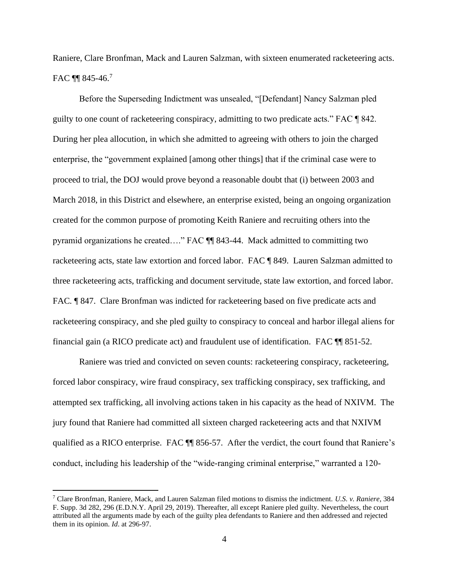Raniere, Clare Bronfman, Mack and Lauren Salzman, with sixteen enumerated racketeering acts. FAC **[1]** 845-46.<sup>7</sup>

Before the Superseding Indictment was unsealed, "[Defendant] Nancy Salzman pled guilty to one count of racketeering conspiracy, admitting to two predicate acts." FAC ¶ 842. During her plea allocution, in which she admitted to agreeing with others to join the charged enterprise, the "government explained [among other things] that if the criminal case were to proceed to trial, the DOJ would prove beyond a reasonable doubt that (i) between 2003 and March 2018, in this District and elsewhere, an enterprise existed, being an ongoing organization created for the common purpose of promoting Keith Raniere and recruiting others into the pyramid organizations he created…." FAC ¶¶ 843-44. Mack admitted to committing two racketeering acts, state law extortion and forced labor. FAC ¶ 849. Lauren Salzman admitted to three racketeering acts, trafficking and document servitude, state law extortion, and forced labor. FAC. **¶** 847. Clare Bronfman was indicted for racketeering based on five predicate acts and racketeering conspiracy, and she pled guilty to conspiracy to conceal and harbor illegal aliens for financial gain (a RICO predicate act) and fraudulent use of identification. FAC ¶¶ 851-52.

Raniere was tried and convicted on seven counts: racketeering conspiracy, racketeering, forced labor conspiracy, wire fraud conspiracy, sex trafficking conspiracy, sex trafficking, and attempted sex trafficking, all involving actions taken in his capacity as the head of NXIVM. The jury found that Raniere had committed all sixteen charged racketeering acts and that NXIVM qualified as a RICO enterprise. FAC ¶¶ 856-57. After the verdict, the court found that Raniere's conduct, including his leadership of the "wide-ranging criminal enterprise," warranted a 120-

<sup>7</sup> Clare Bronfman, Raniere, Mack, and Lauren Salzman filed motions to dismiss the indictment. *U.S. v. Raniere*, 384 F. Supp. 3d 282, 296 (E.D.N.Y. April 29, 2019). Thereafter, all except Raniere pled guilty. Nevertheless, the court attributed all the arguments made by each of the guilty plea defendants to Raniere and then addressed and rejected them in its opinion. *Id*. at 296-97.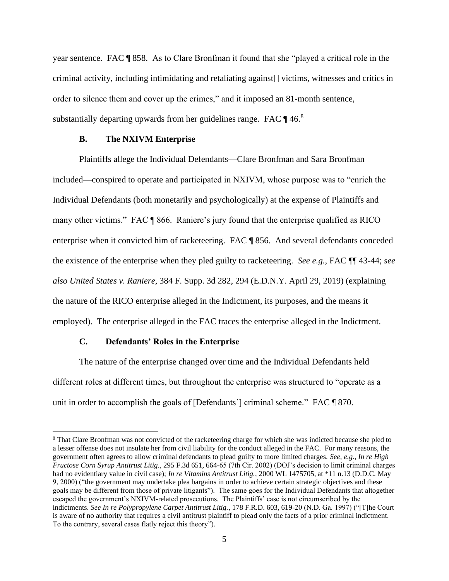year sentence. FAC ¶ 858. As to Clare Bronfman it found that she "played a critical role in the criminal activity, including intimidating and retaliating against[] victims, witnesses and critics in order to silence them and cover up the crimes," and it imposed an 81-month sentence, substantially departing upwards from her guidelines range. FAC  $\P$  46.<sup>8</sup>

## **B. The NXIVM Enterprise**

Plaintiffs allege the Individual Defendants—Clare Bronfman and Sara Bronfman included—conspired to operate and participated in NXIVM, whose purpose was to "enrich the Individual Defendants (both monetarily and psychologically) at the expense of Plaintiffs and many other victims." FAC ¶ 866. Raniere's jury found that the enterprise qualified as RICO enterprise when it convicted him of racketeering. FAC ¶ 856. And several defendants conceded the existence of the enterprise when they pled guilty to racketeering. *See e.g.*, FAC ¶¶ 43-44; *see also United States v. Raniere*, 384 F. Supp. 3d 282, 294 (E.D.N.Y. April 29, 2019) (explaining the nature of the RICO enterprise alleged in the Indictment, its purposes, and the means it employed). The enterprise alleged in the FAC traces the enterprise alleged in the Indictment.

## <span id="page-17-0"></span>**C. Defendants' Roles in the Enterprise**

The nature of the enterprise changed over time and the Individual Defendants held different roles at different times, but throughout the enterprise was structured to "operate as a unit in order to accomplish the goals of [Defendants'] criminal scheme." FAC ¶ 870.

<span id="page-17-2"></span><span id="page-17-1"></span><sup>8</sup> That Clare Bronfman was not convicted of the racketeering charge for which she was indicted because she pled to a lesser offense does not insulate her from civil liability for the conduct alleged in the FAC. For many reasons, the government often agrees to allow criminal defendants to plead guilty to more limited charges. *See*, *e.g.*, *In re High Fructose Corn Syrup Antitrust Litig.*, 295 F.3d 651, 664-65 (7th Cir. 2002) (DOJ's decision to limit criminal charges had no evidentiary value in civil case); *In re Vitamins Antitrust Litig.*, 2000 WL 1475705, at \*11 n.13 (D.D.C. May 9, 2000) ("the government may undertake plea bargains in order to achieve certain strategic objectives and these goals may be different from those of private litigants"). The same goes for the Individual Defendants that altogether escaped the government's NXIVM-related prosecutions. The Plaintiffs' case is not circumscribed by the indictments. *See In re Polypropylene Carpet Antitrust Litig.*, 178 F.R.D. 603, 619-20 (N.D. Ga. 1997) ("[T]he Court is aware of no authority that requires a civil antitrust plaintiff to plead only the facts of a prior criminal indictment. To the contrary, several cases flatly reject this theory").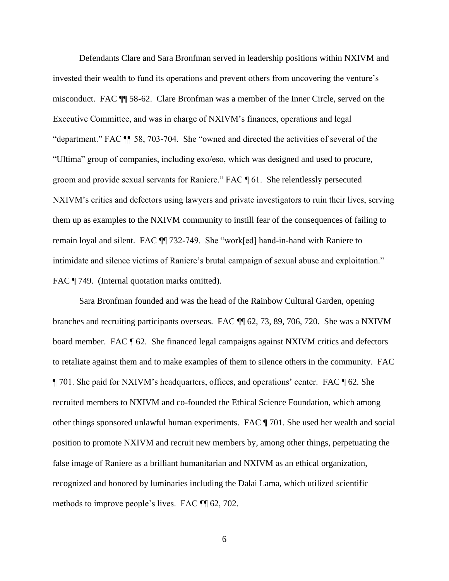Defendants Clare and Sara Bronfman served in leadership positions within NXIVM and invested their wealth to fund its operations and prevent others from uncovering the venture's misconduct. FAC ¶¶ 58-62. Clare Bronfman was a member of the Inner Circle, served on the Executive Committee, and was in charge of NXIVM's finances, operations and legal "department." FAC ¶¶ 58, 703-704. She "owned and directed the activities of several of the "Ultima" group of companies, including exo/eso, which was designed and used to procure, groom and provide sexual servants for Raniere." FAC ¶ 61. She relentlessly persecuted NXIVM's critics and defectors using lawyers and private investigators to ruin their lives, serving them up as examples to the NXIVM community to instill fear of the consequences of failing to remain loyal and silent. FAC ¶¶ 732-749. She "work[ed] hand-in-hand with Raniere to intimidate and silence victims of Raniere's brutal campaign of sexual abuse and exploitation." FAC ¶ 749. (Internal quotation marks omitted).

Sara Bronfman founded and was the head of the Rainbow Cultural Garden, opening branches and recruiting participants overseas. FAC ¶¶ 62, 73, 89, 706, 720. She was a NXIVM board member. FAC ¶ 62. She financed legal campaigns against NXIVM critics and defectors to retaliate against them and to make examples of them to silence others in the community. FAC ¶ 701. She paid for NXIVM's headquarters, offices, and operations' center. FAC ¶ 62*.* She recruited members to NXIVM and co-founded the Ethical Science Foundation, which among other things sponsored unlawful human experiments. FAC ¶ 701. She used her wealth and social position to promote NXIVM and recruit new members by, among other things, perpetuating the false image of Raniere as a brilliant humanitarian and NXIVM as an ethical organization, recognized and honored by luminaries including the Dalai Lama, which utilized scientific methods to improve people's lives. FAC ¶¶ 62, 702.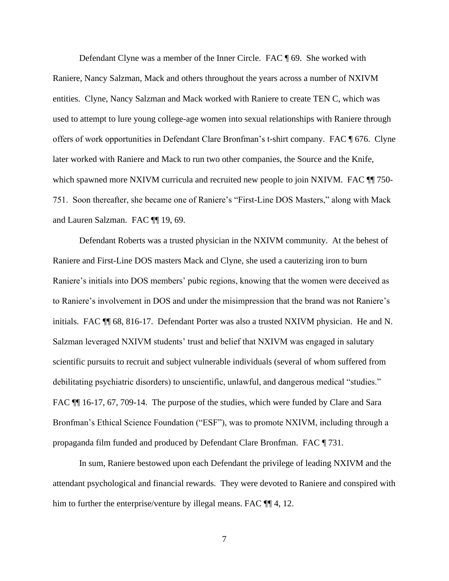Defendant Clyne was a member of the Inner Circle. FAC ¶ 69. She worked with Raniere, Nancy Salzman, Mack and others throughout the years across a number of NXIVM entities. Clyne, Nancy Salzman and Mack worked with Raniere to create TEN C, which was used to attempt to lure young college-age women into sexual relationships with Raniere through offers of work opportunities in Defendant Clare Bronfman's t-shirt company. FAC ¶ 676. Clyne later worked with Raniere and Mack to run two other companies, the Source and the Knife, which spawned more NXIVM curricula and recruited new people to join NXIVM. FAC  $\P$  750-751. Soon thereafter, she became one of Raniere's "First-Line DOS Masters," along with Mack and Lauren Salzman. FAC ¶¶ 19, 69.

Defendant Roberts was a trusted physician in the NXIVM community. At the behest of Raniere and First-Line DOS masters Mack and Clyne, she used a cauterizing iron to burn Raniere's initials into DOS members' pubic regions, knowing that the women were deceived as to Raniere's involvement in DOS and under the misimpression that the brand was not Raniere's initials. FAC ¶¶ 68, 816-17. Defendant Porter was also a trusted NXIVM physician. He and N. Salzman leveraged NXIVM students' trust and belief that NXIVM was engaged in salutary scientific pursuits to recruit and subject vulnerable individuals (several of whom suffered from debilitating psychiatric disorders) to unscientific, unlawful, and dangerous medical "studies." FAC ¶¶ 16-17, 67, 709-14. The purpose of the studies, which were funded by Clare and Sara Bronfman's Ethical Science Foundation ("ESF"), was to promote NXIVM, including through a propaganda film funded and produced by Defendant Clare Bronfman. FAC ¶ 731.

In sum, Raniere bestowed upon each Defendant the privilege of leading NXIVM and the attendant psychological and financial rewards. They were devoted to Raniere and conspired with him to further the enterprise/venture by illegal means. FAC  $\P$  4, 12.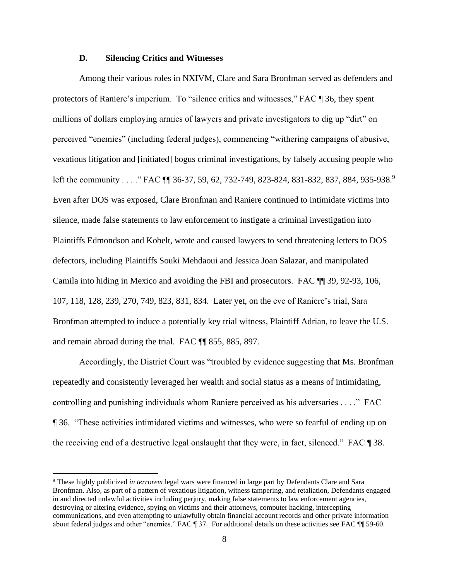#### **D. Silencing Critics and Witnesses**

Among their various roles in NXIVM, Clare and Sara Bronfman served as defenders and protectors of Raniere's imperium. To "silence critics and witnesses," FAC ¶ 36, they spent millions of dollars employing armies of lawyers and private investigators to dig up "dirt" on perceived "enemies" (including federal judges), commencing "withering campaigns of abusive, vexatious litigation and [initiated] bogus criminal investigations, by falsely accusing people who left the community . . . ." FAC  $\P$  36-37, 59, 62, 732-749, 823-824, 831-832, 837, 884, 935-938.<sup>9</sup> Even after DOS was exposed, Clare Bronfman and Raniere continued to intimidate victims into silence, made false statements to law enforcement to instigate a criminal investigation into Plaintiffs Edmondson and Kobelt, wrote and caused lawyers to send threatening letters to DOS defectors, including Plaintiffs Souki Mehdaoui and Jessica Joan Salazar, and manipulated Camila into hiding in Mexico and avoiding the FBI and prosecutors. FAC ¶¶ 39, 92-93, 106, 107, 118, 128, 239, 270, 749, 823, 831, 834. Later yet, on the eve of Raniere's trial, Sara Bronfman attempted to induce a potentially key trial witness, Plaintiff Adrian, to leave the U.S. and remain abroad during the trial. FAC ¶¶ 855, 885, 897.

Accordingly, the District Court was "troubled by evidence suggesting that Ms. Bronfman repeatedly and consistently leveraged her wealth and social status as a means of intimidating, controlling and punishing individuals whom Raniere perceived as his adversaries . . . ." FAC ¶ 36. "These activities intimidated victims and witnesses, who were so fearful of ending up on the receiving end of a destructive legal onslaught that they were, in fact, silenced." FAC ¶ 38.

<sup>9</sup> These highly publicized *in terrorem* legal wars were financed in large part by Defendants Clare and Sara Bronfman. Also, as part of a pattern of vexatious litigation, witness tampering, and retaliation, Defendants engaged in and directed unlawful activities including perjury, making false statements to law enforcement agencies, destroying or altering evidence, spying on victims and their attorneys, computer hacking, intercepting communications, and even attempting to unlawfully obtain financial account records and other private information about federal judges and other "enemies." FAC ¶ 37. For additional details on these activities see FAC ¶¶ 59-60.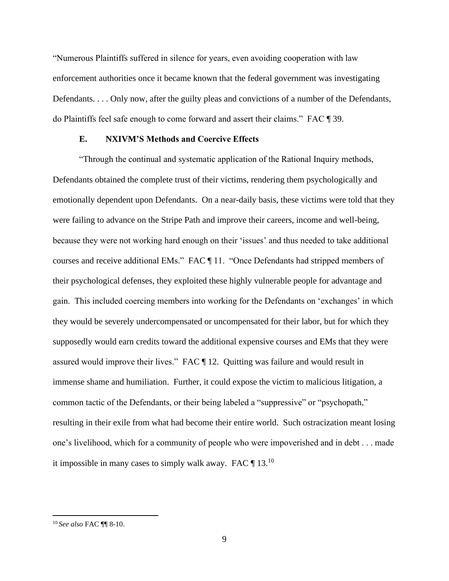"Numerous Plaintiffs suffered in silence for years, even avoiding cooperation with law enforcement authorities once it became known that the federal government was investigating Defendants. . . . Only now, after the guilty pleas and convictions of a number of the Defendants, do Plaintiffs feel safe enough to come forward and assert their claims." FAC ¶ 39.

## **E. NXIVM'S Methods and Coercive Effects**

"Through the continual and systematic application of the Rational Inquiry methods, Defendants obtained the complete trust of their victims, rendering them psychologically and emotionally dependent upon Defendants. On a near-daily basis, these victims were told that they were failing to advance on the Stripe Path and improve their careers, income and well-being, because they were not working hard enough on their 'issues' and thus needed to take additional courses and receive additional EMs." FAC ¶ 11. "Once Defendants had stripped members of their psychological defenses, they exploited these highly vulnerable people for advantage and gain. This included coercing members into working for the Defendants on 'exchanges' in which they would be severely undercompensated or uncompensated for their labor, but for which they supposedly would earn credits toward the additional expensive courses and EMs that they were assured would improve their lives." FAC ¶ 12. Quitting was failure and would result in immense shame and humiliation. Further, it could expose the victim to malicious litigation, a common tactic of the Defendants, or their being labeled a "suppressive" or "psychopath," resulting in their exile from what had become their entire world. Such ostracization meant losing one's livelihood, which for a community of people who were impoverished and in debt . . . made it impossible in many cases to simply walk away. FAC  $\P$  13.<sup>10</sup>

<sup>10</sup> *See also* FAC ¶¶ 8-10.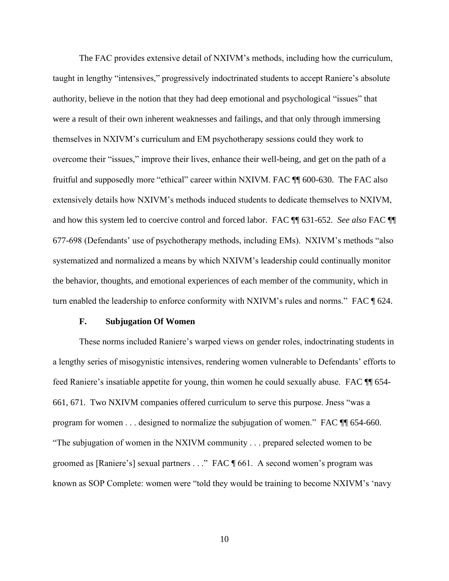The FAC provides extensive detail of NXIVM's methods, including how the curriculum, taught in lengthy "intensives," progressively indoctrinated students to accept Raniere's absolute authority, believe in the notion that they had deep emotional and psychological "issues" that were a result of their own inherent weaknesses and failings, and that only through immersing themselves in NXIVM's curriculum and EM psychotherapy sessions could they work to overcome their "issues," improve their lives, enhance their well-being, and get on the path of a fruitful and supposedly more "ethical" career within NXIVM. FAC ¶¶ 600-630. The FAC also extensively details how NXIVM's methods induced students to dedicate themselves to NXIVM, and how this system led to coercive control and forced labor. FAC ¶¶ 631-652. *See also* FAC ¶¶ 677-698 (Defendants' use of psychotherapy methods, including EMs). NXIVM's methods "also systematized and normalized a means by which NXIVM's leadership could continually monitor the behavior, thoughts, and emotional experiences of each member of the community, which in turn enabled the leadership to enforce conformity with NXIVM's rules and norms." FAC  $\llbracket 624$ .

#### **F. Subjugation Of Women**

These norms included Raniere's warped views on gender roles, indoctrinating students in a lengthy series of misogynistic intensives, rendering women vulnerable to Defendants' efforts to feed Raniere's insatiable appetite for young, thin women he could sexually abuse. FAC ¶¶ 654- 661, 671. Two NXIVM companies offered curriculum to serve this purpose. Jness "was a program for women . . . designed to normalize the subjugation of women." FAC ¶¶ 654-660. "The subjugation of women in the NXIVM community . . . prepared selected women to be groomed as [Raniere's] sexual partners . . ." FAC ¶ 661. A second women's program was known as SOP Complete: women were "told they would be training to become NXIVM's 'navy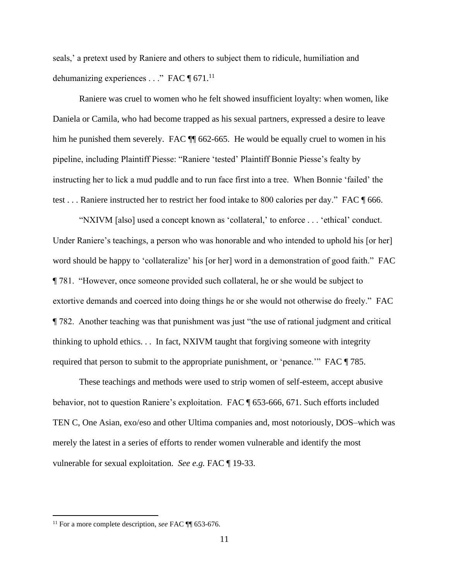seals,' a pretext used by Raniere and others to subject them to ridicule, humiliation and dehumanizing experiences . . ." FAC  $\P$  671.<sup>11</sup>

Raniere was cruel to women who he felt showed insufficient loyalty: when women, like Daniela or Camila, who had become trapped as his sexual partners, expressed a desire to leave him he punished them severely. FAC  $\P$  662-665. He would be equally cruel to women in his pipeline, including Plaintiff Piesse: "Raniere 'tested' Plaintiff Bonnie Piesse's fealty by instructing her to lick a mud puddle and to run face first into a tree. When Bonnie 'failed' the test . . . Raniere instructed her to restrict her food intake to 800 calories per day." FAC ¶ 666.

"NXIVM [also] used a concept known as 'collateral,' to enforce . . . 'ethical' conduct. Under Raniere's teachings, a person who was honorable and who intended to uphold his [or her] word should be happy to 'collateralize' his [or her] word in a demonstration of good faith." FAC ¶ 781. "However, once someone provided such collateral, he or she would be subject to extortive demands and coerced into doing things he or she would not otherwise do freely." FAC ¶ 782. Another teaching was that punishment was just "the use of rational judgment and critical thinking to uphold ethics. . . In fact, NXIVM taught that forgiving someone with integrity required that person to submit to the appropriate punishment, or 'penance.'" FAC ¶ 785.

These teachings and methods were used to strip women of self-esteem, accept abusive behavior, not to question Raniere's exploitation. FAC ¶ 653-666, 671. Such efforts included TEN C, One Asian, exo/eso and other Ultima companies and, most notoriously, DOS–which was merely the latest in a series of efforts to render women vulnerable and identify the most vulnerable for sexual exploitation. *See e.g.* FAC ¶ 19-33.

<sup>11</sup> For a more complete description, *see* FAC ¶¶ 653-676.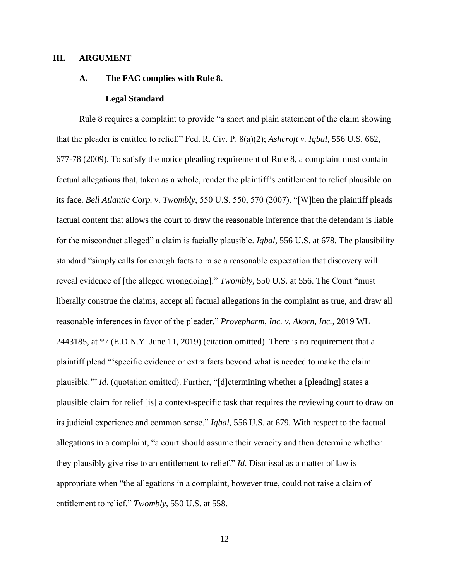### **III. ARGUMENT**

#### **A. The FAC complies with Rule 8.**

#### <span id="page-24-3"></span><span id="page-24-2"></span><span id="page-24-0"></span>**Legal Standard**

<span id="page-24-1"></span>Rule 8 requires a complaint to provide "a short and plain statement of the claim showing that the pleader is entitled to relief." Fed. R. Civ. P. 8(a)(2); *Ashcroft v. Iqbal*, 556 U.S. 662, 677-78 (2009). To satisfy the notice pleading requirement of Rule 8, a complaint must contain factual allegations that, taken as a whole, render the plaintiff's entitlement to relief plausible on its face. *Bell Atlantic Corp. v. Twombly*, 550 U.S. 550, 570 (2007). "[W]hen the plaintiff pleads factual content that allows the court to draw the reasonable inference that the defendant is liable for the misconduct alleged" a claim is facially plausible. *Iqbal*[, 556 U.S. at 678.](https://1.next.westlaw.com/Link/Document/FullText?findType=Y&serNum=2018848474&pubNum=0000780&originatingDoc=I9e017c407da711eb91b78705c7189b3d&refType=RP&fi=co_pp_sp_780_678&originationContext=document&transitionType=DocumentItem&ppcid=49e09b37ccf8404fb134a3fdd7eafe9c&contextData=(sc.Search)#co_pp_sp_780_678) The plausibility standard "simply calls for enough facts to raise a reasonable expectation that discovery will reveal evidence of [the alleged wrongdoing]." *Twombly*, 550 U.S. at 556. The Court "must liberally construe the claims, accept all factual allegations in the complaint as true, and draw all reasonable inferences in favor of the pleader." *[Provepharm, Inc. v. Akorn, Inc.](https://1.next.westlaw.com/Document/Ic3d826408d7a11e9ba33b03ae9101fb2/View/FullText.html?listSource=Search&navigationPath=Search%2fv1%2fresults%2fnavigation%2fi0ad6ad3d0000017f7ae5a0e7d015bc22%3fppcid%3dfa4f1f66a11f450e96e7289c51830119%26Nav%3dCASE%26fragmentIdentifier%3dIc3d826408d7a11e9ba33b03ae9101fb2%26parentRank%3d0%26startIndex%3d51%26contextData%3d%2528sc.Search%2529%26transitionType%3dSearchItem&list=CASE&rank=80&listPageSource=63ba36cdf119829e77630e4a1393d18b&originationContext=docHeader&contextData=(sc.Search)&transitionType=Document&needToInjectTerms=False&enableBestPortion=True&docSource=3576336671844a4b85d2602c4456ae93)*, 2019 WL 2443185, at \*7 (E.D.N.Y. June 11, 2019) (citation omitted). There is no requirement that a plaintiff plead "'specific evidence or extra facts beyond what is needed to make the claim plausible.'" *Id*. (quotation omitted). Further, "[d]etermining whether a [pleading] states a plausible claim for relief [is] a context-specific task that requires the reviewing court to draw on its judicial experience and common sense." *Iqbal*, 556 U.S. at 679*.* With respect to the factual allegations in a complaint, "a court should assume their veracity and then determine whether they plausibly give rise to an entitlement to relief." *Id*. Dismissal as a matter of law is appropriate when "the allegations in a complaint, however true, could not raise a claim of entitlement to relief." *Twombly*[, 550 U.S. at 558.](https://1.next.westlaw.com/Link/Document/FullText?findType=Y&serNum=2012293296&pubNum=0000780&originatingDoc=I9e017c407da711eb91b78705c7189b3d&refType=RP&fi=co_pp_sp_780_558&originationContext=document&transitionType=DocumentItem&ppcid=49e09b37ccf8404fb134a3fdd7eafe9c&contextData=(sc.Search)#co_pp_sp_780_558)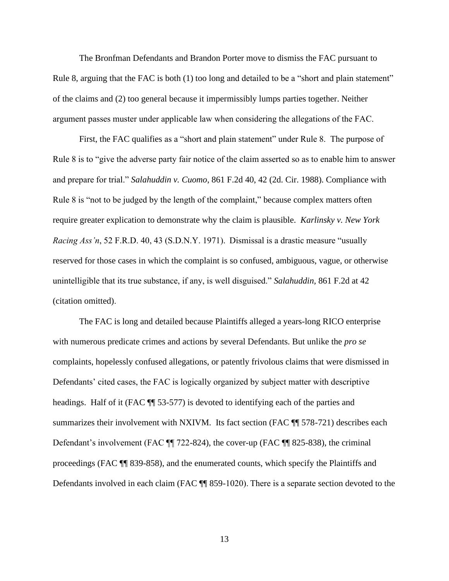The Bronfman Defendants and Brandon Porter move to dismiss the FAC pursuant to Rule 8, arguing that the FAC is both (1) too long and detailed to be a "short and plain statement" of the claims and (2) too general because it impermissibly lumps parties together. Neither argument passes muster under applicable law when considering the allegations of the FAC.  

<span id="page-25-1"></span><span id="page-25-0"></span>First, the FAC qualifies as a "short and plain statement" under Rule 8. The purpose of Rule 8 is to "give the adverse party fair notice of the claim asserted so as to enable him to answer and prepare for trial." *Salahuddin v. Cuomo*, 861 F.2d 40, 42 (2d. Cir. 1988). Compliance with Rule 8 is "not to be judged by the length of the complaint," because complex matters often require greater explication to demonstrate why the claim is plausible. *Karlinsky v. New York Racing Ass'n*, 52 F.R.D. 40, 43 (S.D.N.Y. 1971).  Dismissal is a drastic measure "usually reserved for those cases in which the complaint is so confused, ambiguous, vague, or otherwise unintelligible that its true substance, if any, is well disguised." *Salahuddin,* 861 F.2d at 42 (citation omitted).  

The FAC is long and detailed because Plaintiffs alleged a years-long RICO enterprise with numerous predicate crimes and actions by several Defendants. But unlike the *pro se*  complaints, hopelessly confused allegations, or patently frivolous claims that were dismissed in Defendants' cited cases, the FAC is logically organized by subject matter with descriptive headings. Half of it (FAC  $\P$  53-577) is devoted to identifying each of the parties and summarizes their involvement with NXIVM. Its fact section (FAC  $\P$  578-721) describes each Defendant's involvement (FAC ¶¶ 722-824), the cover-up (FAC ¶¶ 825-838), the criminal proceedings (FAC ¶¶ 839-858), and the enumerated counts, which specify the Plaintiffs and Defendants involved in each claim (FAC  $\P$  859-1020). There is a separate section devoted to the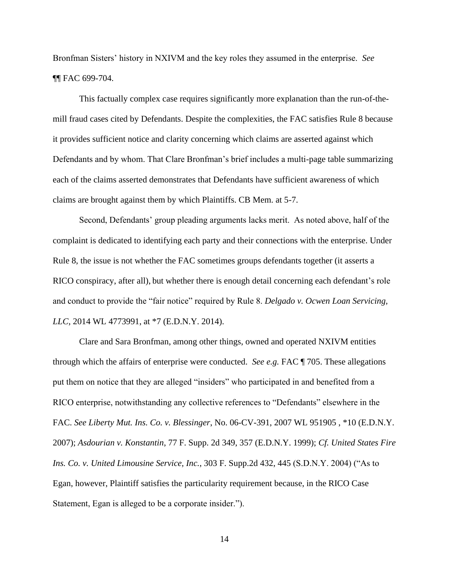Bronfman Sisters' history in NXIVM and the key roles they assumed in the enterprise. *See*  ¶¶ FAC 699-704.

This factually complex case requires significantly more explanation than the run-of-themill fraud cases cited by Defendants. Despite the complexities, the FAC satisfies Rule 8 because it provides sufficient notice and clarity concerning which claims are asserted against which Defendants and by whom. That Clare Bronfman's brief includes a multi-page table summarizing each of the claims asserted demonstrates that Defendants have sufficient awareness of which claims are brought against them by which Plaintiffs. CB Mem. at 5-7.

Second, Defendants' group pleading arguments lacks merit. As noted above, half of the complaint is dedicated to identifying each party and their connections with the enterprise. Under Rule 8, the issue is not whether the FAC sometimes groups defendants together (it asserts a RICO conspiracy, after all), but whether there is enough detail concerning each defendant's role and conduct to provide the "fair notice" required by Rule 8. *Delgado v. Ocwen Loan Servicing, LLC,* 2014 WL 4773991, at \*7 (E.D.N.Y. 2014).

<span id="page-26-3"></span><span id="page-26-2"></span><span id="page-26-1"></span><span id="page-26-0"></span>Clare and Sara Bronfman, among other things, owned and operated NXIVM entities through which the affairs of enterprise were conducted. *See e.g.* FAC ¶ 705. These allegations put them on notice that they are alleged "insiders" who participated in and benefited from a RICO enterprise, notwithstanding any collective references to "Defendants" elsewhere in the FAC. *See Liberty Mut. Ins. Co. v. Blessinger*, No. 06-CV-391, 2007 WL 951905 , \*10 (E.D.N.Y. 2007); *Asdourian v. Konstantin*, 77 F. Supp. 2d 349, 357 (E.D.N.Y. 1999); *Cf. United States Fire Ins. Co. v. United Limousine Service, Inc.*, 303 F. Supp.2d 432, 445 (S.D.N.Y. 2004) ("As to Egan, however, Plaintiff satisfies the particularity requirement because, in the RICO Case Statement, Egan is alleged to be a corporate insider.").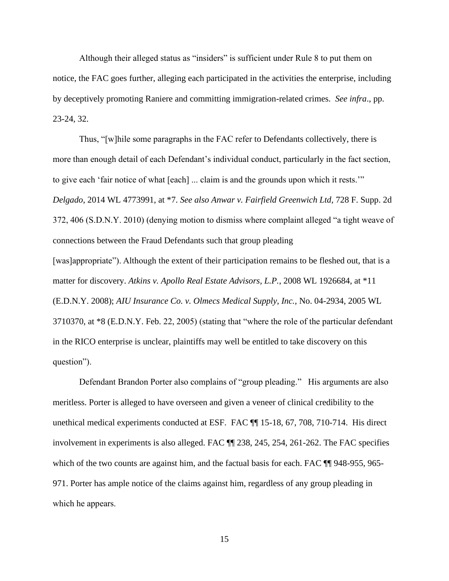Although their alleged status as "insiders" is sufficient under Rule 8 to put them on notice, the FAC goes further, alleging each participated in the activities the enterprise, including by deceptively promoting Raniere and committing immigration-related crimes. *See infra*., pp. 23-24, 32.

<span id="page-27-3"></span><span id="page-27-1"></span>Thus, "[w]hile some paragraphs in the FAC refer to Defendants collectively, there is more than enough detail of each Defendant's individual conduct, particularly in the fact section, to give each 'fair notice of what [each] ... claim is and the grounds upon which it rests.'" *Delgado*, 2014 WL 4773991, at \*7. *See also Anwar v. Fairfield Greenwich Ltd,* 728 F. Supp. 2d 372, 406 (S.D.N.Y. 2010) (denying motion to dismiss where complaint alleged "a tight weave of connections between the Fraud Defendants such that group pleading

<span id="page-27-2"></span><span id="page-27-0"></span>[was]appropriate"). Although the extent of their participation remains to be fleshed out, that is a matter for discovery. *Atkins v. Apollo Real Estate Advisors, L.P.*, 2008 WL 1926684, at \*11 (E.D.N.Y. 2008); *AIU Insurance Co. v. Olmecs Medical Supply, Inc.,* No. 04-2934, 2005 WL 3710370, at \*8 (E.D.N.Y. Feb. 22, 2005) (stating that "where the role of the particular defendant in the RICO enterprise is unclear, plaintiffs may well be entitled to take discovery on this question").

Defendant Brandon Porter also complains of "group pleading." His arguments are also meritless. Porter is alleged to have overseen and given a veneer of clinical credibility to the unethical medical experiments conducted at ESF. FAC ¶¶ 15-18, 67, 708, 710-714. His direct involvement in experiments is also alleged. FAC ¶¶ 238, 245, 254, 261-262. The FAC specifies which of the two counts are against him, and the factual basis for each. FAC  $\P$  948-955, 965-971. Porter has ample notice of the claims against him, regardless of any group pleading in which he appears.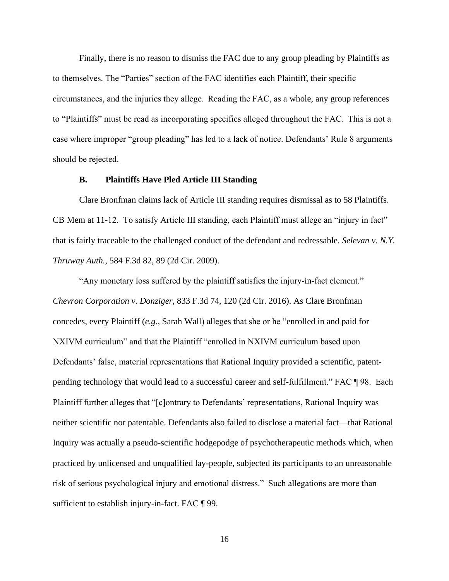Finally, there is no reason to dismiss the FAC due to any group pleading by Plaintiffs as to themselves. The "Parties" section of the FAC identifies each Plaintiff, their specific circumstances, and the injuries they allege.  Reading the FAC, as a whole, any group references to "Plaintiffs" must be read as incorporating specifics alleged throughout the FAC.  This is not a case where improper "group pleading" has led to a lack of notice. Defendants' Rule 8 arguments should be rejected. 

## <span id="page-28-1"></span>**B. Plaintiffs Have Pled Article III Standing**

Clare Bronfman claims lack of Article III standing requires dismissal as to 58 Plaintiffs. CB Mem at 11-12. To satisfy Article III standing, each Plaintiff must allege an "injury in fact" that is fairly traceable to the challenged conduct of the defendant and redressable. *Selevan v. N.Y. Thruway Auth.*, 584 F.3d 82, 89 (2d Cir. 2009).

<span id="page-28-0"></span>"Any monetary loss suffered by the plaintiff satisfies the injury-in-fact element." *Chevron Corporation v. Donziger*, 833 F.3d 74, 120 (2d Cir. 2016). As Clare Bronfman concedes, every Plaintiff (*e.g.*, Sarah Wall) alleges that she or he "enrolled in and paid for NXIVM curriculum" and that the Plaintiff "enrolled in NXIVM curriculum based upon Defendants' false, material representations that Rational Inquiry provided a scientific, patentpending technology that would lead to a successful career and self-fulfillment." FAC ¶ 98. Each Plaintiff further alleges that "[c]ontrary to Defendants' representations, Rational Inquiry was neither scientific nor patentable. Defendants also failed to disclose a material fact—that Rational Inquiry was actually a pseudo-scientific hodgepodge of psychotherapeutic methods which, when practiced by unlicensed and unqualified lay-people, subjected its participants to an unreasonable risk of serious psychological injury and emotional distress." Such allegations are more than sufficient to establish injury-in-fact. FAC ¶ 99.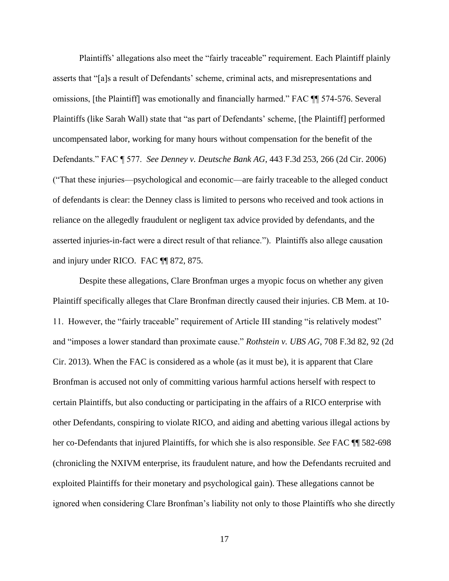<span id="page-29-0"></span>Plaintiffs' allegations also meet the "fairly traceable" requirement. Each Plaintiff plainly asserts that "[a]s a result of Defendants' scheme, criminal acts, and misrepresentations and omissions, [the Plaintiff] was emotionally and financially harmed." FAC ¶¶ 574-576. Several Plaintiffs (like Sarah Wall) state that "as part of Defendants' scheme, [the Plaintiff] performed uncompensated labor, working for many hours without compensation for the benefit of the Defendants." FAC ¶ 577. *See Denney v. Deutsche Bank AG*, 443 F.3d 253, 266 (2d Cir. 2006) ("That these injuries—psychological and economic—are fairly traceable to the alleged conduct of defendants is clear: the Denney class is limited to persons who received and took actions in reliance on the allegedly fraudulent or negligent tax advice provided by defendants, and the asserted injuries-in-fact were a direct result of that reliance."). Plaintiffs also allege causation and injury under RICO. FAC ¶¶ 872, 875.

<span id="page-29-1"></span>Despite these allegations, Clare Bronfman urges a myopic focus on whether any given Plaintiff specifically alleges that Clare Bronfman directly caused their injuries. CB Mem. at 10- 11. However, the "fairly traceable" requirement of Article III standing "is relatively modest" and "imposes a lower standard than proximate cause." *Rothstein v. UBS AG*, 708 F.3d 82, 92 (2d Cir. 2013). When the FAC is considered as a whole (as it must be), it is apparent that Clare Bronfman is accused not only of committing various harmful actions herself with respect to certain Plaintiffs, but also conducting or participating in the affairs of a RICO enterprise with other Defendants, conspiring to violate RICO, and aiding and abetting various illegal actions by her co-Defendants that injured Plaintiffs, for which she is also responsible. *See* FAC ¶¶ 582-698 (chronicling the NXIVM enterprise, its fraudulent nature, and how the Defendants recruited and exploited Plaintiffs for their monetary and psychological gain). These allegations cannot be ignored when considering Clare Bronfman's liability not only to those Plaintiffs who she directly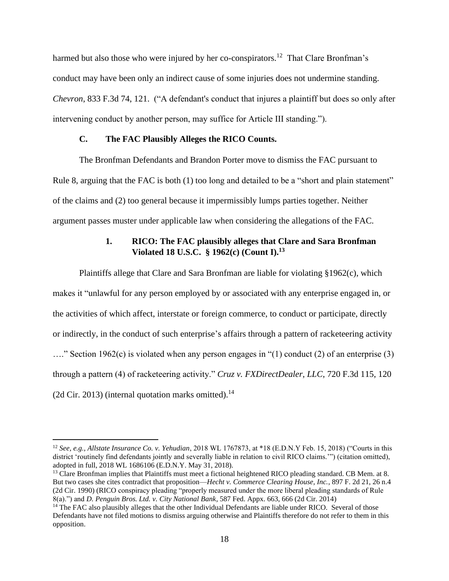<span id="page-30-1"></span>harmed but also those who were injured by her co-conspirators.<sup>12</sup> That Clare Bronfman's conduct may have been only an indirect cause of some injuries does not undermine standing. *Chevron*, 833 F.3d 74, 121. ("A defendant's conduct that injures a plaintiff but does so only after intervening conduct by another person, may suffice for Article III standing.").

# **C. The FAC Plausibly Alleges the RICO Counts.**

The Bronfman Defendants and Brandon Porter move to dismiss the FAC pursuant to Rule 8, arguing that the FAC is both (1) too long and detailed to be a "short and plain statement" of the claims and (2) too general because it impermissibly lumps parties together. Neither argument passes muster under applicable law when considering the allegations of the FAC.

# <span id="page-30-5"></span><span id="page-30-2"></span>**1. RICO: The FAC plausibly alleges that Clare and Sara Bronfman Violated 18 U.S.C. § 1962(c) (Count I).<sup>13</sup>**

Plaintiffs allege that Clare and Sara Bronfman are liable for violating §1962(c), which makes it "unlawful for any [person](https://www.law.cornell.edu/definitions/uscode.php?width=840&height=800&iframe=true&def_id=18-USC-991716523-1438920307&term_occur=999&term_src=title:18:part:I:chapter:96:section:1962) employed by or associated with any [enterprise](https://www.law.cornell.edu/definitions/uscode.php?width=840&height=800&iframe=true&def_id=18-USC-802737311-1438920306&term_occur=999&term_src=title:18:part:I:chapter:96:section:1962) engaged in, or the activities of which affect, interstate or foreign commerce, to conduct or participate, directly or indirectly, in the conduct of such [enterprise'](https://www.law.cornell.edu/definitions/uscode.php?width=840&height=800&iframe=true&def_id=18-USC-802737311-1438920306&term_occur=999&term_src=title:18:part:I:chapter:96:section:1962)s affairs through a pattern of [racketeering activity](https://www.law.cornell.edu/definitions/uscode.php?width=840&height=800&iframe=true&def_id=18-USC-1935430617-1438920309&term_occur=999&term_src=title:18:part:I:chapter:96:section:1962)  …." Section 1962(c) is violated when any person engages in "(1) conduct (2) of an enterprise (3) through a pattern (4) of racketeering activity." *Cruz v. FXDirectDealer, LLC*, 720 F.3d 115, 120 (2d Cir. 2013) (internal quotation marks omitted).<sup>14</sup>

<span id="page-30-0"></span><sup>12</sup> *See, e.g., Allstate Insurance Co. v. Yehudian*, 2018 WL 1767873, at \*18 (E.D.N.Y Feb. 15, 2018) ("Courts in this district 'routinely find defendants jointly and severally liable in relation to civil RICO claims."") (citation omitted), adopted in full, 2018 WL 1686106 (E.D.N.Y. May 31, 2018).

<span id="page-30-4"></span><sup>&</sup>lt;sup>13</sup> Clare Bronfman implies that Plaintiffs must meet a fictional heightened RICO pleading standard. CB Mem. at 8. But two cases she cites contradict that proposition—*Hecht v. Commerce Clearing House, Inc.*, 897 F. 2d 21, 26 n.4 (2d Cir. 1990) (RICO conspiracy pleading "properly measured under the more liberal pleading standards of Rule 8(a).") and *D. Penguin Bros. Ltd. v. City National Bank*, 587 Fed. Appx. 663, 666 (2d Cir. 2014)

<span id="page-30-3"></span><sup>&</sup>lt;sup>14</sup> The FAC also plausibly alleges that the other Individual Defendants are liable under RICO. Several of those Defendants have not filed motions to dismiss arguing otherwise and Plaintiffs therefore do not refer to them in this opposition.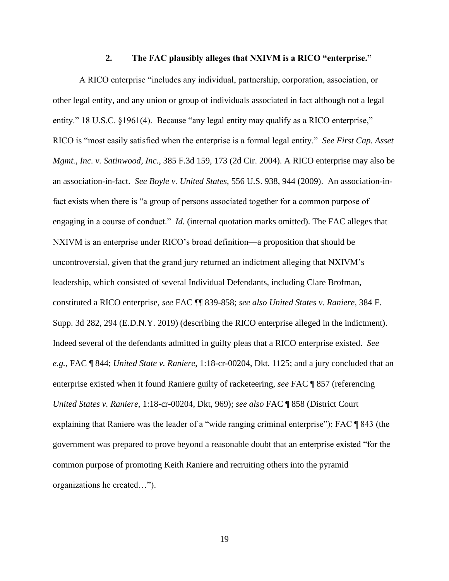#### <span id="page-31-1"></span><span id="page-31-0"></span>**2. The FAC plausibly alleges that NXIVM is a RICO "enterprise."**

<span id="page-31-4"></span><span id="page-31-3"></span><span id="page-31-2"></span>A RICO enterprise "includes any individual, partnership, corporation, association, or other legal entity, and any union or group of individuals associated in fact although not a legal entity." 18 U.S.C. §1961(4). Because "any legal entity may qualify as a RICO enterprise," RICO is "most easily satisfied when the enterprise is a formal legal entity." *See First Cap. Asset Mgmt., Inc. v. Satinwood, Inc.*, 385 F.3d 159, 173 (2d Cir. 2004). A RICO enterprise may also be an association-in-fact. *See Boyle v. United States*, 556 U.S. 938, 944 (2009). An association-infact exists when there is "a group of persons associated together for a common purpose of engaging in a course of conduct." *Id.* (internal quotation marks omitted). The FAC alleges that NXIVM is an enterprise under RICO's broad definition—a proposition that should be uncontroversial, given that the grand jury returned an indictment alleging that NXIVM's leadership, which consisted of several Individual Defendants, including Clare Brofman, constituted a RICO enterprise, *see* FAC ¶¶ 839-858; *see also United States v. Raniere*, 384 F. Supp. 3d 282, 294 (E.D.N.Y. 2019) (describing the RICO enterprise alleged in the indictment). Indeed several of the defendants admitted in guilty pleas that a RICO enterprise existed. *See e.g.*, FAC ¶ 844; *United State v. Raniere*, 1:18-cr-00204, Dkt. 1125; and a jury concluded that an enterprise existed when it found Raniere guilty of racketeering, *see* FAC ¶ 857 (referencing *United States v. Raniere*, 1:18-cr-00204, Dkt, 969); *see also* FAC ¶ 858 (District Court explaining that Raniere was the leader of a "wide ranging criminal enterprise"); FAC ¶ 843 (the government was prepared to prove beyond a reasonable doubt that an enterprise existed "for the common purpose of promoting Keith Raniere and recruiting others into the pyramid organizations he created…").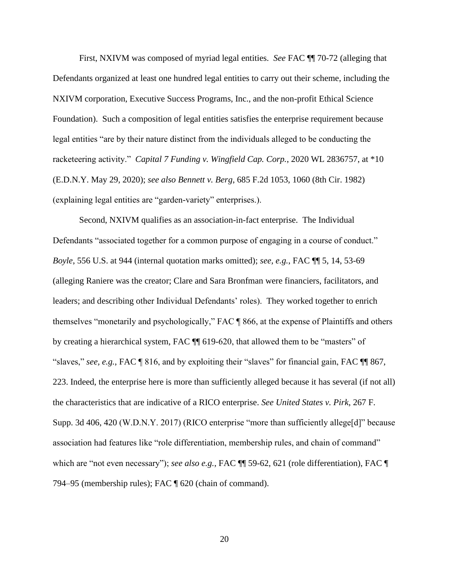First, NXIVM was composed of myriad legal entities. *See* FAC ¶¶ 70-72 (alleging that Defendants organized at least one hundred legal entities to carry out their scheme, including the NXIVM corporation, Executive Success Programs, Inc., and the non-profit Ethical Science Foundation). Such a composition of legal entities satisfies the enterprise requirement because legal entities "are by their nature distinct from the individuals alleged to be conducting the racketeering activity." *Capital 7 Funding v. Wingfield Cap. Corp.*, 2020 WL 2836757, at \*10 (E.D.N.Y. May 29, 2020); *see also Bennett v. Berg*, 685 F.2d 1053, 1060 (8th Cir. 1982) (explaining legal entities are "garden-variety" enterprises.).

<span id="page-32-3"></span><span id="page-32-2"></span><span id="page-32-1"></span><span id="page-32-0"></span>Second, NXIVM qualifies as an association-in-fact enterprise. The Individual Defendants "associated together for a common purpose of engaging in a course of conduct." *Boyle*, 556 U.S. at 944 (internal quotation marks omitted); *see, e.g.*, FAC ¶¶ 5, 14, 53-69 (alleging Raniere was the creator; Clare and Sara Bronfman were financiers, facilitators, and leaders; and describing other Individual Defendants' roles). They worked together to enrich themselves "monetarily and psychologically," FAC ¶ 866, at the expense of Plaintiffs and others by creating a hierarchical system, FAC ¶¶ 619-620, that allowed them to be "masters" of "slaves," *see, e.g.*, FAC ¶ 816, and by exploiting their "slaves" for financial gain, FAC ¶¶ 867, 223. Indeed, the enterprise here is more than sufficiently alleged because it has several (if not all) the characteristics that are indicative of a RICO enterprise. *See United States v. Pirk*, 267 F. Supp. 3d 406, 420 (W.D.N.Y. 2017) (RICO enterprise "more than sufficiently allege[d]" because association had features like "role differentiation, membership rules, and chain of command" which are "not even necessary"); *see also e.g.*, FAC ¶¶ 59-62, 621 (role differentiation), FAC ¶ 794–95 (membership rules); FAC ¶ 620 (chain of command).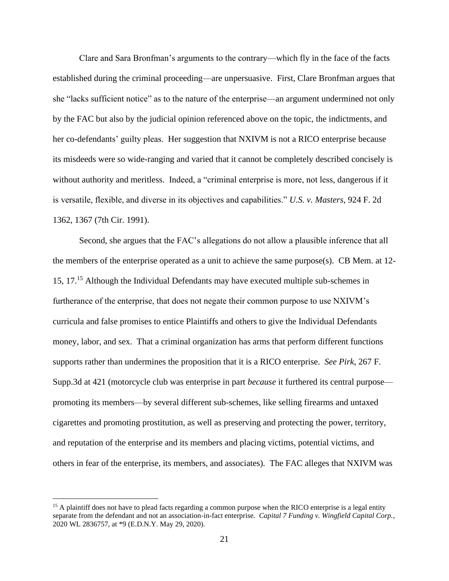Clare and Sara Bronfman's arguments to the contrary—which fly in the face of the facts established during the criminal proceeding—are unpersuasive. First, Clare Bronfman argues that she "lacks sufficient notice" as to the nature of the enterprise—an argument undermined not only by the FAC but also by the judicial opinion referenced above on the topic, the indictments, and her co-defendants' guilty pleas. Her suggestion that NXIVM is not a RICO enterprise because its misdeeds were so wide-ranging and varied that it cannot be completely described concisely is without authority and meritless. Indeed, a "criminal enterprise is more, not less, dangerous if it is versatile, flexible, and diverse in its objectives and capabilities." *U.S. v. Masters*, 924 F. 2d 1362, 1367 (7th Cir. 1991).

<span id="page-33-2"></span><span id="page-33-1"></span>Second, she argues that the FAC's allegations do not allow a plausible inference that all the members of the enterprise operated as a unit to achieve the same purpose(s). CB Mem. at 12- 15, 17.<sup>15</sup> Although the Individual Defendants may have executed multiple sub-schemes in furtherance of the enterprise, that does not negate their common purpose to use NXIVM's curricula and false promises to entice Plaintiffs and others to give the Individual Defendants money, labor, and sex. That a criminal organization has arms that perform different functions supports rather than undermines the proposition that it is a RICO enterprise. *See Pirk*, 267 F. Supp.3d at 421 (motorcycle club was enterprise in part *because* it furthered its central purpose promoting its members—by several different sub-schemes, like selling firearms and untaxed cigarettes and promoting prostitution, as well as preserving and protecting the power, territory, and reputation of the enterprise and its members and placing victims, potential victims, and others in fear of the enterprise, its members, and associates). The FAC alleges that NXIVM was

<span id="page-33-0"></span><sup>&</sup>lt;sup>15</sup> A plaintiff does not have to plead facts regarding a common purpose when the RICO enterprise is a legal entity separate from the defendant and not an association-in-fact enterprise*. Capital 7 Funding v. Wingfield Capital Corp.*, 2020 WL 2836757, at \*9 (E.D.N.Y. May 29, 2020).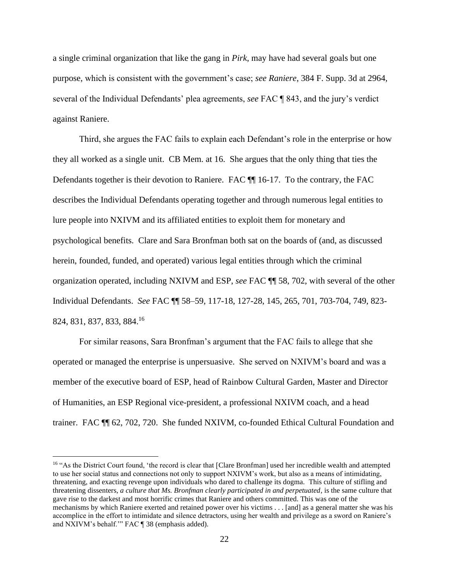<span id="page-34-0"></span>a single criminal organization that like the gang in *Pirk*, may have had several goals but one purpose, which is consistent with the government's case; *see Raniere*, 384 F. Supp. 3d at 2964, several of the Individual Defendants' plea agreements, *see* FAC ¶ 843, and the jury's verdict against Raniere.

Third, she argues the FAC fails to explain each Defendant's role in the enterprise or how they all worked as a single unit. CB Mem. at 16. She argues that the only thing that ties the Defendants together is their devotion to Raniere. FAC  $\P$  16-17. To the contrary, the FAC describes the Individual Defendants operating together and through numerous legal entities to lure people into NXIVM and its affiliated entities to exploit them for monetary and psychological benefits. Clare and Sara Bronfman both sat on the boards of (and, as discussed herein, founded, funded, and operated) various legal entities through which the criminal organization operated, including NXIVM and ESP, *see* FAC ¶¶ 58, 702, with several of the other Individual Defendants. *See* FAC ¶¶ 58–59, 117-18, 127-28, 145, 265, 701, 703-704, 749, 823- 824, 831, 837, 833, 884.<sup>16</sup>

For similar reasons, Sara Bronfman's argument that the FAC fails to allege that she operated or managed the enterprise is unpersuasive. She served on NXIVM's board and was a member of the executive board of ESP, head of Rainbow Cultural Garden, Master and Director of Humanities, an ESP Regional vice-president, a professional NXIVM coach, and a head trainer. FAC ¶¶ 62, 702, 720. She funded NXIVM, co-founded Ethical Cultural Foundation and

<sup>&</sup>lt;sup>16</sup> "As the District Court found, 'the record is clear that [Clare Bronfman] used her incredible wealth and attempted to use her social status and connections not only to support NXIVM's work, but also as a means of intimidating, threatening, and exacting revenge upon individuals who dared to challenge its dogma. This culture of stifling and threatening dissenters, *a culture that Ms. Bronfman clearly participated in and perpetuated*, is the same culture that gave rise to the darkest and most horrific crimes that Raniere and others committed. This was one of the mechanisms by which Raniere exerted and retained power over his victims . . . [and] as a general matter she was his accomplice in the effort to intimidate and silence detractors, using her wealth and privilege as a sword on Raniere's and NXIVM's behalf.'" FAC ¶ 38 (emphasis added).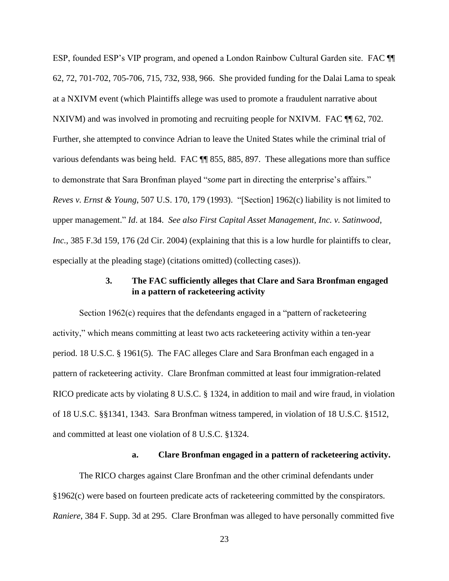ESP, founded ESP's VIP program, and opened a London Rainbow Cultural Garden site. FAC ¶¶ 62, 72, 701-702, 705-706, 715, 732, 938, 966. She provided funding for the Dalai Lama to speak at a NXIVM event (which Plaintiffs allege was used to promote a fraudulent narrative about NXIVM) and was involved in promoting and recruiting people for NXIVM. FAC  $\P$  62, 702. Further, she attempted to convince Adrian to leave the United States while the criminal trial of various defendants was being held. FAC ¶¶ 855, 885, 897. These allegations more than suffice to demonstrate that Sara Bronfman played "*some* part in directing the enterprise's affairs." *Reves v. Ernst & Young*, 507 U.S. 170, 179 (1993). "[Section] 1962(c) liability is not limited to upper management." *Id*. at 184. *See also First Capital Asset Management, Inc. v. Satinwood*, *Inc.*, 385 F.3d 159, 176 (2d Cir. 2004) (explaining that this is a low hurdle for plaintiffs to clear, especially at the pleading stage) (citations omitted) (collecting cases)).

# <span id="page-35-1"></span><span id="page-35-0"></span>**3. The FAC sufficiently alleges that Clare and Sara Bronfman engaged in a pattern of racketeering activity**

<span id="page-35-6"></span><span id="page-35-5"></span>Section 1962(c) requires that the defendants engaged in a "pattern of racketeering activity," which means committing at least two acts racketeering activity within a ten-year period. 18 U.S.C. § 1961(5). The FAC alleges Clare and Sara Bronfman each engaged in a pattern of racketeering activity. Clare Bronfman committed at least four immigration-related RICO predicate acts by violating 8 U.S.C. § 1324, in addition to mail and wire fraud, in violation of 18 U.S.C. §§1341, 1343. Sara Bronfman witness tampered, in violation of 18 U.S.C. §1512, and committed at least one violation of 8 U.S.C. §1324.

# <span id="page-35-4"></span><span id="page-35-2"></span>**a. Clare Bronfman engaged in a pattern of racketeering activity.**

<span id="page-35-3"></span>The RICO charges against Clare Bronfman and the other criminal defendants under §1962(c) were based on fourteen predicate acts of racketeering committed by the conspirators. *Raniere*, 384 F. Supp. 3d at 295. Clare Bronfman was alleged to have personally committed five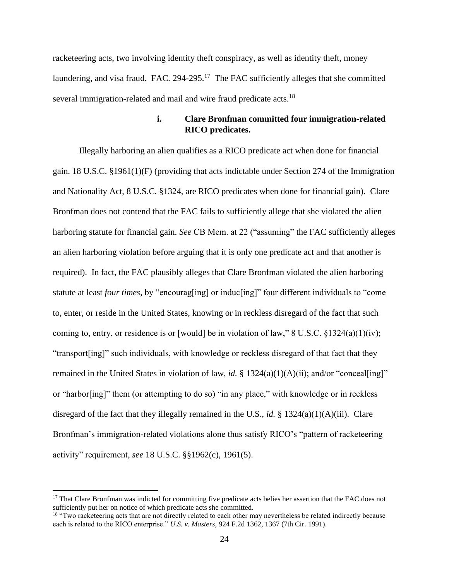racketeering acts, two involving identity theft conspiracy, as well as identity theft, money laundering, and visa fraud. FAC. 294-295.<sup>17</sup> The FAC sufficiently alleges that she committed several immigration-related and mail and wire fraud predicate acts.<sup>18</sup>

# **i. Clare Bronfman committed four immigration-related RICO predicates.**

Illegally harboring an alien qualifies as a RICO predicate act when done for financial gain. 18 U.S.C. §1961(1)(F) (providing that acts indictable under Section 274 of the Immigration and Nationality Act, 8 U.S.C. §1324, are RICO predicates when done for financial gain). Clare Bronfman does not contend that the FAC fails to sufficiently allege that she violated the alien harboring statute for financial gain. *See* CB Mem. at 22 ("assuming" the FAC sufficiently alleges an alien harboring violation before arguing that it is only one predicate act and that another is required). In fact, the FAC plausibly alleges that Clare Bronfman violated the alien harboring statute at least *four times*, by "encourag[ing] or induc[ing]" four different individuals to "come to, enter, or reside in the United States, knowing or in reckless disregard of the fact that such coming to, entry, or residence is or [would] be in violation of law," 8 U.S.C.  $\S 1324(a)(1)(iv)$ ; "transport[ing]" such individuals, with knowledge or reckless disregard of that fact that they remained in the United States in violation of law, *id.* § 1324(a)(1)(A)(ii); and/or "conceal[ing]" or "harbor[ing]" them (or attempting to do so) "in any place," with knowledge or in reckless disregard of the fact that they illegally remained in the U.S., *id.* § 1324(a)(1)(A)(iii). Clare Bronfman's immigration-related violations alone thus satisfy RICO's "pattern of racketeering activity" requirement, *see* 18 U.S.C. §§1962(c), 1961(5).

<sup>&</sup>lt;sup>17</sup> That Clare Bronfman was indicted for committing five predicate acts belies her assertion that the FAC does not sufficiently put her on notice of which predicate acts she committed.

<sup>&</sup>lt;sup>18</sup> "Two racketeering acts that are not directly related to each other may nevertheless be related indirectly because each is related to the RICO enterprise." *U.S. v. Masters*, 924 F.2d 1362, 1367 (7th Cir. 1991).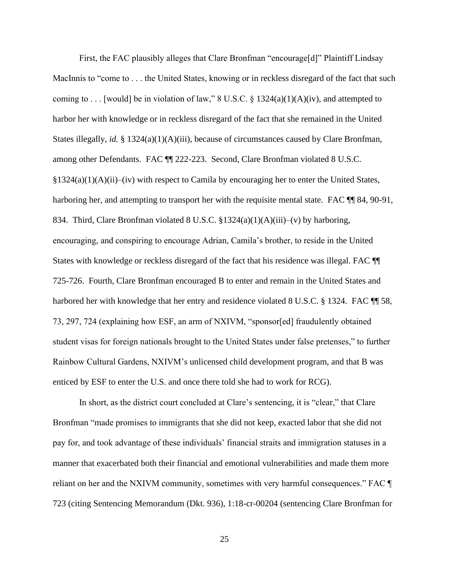First, the FAC plausibly alleges that Clare Bronfman "encourage[d]" Plaintiff Lindsay MacInnis to "come to . . . the United States, knowing or in reckless disregard of the fact that such coming to . . . [would] be in violation of law," 8 U.S.C. § 1324(a)(1)(A)(iv), and attempted to harbor her with knowledge or in reckless disregard of the fact that she remained in the United States illegally, *id.* § 1324(a)(1)(A)(iii), because of circumstances caused by Clare Bronfman, among other Defendants. FAC ¶¶ 222-223. Second, Clare Bronfman violated 8 U.S.C.  $\S 1324(a)(1)(A)(ii)$ –(iv) with respect to Camila by encouraging her to enter the United States, harboring her, and attempting to transport her with the requisite mental state. FAC  $\P$  84, 90-91, 834. Third, Clare Bronfman violated 8 U.S.C. §1324(a)(1)(A)(iii)–(v) by harboring, encouraging, and conspiring to encourage Adrian, Camila's brother, to reside in the United States with knowledge or reckless disregard of the fact that his residence was illegal. FAC ¶¶ 725-726. Fourth, Clare Bronfman encouraged B to enter and remain in the United States and harbored her with knowledge that her entry and residence violated 8 U.S.C. § 1324. FAC ¶ 58, 73, 297, 724 (explaining how ESF, an arm of NXIVM, "sponsor[ed] fraudulently obtained student visas for foreign nationals brought to the United States under false pretenses," to further Rainbow Cultural Gardens, NXIVM's unlicensed child development program, and that B was enticed by ESF to enter the U.S. and once there told she had to work for RCG).

In short, as the district court concluded at Clare's sentencing, it is "clear," that Clare Bronfman "made promises to immigrants that she did not keep, exacted labor that she did not pay for, and took advantage of these individuals' financial straits and immigration statuses in a manner that exacerbated both their financial and emotional vulnerabilities and made them more reliant on her and the NXIVM community, sometimes with very harmful consequences." FAC ¶ 723 (citing Sentencing Memorandum (Dkt. 936), 1:18-cr-00204 (sentencing Clare Bronfman for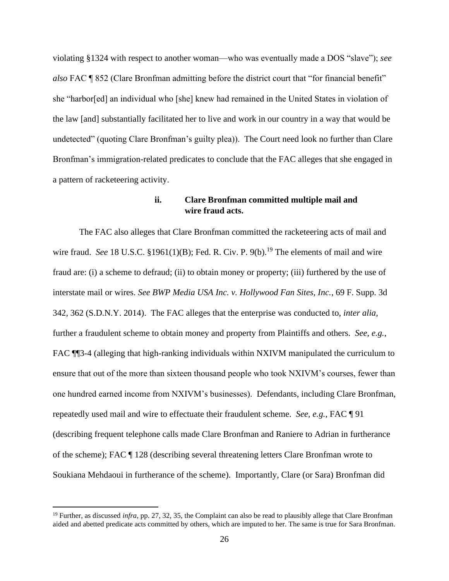violating §1324 with respect to another woman—who was eventually made a DOS "slave"); *see also* FAC ¶ 852 (Clare Bronfman admitting before the district court that "for financial benefit" she "harbor[ed] an individual who [she] knew had remained in the United States in violation of the law [and] substantially facilitated her to live and work in our country in a way that would be undetected" (quoting Clare Bronfman's guilty plea)). The Court need look no further than Clare Bronfman's immigration-related predicates to conclude that the FAC alleges that she engaged in a pattern of racketeering activity.

## **ii. Clare Bronfman committed multiple mail and wire fraud acts.**

The FAC also alleges that Clare Bronfman committed the racketeering acts of mail and wire fraud. *See* 18 U.S.C. §1961(1)(B); Fed. R. Civ. P. 9(b).<sup>19</sup> The elements of mail and wire fraud are: (i) a scheme to defraud; (ii) to obtain money or property; (iii) furthered by the use of interstate mail or wires. *See BWP Media USA Inc. v. Hollywood Fan Sites, Inc.*, 69 F. Supp. 3d 342, 362 (S.D.N.Y. 2014). The FAC alleges that the enterprise was conducted to, *inter alia*, further a fraudulent scheme to obtain money and property from Plaintiffs and others. *See, e.g.*, FAC  $\P$ <sup>3-4</sup> (alleging that high-ranking individuals within NXIVM manipulated the curriculum to ensure that out of the more than sixteen thousand people who took NXIVM's courses, fewer than one hundred earned income from NXIVM's businesses). Defendants, including Clare Bronfman, repeatedly used mail and wire to effectuate their fraudulent scheme. *See, e.g.*, FAC ¶ 91 (describing frequent telephone calls made Clare Bronfman and Raniere to Adrian in furtherance of the scheme); FAC ¶ 128 (describing several threatening letters Clare Bronfman wrote to Soukiana Mehdaoui in furtherance of the scheme). Importantly, Clare (or Sara) Bronfman did

<sup>&</sup>lt;sup>19</sup> Further, as discussed *infra*, pp. 27, 32, 35, the Complaint can also be read to plausibly allege that Clare Bronfman aided and abetted predicate acts committed by others, which are imputed to her. The same is true for Sara Bronfman.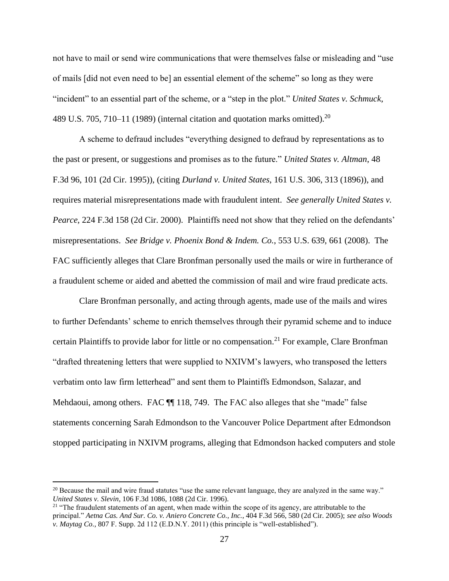not have to mail or send wire communications that were themselves false or misleading and "use of mails [did not even need to be] an essential element of the scheme" so long as they were "incident" to an essential part of the scheme, or a "step in the plot." *United States v. Schmuck*, 489 U.S. 705, 710–11 (1989) (internal citation and quotation marks omitted).<sup>20</sup>

A scheme to defraud includes "everything designed to defraud by representations as to the past or present, or suggestions and promises as to the future." *United States v. Altman*, 48 F.3d 96, 101 (2d Cir. 1995)), (citing *Durland v. United States*, 161 U.S. 306, 313 (1896)), and requires material misrepresentations made with fraudulent intent. *See generally United States v. Pearce*, 224 F.3d 158 (2d Cir. 2000). Plaintiffs need not show that they relied on the defendants' misrepresentations. *See Bridge v. Phoenix Bond & Indem. Co.*, 553 U.S. 639, 661 (2008). The FAC sufficiently alleges that Clare Bronfman personally used the mails or wire in furtherance of a fraudulent scheme or aided and abetted the commission of mail and wire fraud predicate acts.

Clare Bronfman personally, and acting through agents, made use of the mails and wires to further Defendants' scheme to enrich themselves through their pyramid scheme and to induce certain Plaintiffs to provide labor for little or no compensation.<sup>21</sup> For example, Clare Bronfman "drafted threatening letters that were supplied to NXIVM's lawyers, who transposed the letters verbatim onto law firm letterhead" and sent them to Plaintiffs Edmondson, Salazar, and Mehdaoui, among others. FAC  $\P$  118, 749. The FAC also alleges that she "made" false statements concerning Sarah Edmondson to the Vancouver Police Department after Edmondson stopped participating in NXIVM programs, alleging that Edmondson hacked computers and stole

<sup>&</sup>lt;sup>20</sup> Because the mail and wire fraud statutes "use the same relevant language, they are analyzed in the same way." *United States v. Slevin*, 106 F.3d 1086, 1088 (2d Cir. 1996).

 $21$  "The fraudulent statements of an agent, when made within the scope of its agency, are attributable to the principal." *Aetna Cas. And Sur. Co. v. Aniero Concrete Co., Inc.*, 404 F.3d 566, 580 (2d Cir. 2005); *see also Woods v. Maytag Co.*, 807 F. Supp. 2d 112 (E.D.N.Y. 2011) (this principle is "well-established").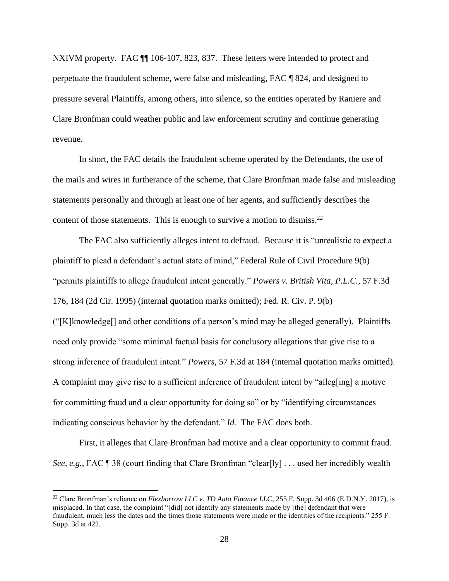NXIVM property. FAC  $\P$  106-107, 823, 837. These letters were intended to protect and perpetuate the fraudulent scheme, were false and misleading, FAC ¶ 824, and designed to pressure several Plaintiffs, among others, into silence, so the entities operated by Raniere and Clare Bronfman could weather public and law enforcement scrutiny and continue generating revenue.

In short, the FAC details the fraudulent scheme operated by the Defendants, the use of the mails and wires in furtherance of the scheme, that Clare Bronfman made false and misleading statements personally and through at least one of her agents, and sufficiently describes the content of those statements. This is enough to survive a motion to dismiss.<sup>22</sup>

The FAC also sufficiently alleges intent to defraud. Because it is "unrealistic to expect a plaintiff to plead a defendant's actual state of mind," Federal Rule of Civil Procedure 9(b) "permits plaintiffs to allege fraudulent intent generally." *Powers v. British Vita, P.L.C.*, 57 F.3d 176, 184 (2d Cir. 1995) (internal quotation marks omitted); Fed. R. Civ. P. 9(b) ("[K]knowledge[] and other conditions of a person's mind may be alleged generally). Plaintiffs need only provide "some minimal factual basis for conclusory allegations that give rise to a strong inference of fraudulent intent." *Powers*, 57 F.3d at 184 (internal quotation marks omitted). A complaint may give rise to a sufficient inference of fraudulent intent by "alleg[ing] a motive for committing fraud and a clear opportunity for doing so" or by "identifying circumstances indicating conscious behavior by the defendant." *Id.* The FAC does both.

First, it alleges that Clare Bronfman had motive and a clear opportunity to commit fraud. *See, e.g.*, FAC ¶ 38 (court finding that Clare Bronfman "clear[ly] . . . used her incredibly wealth

<sup>&</sup>lt;sup>22</sup> Clare Bronfman's reliance on *Flexborrow LLC v. TD Auto Finance LLC*, 255 F. Supp. 3d 406 (E.D.N.Y. 2017), is misplaced. In that case, the complaint "[did] not identify any statements made by [the] defendant that were fraudulent, much less the dates and the times those statements were made or the identities of the recipients." 255 F. Supp. 3d at 422.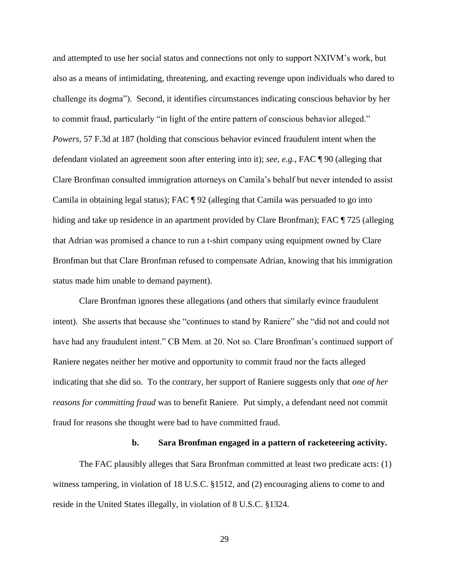and attempted to use her social status and connections not only to support NXIVM's work, but also as a means of intimidating, threatening, and exacting revenge upon individuals who dared to challenge its dogma"). Second, it identifies circumstances indicating conscious behavior by her to commit fraud, particularly "in light of the entire pattern of conscious behavior alleged." *Powers*, 57 F.3d at 187 (holding that conscious behavior evinced fraudulent intent when the defendant violated an agreement soon after entering into it); *see, e.g.*, FAC ¶ 90 (alleging that Clare Bronfman consulted immigration attorneys on Camila's behalf but never intended to assist Camila in obtaining legal status); FAC ¶ 92 (alleging that Camila was persuaded to go into hiding and take up residence in an apartment provided by Clare Bronfman); FAC ¶ 725 (alleging that Adrian was promised a chance to run a t-shirt company using equipment owned by Clare Bronfman but that Clare Bronfman refused to compensate Adrian, knowing that his immigration status made him unable to demand payment).

Clare Bronfman ignores these allegations (and others that similarly evince fraudulent intent). She asserts that because she "continues to stand by Raniere" she "did not and could not have had any fraudulent intent." CB Mem. at 20. Not so. Clare Bronfman's continued support of Raniere negates neither her motive and opportunity to commit fraud nor the facts alleged indicating that she did so. To the contrary, her support of Raniere suggests only that *one of her reasons for committing fraud* was to benefit Raniere. Put simply, a defendant need not commit fraud for reasons she thought were bad to have committed fraud.

#### **b. Sara Bronfman engaged in a pattern of racketeering activity.**

The FAC plausibly alleges that Sara Bronfman committed at least two predicate acts: (1) witness tampering, in violation of 18 U.S.C. §1512, and (2) encouraging aliens to come to and reside in the United States illegally, in violation of 8 U.S.C. §1324.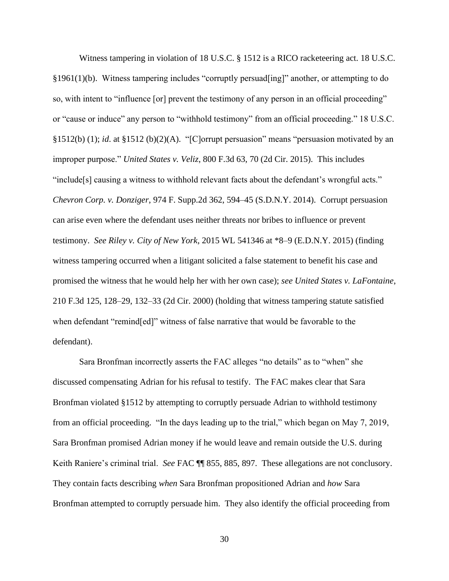Witness tampering in violation of 18 U.S.C. § 1512 is a RICO racketeering act. 18 U.S.C. §1961(1)(b). Witness tampering includes "corruptly persuad[ing]" another, or attempting to do so, with intent to "influence [or] prevent the testimony of any person in an official proceeding" or "cause or induce" any person to "withhold testimony" from an official proceeding." 18 U.S.C. §1512(b) (1); *id*. at §1512 (b)(2)(A). "[C]orrupt persuasion" means "persuasion motivated by an improper purpose." *United States v. Veliz*, 800 F.3d 63, 70 (2d Cir. 2015). This includes "include[s] causing a witness to withhold relevant facts about the defendant's wrongful acts." *Chevron Corp. v. Donziger*, 974 F. Supp.2d 362, 594–45 (S.D.N.Y. 2014). Corrupt persuasion can arise even where the defendant uses neither threats nor bribes to influence or prevent testimony. *See Riley v. City of New York*, 2015 WL 541346 at \*8–9 (E.D.N.Y. 2015) (finding witness tampering occurred when a litigant solicited a false statement to benefit his case and promised the witness that he would help her with her own case); *see United States v. LaFontaine*, 210 F.3d 125, 128–29, 132–33 (2d Cir. 2000) (holding that witness tampering statute satisfied when defendant "remind[ed]" witness of false narrative that would be favorable to the defendant).

Sara Bronfman incorrectly asserts the FAC alleges "no details" as to "when" she discussed compensating Adrian for his refusal to testify. The FAC makes clear that Sara Bronfman violated §1512 by attempting to corruptly persuade Adrian to withhold testimony from an official proceeding. "In the days leading up to the trial," which began on May 7, 2019, Sara Bronfman promised Adrian money if he would leave and remain outside the U.S. during Keith Raniere's criminal trial. *See* FAC ¶¶ 855, 885, 897. These allegations are not conclusory. They contain facts describing *when* Sara Bronfman propositioned Adrian and *how* Sara Bronfman attempted to corruptly persuade him. They also identify the official proceeding from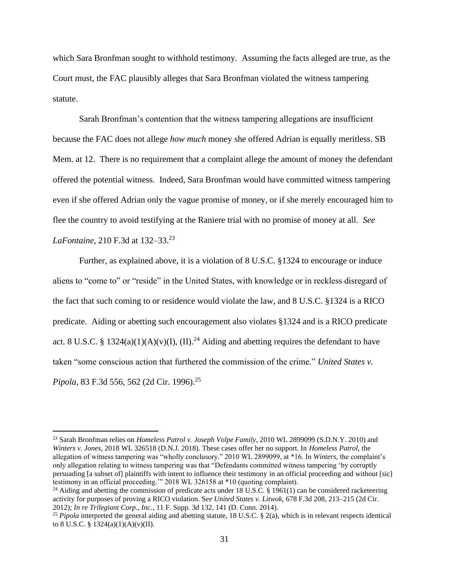which Sara Bronfman sought to withhold testimony. Assuming the facts alleged are true, as the Court must, the FAC plausibly alleges that Sara Bronfman violated the witness tampering statute.

Sarah Bronfman's contention that the witness tampering allegations are insufficient because the FAC does not allege *how much* money she offered Adrian is equally meritless. SB Mem. at 12. There is no requirement that a complaint allege the amount of money the defendant offered the potential witness. Indeed, Sara Bronfman would have committed witness tampering even if she offered Adrian only the vague promise of money, or if she merely encouraged him to flee the country to avoid testifying at the Raniere trial with no promise of money at all. *See LaFontaine*, 210 F.3d at 132–33.<sup>23</sup>

Further, as explained above, it is a violation of 8 U.S.C. §1324 to encourage or induce aliens to "come to" or "reside" in the United States, with knowledge or in reckless disregard of the fact that such coming to or residence would violate the law, and 8 U.S.C. §1324 is a RICO predicate. Aiding or abetting such encouragement also violates §1324 and is a RICO predicate act. 8 U.S.C. § 1324(a)(1)(A)(v)(I), (II).<sup>24</sup> Aiding and abetting requires the defendant to have taken "some conscious action that furthered the commission of the crime." *United States v. Pipola*, 83 F.3d 556, 562 (2d Cir. 1996).<sup>25</sup>

<sup>24</sup> Aiding and abetting the commission of predicate acts under 18 U.S.C. § 1961(1) can be considered racketeering activity for purposes of proving a RICO violation. S*ee United States v. Litwok,* 678 F.3d 208, 213–215 (2d Cir. 2012); *In re Trilegiant Corp., Inc.*, 11 F. Supp. 3d 132, 141 (D. Conn. 2014).

<sup>23</sup> Sarah Bronfman relies on *Homeless Patrol v. Joseph Volpe Family*, 2010 WL 2899099 (S.D.N.Y. 2010) and *Winters v. Jones*, 2018 WL 326518 (D.N.J. 2018). These cases offer her no support. In *Homeless Patrol*, the allegation of witness tampering was "wholly conclusory." 2010 WL 2899099, at \*16. In *Winters*, the complaint's only allegation relating to witness tampering was that "Defendants committed witness tampering 'by corruptly persuading [a subset of] plaintiffs with intent to influence their testimony in an official proceeding and without [sic] testimony in an official proceeding.'" 2018 WL 326158 at \*10 (quoting complaint).

<sup>25</sup> *Pipola* interpreted the general aiding and abetting statute, 18 U.S.C. § 2(a), which is in relevant respects identical to 8 U.S.C. § 1324(a)(1)(A)(v)(II).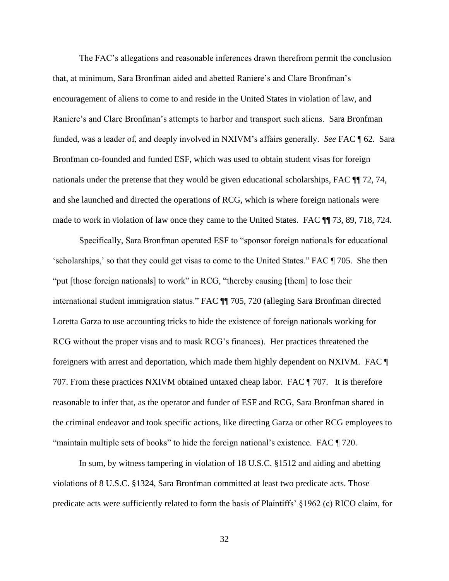The FAC's allegations and reasonable inferences drawn therefrom permit the conclusion that, at minimum, Sara Bronfman aided and abetted Raniere's and Clare Bronfman's encouragement of aliens to come to and reside in the United States in violation of law, and Raniere's and Clare Bronfman's attempts to harbor and transport such aliens. Sara Bronfman funded, was a leader of, and deeply involved in NXIVM's affairs generally. *See* FAC ¶ 62. Sara Bronfman co-founded and funded ESF, which was used to obtain student visas for foreign nationals under the pretense that they would be given educational scholarships, FAC ¶¶ 72, 74, and she launched and directed the operations of RCG, which is where foreign nationals were made to work in violation of law once they came to the United States. FAC ¶¶ 73, 89, 718, 724.

Specifically, Sara Bronfman operated ESF to "sponsor foreign nationals for educational 'scholarships,' so that they could get visas to come to the United States." FAC ¶ 705. She then "put [those foreign nationals] to work" in RCG, "thereby causing [them] to lose their international student immigration status." FAC ¶¶ 705, 720 (alleging Sara Bronfman directed Loretta Garza to use accounting tricks to hide the existence of foreign nationals working for RCG without the proper visas and to mask RCG's finances). Her practices threatened the foreigners with arrest and deportation, which made them highly dependent on NXIVM. FAC ¶ 707. From these practices NXIVM obtained untaxed cheap labor. FAC ¶ 707. It is therefore reasonable to infer that, as the operator and funder of ESF and RCG, Sara Bronfman shared in the criminal endeavor and took specific actions, like directing Garza or other RCG employees to "maintain multiple sets of books" to hide the foreign national's existence. FAC ¶ 720.

In sum, by witness tampering in violation of 18 U.S.C. §1512 and aiding and abetting violations of 8 U.S.C. §1324, Sara Bronfman committed at least two predicate acts. Those predicate acts were sufficiently related to form the basis of Plaintiffs' §1962 (c) RICO claim, for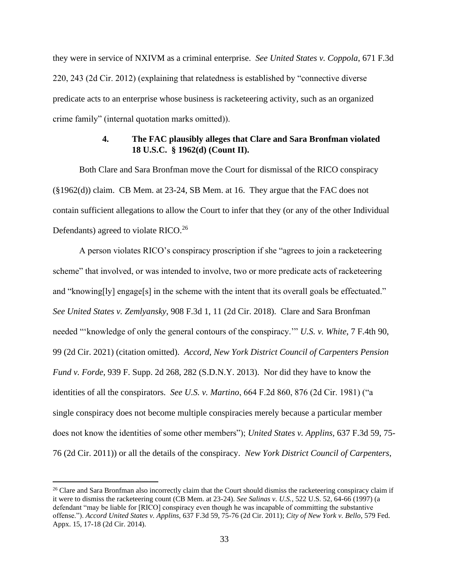they were in service of NXIVM as a criminal enterprise. *See United States v. Coppola*, 671 F.3d 220, 243 (2d Cir. 2012) (explaining that relatedness is established by "connective diverse predicate acts to an enterprise whose business is racketeering activity, such as an organized crime family" (internal quotation marks omitted)).

## **4. The FAC plausibly alleges that Clare and Sara Bronfman violated 18 U.S.C. § 1962(d) (Count II).**

Both Clare and Sara Bronfman move the Court for dismissal of the RICO conspiracy (§1962(d)) claim. CB Mem. at 23-24, SB Mem. at 16. They argue that the FAC does not contain sufficient allegations to allow the Court to infer that they (or any of the other Individual Defendants) agreed to violate RICO.<sup>26</sup>

A person violates RICO's conspiracy proscription if she "agrees to join a racketeering scheme" that involved, or was intended to involve, two or more predicate acts of racketeering and "knowing[ly] engage[s] in the scheme with the intent that its overall goals be effectuated." *See United States v. Zemlyansky*, 908 F.3d 1, 11 (2d Cir. 2018). Clare and Sara Bronfman needed "'knowledge of only the general contours of the conspiracy.'" *U.S. v. White*, 7 F.4th 90, 99 (2d Cir. 2021) (citation omitted). *Accord, New York District Council of Carpenters Pension Fund v. Forde*, 939 F. Supp. 2d 268, 282 (S.D.N.Y. 2013). Nor did they have to know the identities of all the conspirators. *See U.S. v. Martino*, 664 F.2d 860, 876 (2d Cir. 1981) ("a single conspiracy does not become multiple conspiracies merely because a particular member does not know the identities of some other members"); *[United States v. Applins,](https://1.next.westlaw.com/Link/Document/FullText?findType=Y&serNum=2024682740&pubNum=0000506&originatingDoc=I6c581918382711e490d4edf60ce7d742&refType=RP&fi=co_pp_sp_506_76&originationContext=document&transitionType=DocumentItem&ppcid=8ae19cca8e4a44c080cc1d09a1767644&contextData=(sc.Keycite)#co_pp_sp_506_76)* 637 F.3d 59, 75- [76 \(2d Cir. 2011\)\)](https://1.next.westlaw.com/Link/Document/FullText?findType=Y&serNum=2024682740&pubNum=0000506&originatingDoc=I6c581918382711e490d4edf60ce7d742&refType=RP&fi=co_pp_sp_506_76&originationContext=document&transitionType=DocumentItem&ppcid=8ae19cca8e4a44c080cc1d09a1767644&contextData=(sc.Keycite)#co_pp_sp_506_76) or all the details of the conspiracy. *New York District Council of Carpenters*,

 $26$  Clare and Sara Bronfman also incorrectly claim that the Court should dismiss the racketeering conspiracy claim if it were to dismiss the racketeering count (CB Mem. at 23-24). *See Salinas v. U.S.*, 522 U.S. 52, 64-66 (1997) (a defendant "may be liable for [RICO] conspiracy even though he was incapable of committing the substantive offense."). *Accord United States v. Applins,* [637 F.3d 59, 75-76 \(2d Cir. 2011\);](https://1.next.westlaw.com/Link/Document/FullText?findType=Y&serNum=2024682740&pubNum=0000506&originatingDoc=I6c581918382711e490d4edf60ce7d742&refType=RP&fi=co_pp_sp_506_76&originationContext=document&transitionType=DocumentItem&ppcid=8ae19cca8e4a44c080cc1d09a1767644&contextData=(sc.Keycite)#co_pp_sp_506_76) *City of New York v. Bello*, 579 Fed. Appx. 15, 17-18 (2d Cir. 2014).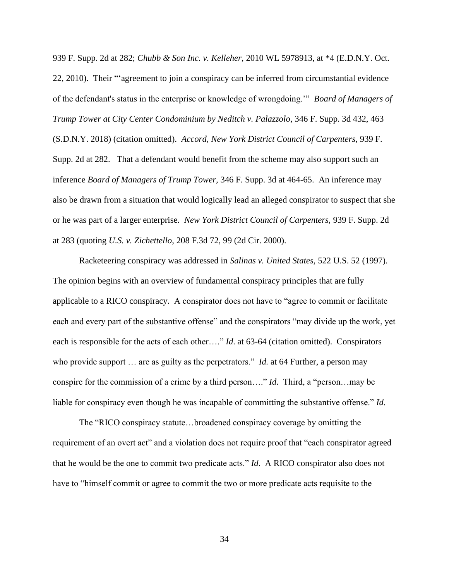939 F. Supp. 2d at 282; *Chubb & Son Inc. v. Kelleher*, 2010 WL 5978913, at \*4 (E.D.N.Y. Oct. 22, 2010). Their "'agreement to join a conspiracy can be inferred from circumstantial evidence of the defendant's status in the enterprise or knowledge of wrongdoing.'" *Board of Managers of Trump Tower at City Center Condominium by Neditch v. Palazzolo*, 346 F. Supp. 3d 432, 463 (S.D.N.Y. 2018) (citation omitted). *Accord, New York District Council of Carpenters*, 939 F. Supp. 2d at 282. That a defendant would benefit from the scheme may also support such an inference *Board of Managers of Trump Tower,* 346 F. Supp. 3d at 464-65. An inference may also be drawn from a situation that would logically lead an alleged conspirator to suspect that she or he was part of a larger enterprise. *New York District Council of Carpenters,* 939 F. Supp. 2d at 283 (quoting *U.S. v. Zichettello*, 208 F.3d 72, 99 (2d Cir. 2000).

Racketeering conspiracy was addressed in *[Salinas v. United States,](https://1.next.westlaw.com/Link/Document/FullText?findType=Y&serNum=1997235114&pubNum=0000708&originatingDoc=I9cafed9e8bbf11d9af17b5c9441c4c47&refType=RP&originationContext=document&transitionType=DocumentItem&ppcid=73e08157b8e547bbbfc1ab6cd9af0f54&contextData=(sc.Folder*cid.6b82cc7a23ee48b982cc1a6369b47da7*oc.DocLink))* 522 U.S. 52 (1997). The opinion begins with an overview of fundamental conspiracy principles that are fully applicable to a RICO conspiracy. A conspirator does not have to "agree to commit or facilitate each and every part of the substantive offense" and the conspirators "may divide up the work, yet each is responsible for the acts of each other…." *Id*. at 63-64 (citation omitted). Conspirators who provide support ... are as guilty as the perpetrators." *Id.* at 64 Further, a person may conspire for the commission of a crime by a third person…." *Id*. Third, a "person…may be liable for conspiracy even though he was incapable of committing the substantive offense." *Id*.

The "RICO conspiracy statute…broadened conspiracy coverage by omitting the requirement of an overt act" and a violation does not require proof that "each conspirator agreed that he would be the one to commit two predicate acts." *Id*. A RICO conspirator also does not have to "himself commit or agree to commit the two or more predicate acts requisite to the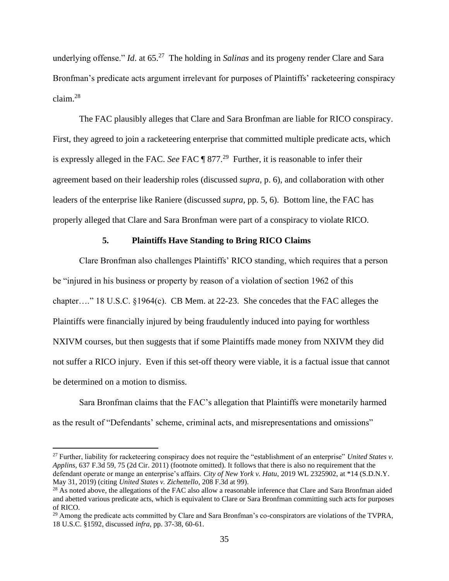underlying offense." *Id.* at 65.<sup>27</sup> The holding in *Salinas* and its progeny render Clare and Sara Bronfman's predicate acts argument irrelevant for purposes of Plaintiffs' racketeering conspiracy claim.<sup>28</sup>

The FAC plausibly alleges that Clare and Sara Bronfman are liable for RICO conspiracy. First, they agreed to join a racketeering enterprise that committed multiple predicate acts, which is expressly alleged in the FAC. *See* FAC ¶ 877.<sup>29</sup> Further, it is reasonable to infer their agreement based on their leadership roles (discussed *supra,* p. 6), and collaboration with other leaders of the enterprise like Raniere (discussed *supra,* pp. 5, 6). Bottom line, the FAC has properly alleged that Clare and Sara Bronfman were part of a conspiracy to violate RICO.

## **5. Plaintiffs Have Standing to Bring RICO Claims**

Clare Bronfman also challenges Plaintiffs' RICO standing, which requires that a person be "injured in his business or property by reason of a violation of section 1962 of this chapter…." 18 U.S.C. §1964(c). CB Mem. at 22-23. She concedes that the FAC alleges the Plaintiffs were financially injured by being fraudulently induced into paying for worthless NXIVM courses, but then suggests that if some Plaintiffs made money from NXIVM they did not suffer a RICO injury. Even if this set-off theory were viable, it is a factual issue that cannot be determined on a motion to dismiss.

Sara Bronfman claims that the FAC's allegation that Plaintiffs were monetarily harmed as the result of "Defendants' scheme, criminal acts, and misrepresentations and omissions"

<sup>27</sup> Further, liability for racketeering conspiracy does not require the "establishment of an enterprise" *[United States v.](https://1.next.westlaw.com/Link/Document/FullText?findType=Y&serNum=2024682740&pubNum=0000506&originatingDoc=I6c581918382711e490d4edf60ce7d742&refType=RP&fi=co_pp_sp_506_76&originationContext=document&transitionType=DocumentItem&ppcid=8ae19cca8e4a44c080cc1d09a1767644&contextData=(sc.Keycite)#co_pp_sp_506_76)  Applins,* [637 F.3d 59, 75 \(2d Cir. 2011\)](https://1.next.westlaw.com/Link/Document/FullText?findType=Y&serNum=2024682740&pubNum=0000506&originatingDoc=I6c581918382711e490d4edf60ce7d742&refType=RP&fi=co_pp_sp_506_76&originationContext=document&transitionType=DocumentItem&ppcid=8ae19cca8e4a44c080cc1d09a1767644&contextData=(sc.Keycite)#co_pp_sp_506_76) (footnote omitted). It follows that there is also no requirement that the defendant operate or mange an enterprise's affairs. *City of New York v. Hatu*, 2019 WL 2325902, at \*14 (S.D.N.Y. May 31, 2019) (citing *[United States v. Zichettello](https://1.next.westlaw.com/Link/Document/FullText?findType=Y&serNum=2000088926&pubNum=0000506&originatingDoc=I4778a05085c511e9a3ecec4a01914b9c&refType=RP&fi=co_pp_sp_506_99&originationContext=document&transitionType=DocumentItem&ppcid=d618981d37b14569adc6439f2d94b4e1&contextData=(sc.Keycite)#co_pp_sp_506_99)*, 208 F.3d at 99).

<sup>&</sup>lt;sup>28</sup> As noted above, the allegations of the FAC also allow a reasonable inference that Clare and Sara Bronfman aided and abetted various predicate acts, which is equivalent to Clare or Sara Bronfman committing such acts for purposes of RICO.

<sup>&</sup>lt;sup>29</sup> Among the predicate acts committed by Clare and Sara Bronfman's co-conspirators are violations of the TVPRA, 18 U.S.C. §1592, discussed *infra*, pp. 37-38, 60-61.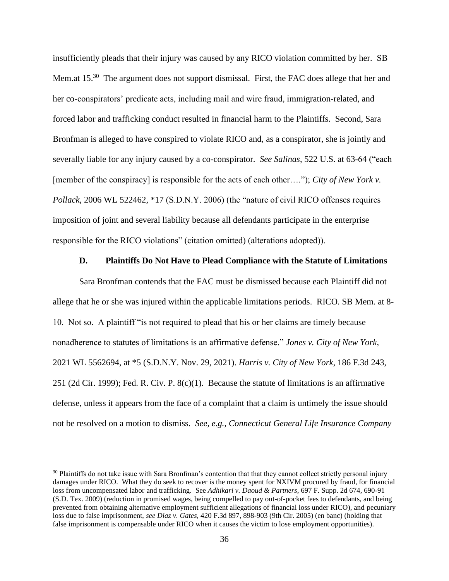insufficiently pleads that their injury was caused by any RICO violation committed by her. SB Mem.at 15.<sup>30</sup> The argument does not support dismissal. First, the FAC does allege that her and her co-conspirators' predicate acts, including mail and wire fraud, immigration-related, and forced labor and trafficking conduct resulted in financial harm to the Plaintiffs. Second, Sara Bronfman is alleged to have conspired to violate RICO and, as a conspirator, she is jointly and severally liable for any injury caused by a co-conspirator. *See Salinas*, 522 U.S. at 63-64 ("each [member of the conspiracy] is responsible for the acts of each other…."); *City of New York v. Pollack*, 2006 WL 522462, \*17 (S.D.N.Y. 2006) (the "nature of civil RICO offenses requires imposition of joint and several liability because all defendants participate in the enterprise responsible for the RICO violations" (citation omitted) (alterations adopted)).

#### **D. Plaintiffs Do Not Have to Plead Compliance with the Statute of Limitations**

Sara Bronfman contends that the FAC must be dismissed because each Plaintiff did not allege that he or she was injured within the applicable limitations periods. RICO. SB Mem. at 8- 10. Not so. A plaintiff "is not required to plead that his or her claims are timely because nonadherence to statutes of limitations is an affirmative defense." *Jones v. City of New York*, 2021 WL 5562694, at \*5 (S.D.N.Y. Nov. 29, 2021). *Harris v. City of New York*, 186 F.3d 243, 251 (2d Cir. 1999); Fed. R. Civ. P. 8(c)(1). Because the statute of limitations is an affirmative defense, unless it appears from the face of a complaint that a claim is untimely the issue should not be resolved on a motion to dismiss. *See, e*.*g.*, *[Connecticut General Life Insurance Company](https://1.next.westlaw.com/Document/Ie37506d06bcc11ebae408ff11f155a05/View/FullText.html?listSource=Search&navigationPath=Search%2fv1%2fresults%2fnavigation%2fi0ad62af00000017f46c38ab17a12f6b0%3fppcid%3dc46ff92c0821462fa0a22b372bc5261d%26Nav%3dCASE%26fragmentIdentifier%3dIe37506d06bcc11ebae408ff11f155a05%26parentRank%3d0%26startIndex%3d1%26contextData%3d%2528sc.Search%2529%26transitionType%3dSearchItem&list=CASE&rank=3&listPageSource=4cf1f19f25a0f4ae0c5b72fdb9c34e04&originationContext=docHeader&contextData=(sc.Search)&transitionType=Document&needToInjectTerms=False&enableBestPortion=True&docSource=eea4a75d628f403a89f2ee2e3aae760a)* 

 $30$  Plaintiffs do not take issue with Sara Bronfman's contention that that they cannot collect strictly personal injury damages under RICO. What they do seek to recover is the money spent for NXIVM procured by fraud, for financial loss from uncompensated labor and trafficking. See *Adhikari v. Daoud & Partners*, 697 F. Supp. 2d 674, 690-91 (S.D. Tex. 2009) (reduction in promised wages, being compelled to pay out-of-pocket fees to defendants, and being prevented from obtaining alternative employment sufficient allegations of financial loss under RICO), and pecuniary loss due to false imprisonment, *see Diaz v. Gates*, 420 F.3d 897, 898-903 (9th Cir. 2005) (en banc) (holding that false imprisonment is compensable under RICO when it causes the victim to lose employment opportunities).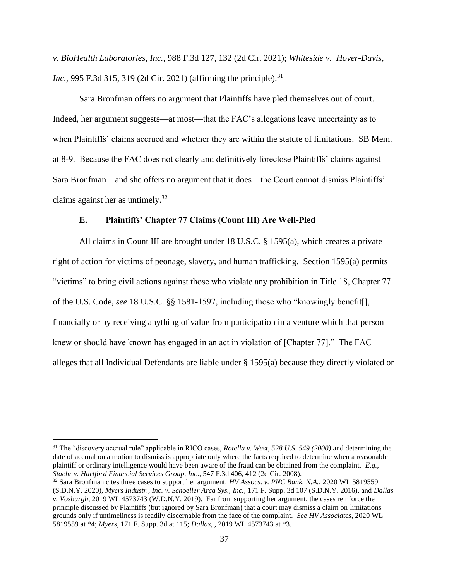*[v. BioHealth Laboratories, Inc.](https://1.next.westlaw.com/Document/Ie37506d06bcc11ebae408ff11f155a05/View/FullText.html?listSource=Search&navigationPath=Search%2fv1%2fresults%2fnavigation%2fi0ad62af00000017f46c38ab17a12f6b0%3fppcid%3dc46ff92c0821462fa0a22b372bc5261d%26Nav%3dCASE%26fragmentIdentifier%3dIe37506d06bcc11ebae408ff11f155a05%26parentRank%3d0%26startIndex%3d1%26contextData%3d%2528sc.Search%2529%26transitionType%3dSearchItem&list=CASE&rank=3&listPageSource=4cf1f19f25a0f4ae0c5b72fdb9c34e04&originationContext=docHeader&contextData=(sc.Search)&transitionType=Document&needToInjectTerms=False&enableBestPortion=True&docSource=eea4a75d628f403a89f2ee2e3aae760a)*, 988 F.3d 127, 132 (2d Cir. 2021); *Whiteside v. Hover-Davis, Inc.*, 995 F.3d 315, 319 (2d Cir. 2021) (affirming the principle).<sup>31</sup>

Sara Bronfman offers no argument that Plaintiffs have pled themselves out of court. Indeed, her argument suggests—at most—that the FAC's allegations leave uncertainty as to when Plaintiffs' claims accrued and whether they are within the statute of limitations. SB Mem. at 8-9. Because the FAC does not clearly and definitively foreclose Plaintiffs' claims against Sara Bronfman—and she offers no argument that it does—the Court cannot dismiss Plaintiffs' claims against her as untimely.<sup>32</sup>

### **E. Plaintiffs' Chapter 77 Claims (Count III) Are Well-Pled**

All claims in Count III are brought under 18 U.S.C. § 1595(a), which creates a private right of action for victims of peonage, slavery, and human trafficking. Section 1595(a) permits "victims" to bring civil actions against those who violate any prohibition in Title 18, Chapter 77 of the U.S. Code, *see* 18 U.S.C. §§ 1581-1597, including those who "knowingly benefit[], financially or by receiving anything of value from participation in a venture which that person knew or should have known has engaged in an act in violation of [Chapter 77]." The FAC alleges that all Individual Defendants are liable under § 1595(a) because they directly violated or

<sup>31</sup> The "discovery accrual rule" applicable in RICO cases, *Rotella v. West, 528 U.S. 549 (2000)* and determining the date of accrual on a motion to dismiss is appropriate only where the facts required to determine when a reasonable plaintiff or ordinary intelligence would have been aware of the fraud can be obtained from the complaint. *E.g., Staehr v. Hartford Financial Services Group, Inc*., 547 F.3d 406, 412 (2d Cir. 2008).

<sup>32</sup> Sara Bronfman cites three cases to support her argument: *HV Assocs. v. PNC Bank, N.A.*, 2020 WL 5819559 (S.D.N.Y. 2020), *Myers Industr., Inc. v. Schoeller Arca Sys., Inc.*, 171 F. Supp. 3d 107 (S.D.N.Y. 2016), and *Dallas v. Vosburgh*, 2019 WL 4573743 (W.D.N.Y. 2019). Far from supporting her argument, the cases reinforce the principle discussed by Plaintiffs (but ignored by Sara Bronfman) that a court may dismiss a claim on limitations grounds only if untimeliness is readily discernable from the face of the complaint. *See HV Associates*, 2020 WL 5819559 at \*4; *Myers*, 171 F. Supp. 3d at 115; *Dallas*, , 2019 WL 4573743 at \*3.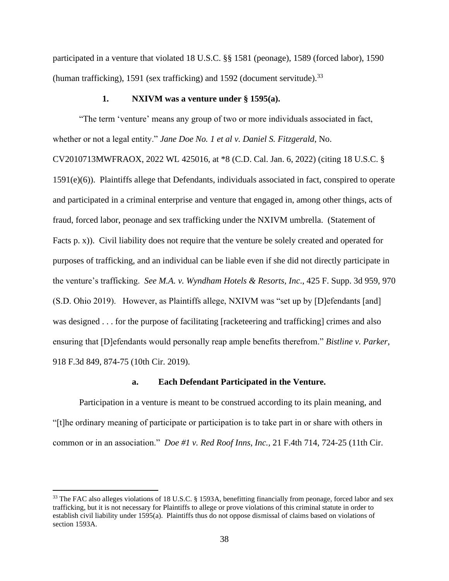participated in a venture that violated 18 U.S.C. §§ 1581 (peonage), 1589 (forced labor), 1590 (human trafficking), 1591 (sex trafficking) and 1592 (document servitude).<sup>33</sup>

### **1. NXIVM was a venture under § 1595(a).**

"The term 'venture' means any group of two or more individuals associated in fact, whether or not a legal entity." *Jane Doe No. 1 et al v. Daniel S. Fitzgerald*, No. CV2010713MWFRAOX, 2022 WL 425016, at \*8 (C.D. Cal. Jan. 6, 2022) (citing 18 U.S.C. §

1591(e)(6)). Plaintiffs allege that Defendants, individuals associated in fact, conspired to operate and participated in a criminal enterprise and venture that engaged in, among other things, acts of fraud, forced labor, peonage and sex trafficking under the NXIVM umbrella. (Statement of Facts p. x)). Civil liability does not require that the venture be solely created and operated for purposes of trafficking, and an individual can be liable even if she did not directly participate in the venture's trafficking. *See M.A. v. Wyndham Hotels & Resorts, Inc*., 425 F. Supp. 3d 959, 970 (S.D. Ohio 2019). However, as Plaintiffs allege, NXIVM was "set up by [D]efendants [and] was designed . . . for the purpose of facilitating [racketeering and trafficking] crimes and also ensuring that [D]efendants would personally reap ample benefits therefrom." *Bistline v. Parker*, 918 F.3d 849, 874-75 (10th Cir. 2019).

### **a. Each Defendant Participated in the Venture.**

Participation in a venture is meant to be construed according to its plain meaning, and "[t]he ordinary meaning of participate or participation is to take part in or share with others in common or in an association." *Doe #1 v. Red Roof Inns, Inc.,* 21 F.4th 714, 724-25 (11th Cir.

<sup>&</sup>lt;sup>33</sup> The FAC also alleges violations of 18 U.S.C. § 1593A, benefitting financially from peonage, forced labor and sex trafficking, but it is not necessary for Plaintiffs to allege or prove violations of this criminal statute in order to establish civil liability under 1595(a). Plaintiffs thus do not oppose dismissal of claims based on violations of section 1593A.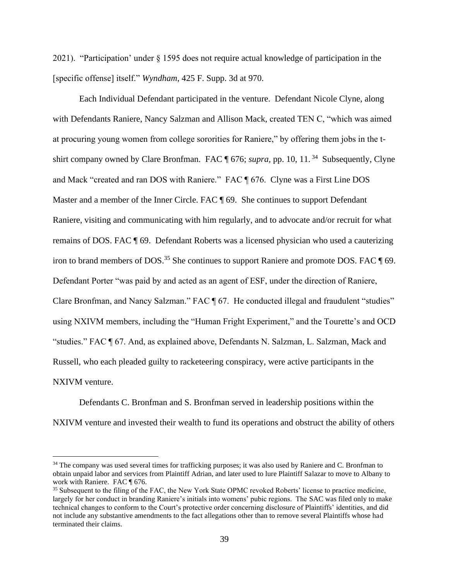2021). "Participation' under § 1595 does not require actual knowledge of participation in the [specific offense] itself." *Wyndham*, 425 F. Supp. 3d at 970.

Each Individual Defendant participated in the venture. Defendant Nicole Clyne, along with Defendants Raniere, Nancy Salzman and Allison Mack, created TEN C, "which was aimed at procuring young women from college sororities for Raniere," by offering them jobs in the tshirt company owned by Clare Bronfman. FAC ¶ 676; *supra*, pp. 10, 11.<sup>34</sup> Subsequently, Clyne and Mack "created and ran DOS with Raniere." FAC ¶ 676. Clyne was a First Line DOS Master and a member of the Inner Circle. FAC  $\parallel$  69. She continues to support Defendant Raniere, visiting and communicating with him regularly, and to advocate and/or recruit for what remains of DOS. FAC ¶ 69. Defendant Roberts was a licensed physician who used a cauterizing iron to brand members of DOS.<sup>35</sup> She continues to support Raniere and promote DOS. FAC  $\P$  69. Defendant Porter "was paid by and acted as an agent of ESF, under the direction of Raniere, Clare Bronfman, and Nancy Salzman." FAC ¶ 67. He conducted illegal and fraudulent "studies" using NXIVM members, including the "Human Fright Experiment," and the Tourette's and OCD "studies." FAC ¶ 67. And, as explained above, Defendants N. Salzman, L. Salzman, Mack and Russell, who each pleaded guilty to racketeering conspiracy, were active participants in the NXIVM venture.

Defendants C. Bronfman and S. Bronfman served in leadership positions within the NXIVM venture and invested their wealth to fund its operations and obstruct the ability of others

<sup>&</sup>lt;sup>34</sup> The company was used several times for trafficking purposes; it was also used by Raniere and C. Bronfman to obtain unpaid labor and services from Plaintiff Adrian, and later used to lure Plaintiff Salazar to move to Albany to work with Raniere. FAC ¶ 676.

<sup>&</sup>lt;sup>35</sup> Subsequent to the filing of the FAC, the New York State OPMC revoked Roberts' license to practice medicine, largely for her conduct in branding Raniere's initials into womens' pubic regions. The SAC was filed only to make technical changes to conform to the Court's protective order concerning disclosure of Plaintiffs' identities, and did not include any substantive amendments to the fact allegations other than to remove several Plaintiffs whose had terminated their claims.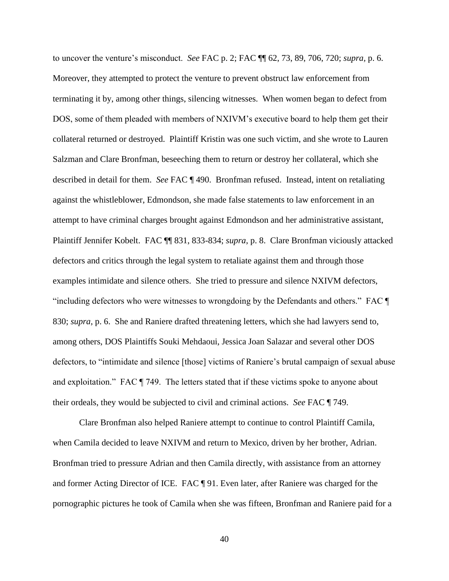to uncover the venture's misconduct. *See* FAC p. 2; FAC ¶¶ 62, 73, 89, 706, 720; *supra,* p. 6. Moreover, they attempted to protect the venture to prevent obstruct law enforcement from terminating it by, among other things, silencing witnesses. When women began to defect from DOS, some of them pleaded with members of NXIVM's executive board to help them get their collateral returned or destroyed. Plaintiff Kristin was one such victim, and she wrote to Lauren Salzman and Clare Bronfman, beseeching them to return or destroy her collateral, which she described in detail for them. *See* FAC ¶ 490. Bronfman refused. Instead, intent on retaliating against the whistleblower, Edmondson, she made false statements to law enforcement in an attempt to have criminal charges brought against Edmondson and her administrative assistant, Plaintiff Jennifer Kobelt. FAC ¶¶ 831, 833-834; *supra*, p. 8. Clare Bronfman viciously attacked defectors and critics through the legal system to retaliate against them and through those examples intimidate and silence others. She tried to pressure and silence NXIVM defectors, "including defectors who were witnesses to wrongdoing by the Defendants and others." FAC ¶ 830; *supra*, p. 6. She and Raniere drafted threatening letters, which she had lawyers send to, among others, DOS Plaintiffs Souki Mehdaoui, Jessica Joan Salazar and several other DOS defectors, to "intimidate and silence [those] victims of Raniere's brutal campaign of sexual abuse and exploitation." FAC ¶ 749. The letters stated that if these victims spoke to anyone about their ordeals, they would be subjected to civil and criminal actions. *See* FAC ¶ 749.

Clare Bronfman also helped Raniere attempt to continue to control Plaintiff Camila, when Camila decided to leave NXIVM and return to Mexico, driven by her brother, Adrian. Bronfman tried to pressure Adrian and then Camila directly, with assistance from an attorney and former Acting Director of ICE. FAC ¶ 91. Even later, after Raniere was charged for the pornographic pictures he took of Camila when she was fifteen, Bronfman and Raniere paid for a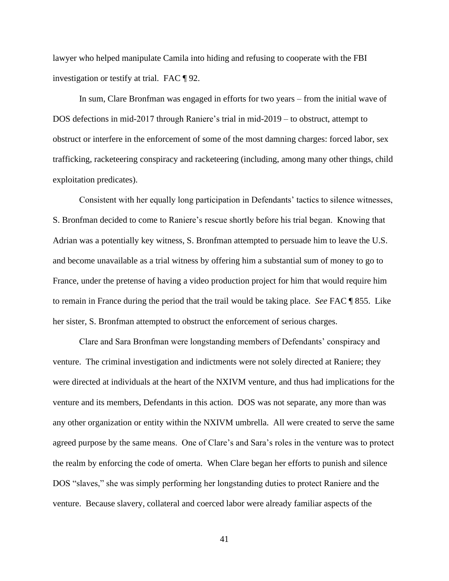lawyer who helped manipulate Camila into hiding and refusing to cooperate with the FBI investigation or testify at trial. FAC ¶ 92.

In sum, Clare Bronfman was engaged in efforts for two years – from the initial wave of DOS defections in mid-2017 through Raniere's trial in mid-2019 – to obstruct, attempt to obstruct or interfere in the enforcement of some of the most damning charges: forced labor, sex trafficking, racketeering conspiracy and racketeering (including, among many other things, child exploitation predicates).

Consistent with her equally long participation in Defendants' tactics to silence witnesses, S. Bronfman decided to come to Raniere's rescue shortly before his trial began. Knowing that Adrian was a potentially key witness, S. Bronfman attempted to persuade him to leave the U.S. and become unavailable as a trial witness by offering him a substantial sum of money to go to France, under the pretense of having a video production project for him that would require him to remain in France during the period that the trail would be taking place. *See* FAC ¶ 855. Like her sister, S. Bronfman attempted to obstruct the enforcement of serious charges.

Clare and Sara Bronfman were longstanding members of Defendants' conspiracy and venture. The criminal investigation and indictments were not solely directed at Raniere; they were directed at individuals at the heart of the NXIVM venture, and thus had implications for the venture and its members, Defendants in this action. DOS was not separate, any more than was any other organization or entity within the NXIVM umbrella. All were created to serve the same agreed purpose by the same means. One of Clare's and Sara's roles in the venture was to protect the realm by enforcing the code of omerta. When Clare began her efforts to punish and silence DOS "slaves," she was simply performing her longstanding duties to protect Raniere and the venture. Because slavery, collateral and coerced labor were already familiar aspects of the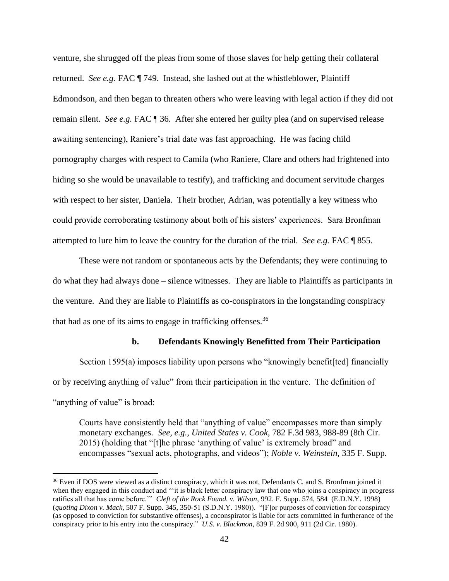venture, she shrugged off the pleas from some of those slaves for help getting their collateral returned. *See e.g.* FAC ¶ 749. Instead, she lashed out at the whistleblower, Plaintiff Edmondson, and then began to threaten others who were leaving with legal action if they did not remain silent. *See e.g.* FAC ¶ 36. After she entered her guilty plea (and on supervised release awaiting sentencing), Raniere's trial date was fast approaching. He was facing child pornography charges with respect to Camila (who Raniere, Clare and others had frightened into hiding so she would be unavailable to testify), and trafficking and document servitude charges with respect to her sister, Daniela. Their brother, Adrian, was potentially a key witness who could provide corroborating testimony about both of his sisters' experiences. Sara Bronfman attempted to lure him to leave the country for the duration of the trial. *See e.g.* FAC ¶ 855.

These were not random or spontaneous acts by the Defendants; they were continuing to do what they had always done – silence witnesses. They are liable to Plaintiffs as participants in the venture. And they are liable to Plaintiffs as co-conspirators in the longstanding conspiracy that had as one of its aims to engage in trafficking offenses.<sup>36</sup>

#### **b. Defendants Knowingly Benefitted from Their Participation**

Section 1595(a) imposes liability upon persons who "knowingly benefit [ted] financially or by receiving anything of value" from their participation in the venture. The definition of "anything of value" is broad:

Courts have consistently held that "anything of value" encompasses more than simply monetary exchanges. *See, e.g., United States v. Cook*, 782 F.3d 983, 988-89 (8th Cir. 2015) (holding that "[t]he phrase 'anything of value' is extremely broad" and encompasses "sexual acts, photographs, and videos"); *Noble v. Weinstein*, 335 F. Supp.

<sup>&</sup>lt;sup>36</sup> Even if DOS were viewed as a distinct conspiracy, which it was not, Defendants C. and S. Bronfman joined it when they engaged in this conduct and ""it is black letter conspiracy law that one who joins a conspiracy in progress ratifies all that has come before.'" *Cleft of the Rock Found. v. Wilson*, 992. F. Supp. 574, 584 (E.D.N.Y. 1998) (*quoting Dixon v. Mack*, 507 F. Supp. 345, 350-51 (S.D.N.Y. 1980)). "[F]or purposes of conviction for conspiracy (as opposed to conviction for substantive offenses), a coconspirator is liable for acts committed in furtherance of the conspiracy prior to his entry into the conspiracy." *U.S. v. Blackmon*, 839 F. 2d 900, 911 (2d Cir. 1980).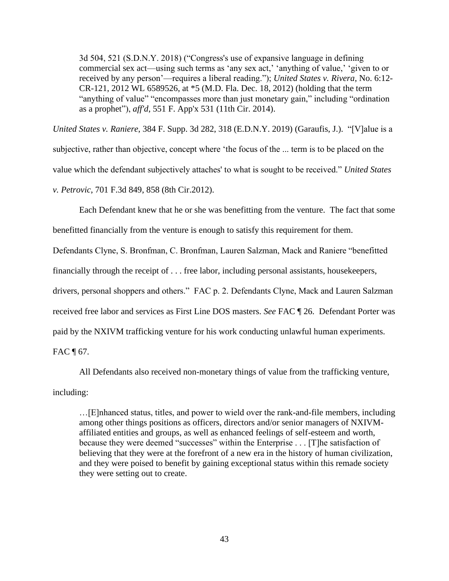3d 504, 521 (S.D.N.Y. 2018) ("Congress's use of expansive language in defining commercial sex act—using such terms as 'any sex act,' 'anything of value,' 'given to or received by any person'—requires a liberal reading."); *United States v. Rivera*, No. 6:12- CR-121, 2012 WL 6589526, at \*5 (M.D. Fla. Dec. 18, 2012) (holding that the term "anything of value" "encompasses more than just monetary gain," including "ordination as a prophet"), *aff'd*, 551 F. App'x 531 (11th Cir. 2014).

*United States v. Raniere*, 384 F. Supp. 3d 282, 318 (E.D.N.Y. 2019) (Garaufis, J.). "[V]alue is a subjective, rather than objective, concept where 'the focus of the ... term is to be placed on the value which the defendant subjectively attaches' to what is sought to be received." *United States v. Petrovic*, 701 F.3d 849, 858 (8th Cir.2012).

Each Defendant knew that he or she was benefitting from the venture. The fact that some benefitted financially from the venture is enough to satisfy this requirement for them.

Defendants Clyne, S. Bronfman, C. Bronfman, Lauren Salzman, Mack and Raniere "benefitted

financially through the receipt of . . . free labor, including personal assistants, housekeepers,

drivers, personal shoppers and others." FAC p. 2. Defendants Clyne, Mack and Lauren Salzman

received free labor and services as First Line DOS masters. *See* FAC ¶ 26. Defendant Porter was

paid by the NXIVM trafficking venture for his work conducting unlawful human experiments.

FAC  $\P$  67.

All Defendants also received non-monetary things of value from the trafficking venture,

including:

…[E]nhanced status, titles, and power to wield over the rank-and-file members, including among other things positions as officers, directors and/or senior managers of NXIVMaffiliated entities and groups, as well as enhanced feelings of self-esteem and worth, because they were deemed "successes" within the Enterprise . . . [T]he satisfaction of believing that they were at the forefront of a new era in the history of human civilization, and they were poised to benefit by gaining exceptional status within this remade society they were setting out to create.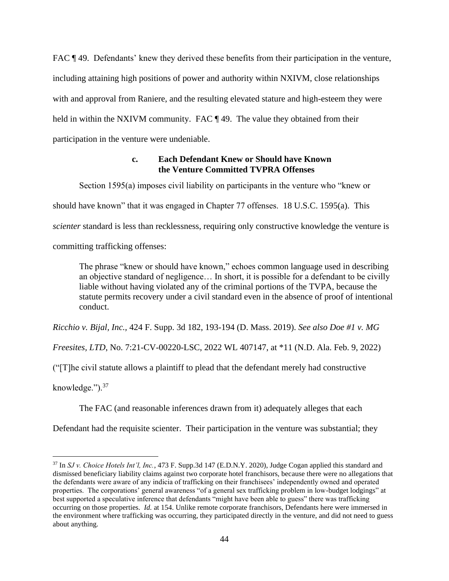FAC ¶49. Defendants' knew they derived these benefits from their participation in the venture, including attaining high positions of power and authority within NXIVM, close relationships with and approval from Raniere, and the resulting elevated stature and high-esteem they were held in within the NXIVM community. FAC ¶ 49. The value they obtained from their participation in the venture were undeniable.

## **c. Each Defendant Knew or Should have Known the Venture Committed TVPRA Offenses**

Section 1595(a) imposes civil liability on participants in the venture who "knew or

should have known" that it was engaged in Chapter 77 offenses. 18 U.S.C. 1595(a). This

*scienter* standard is less than recklessness, requiring only constructive knowledge the venture is

committing trafficking offenses:

The phrase "knew or should have known," echoes common language used in describing an objective standard of negligence… In short, it is possible for a defendant to be civilly liable without having violated any of the criminal portions of the TVPA, because the statute permits recovery under a civil standard even in the absence of proof of intentional conduct.

*Ricchio v. Bijal, Inc.,* 424 F. Supp. 3d 182, 193-194 (D. Mass. 2019). *See also Doe #1 v. MG* 

*Freesites, LTD*, No. 7:21-CV-00220-LSC, 2022 WL 407147, at \*11 (N.D. Ala. Feb. 9, 2022)

("[T]he civil statute allows a plaintiff to plead that the defendant merely had constructive

knowledge." $)^{37}$ 

The FAC (and reasonable inferences drawn from it) adequately alleges that each

Defendant had the requisite scienter. Their participation in the venture was substantial; they

<sup>37</sup> In *SJ v. Choice Hotels Int'l, Inc.*, 473 F. Supp.3d 147 (E.D.N.Y. 2020), Judge Cogan applied this standard and dismissed beneficiary liability claims against two corporate hotel franchisors, because there were no allegations that the defendants were aware of any indicia of trafficking on their franchisees' independently owned and operated properties. The corporations' general awareness "of a general sex trafficking problem in low-budget lodgings" at best supported a speculative inference that defendants "might have been able to guess" there was trafficking occurring on those properties. *Id.* at 154. Unlike remote corporate franchisors, Defendants here were immersed in the environment where trafficking was occurring, they participated directly in the venture, and did not need to guess about anything.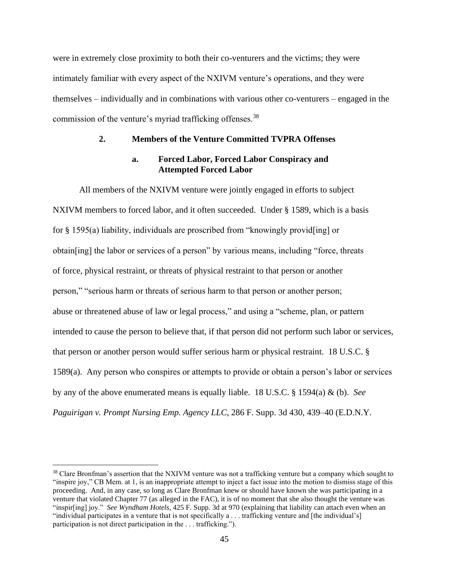were in extremely close proximity to both their co-venturers and the victims; they were intimately familiar with every aspect of the NXIVM venture's operations, and they were themselves – individually and in combinations with various other co-venturers – engaged in the commission of the venture's myriad trafficking offenses.<sup>38</sup>

### **2. Members of the Venture Committed TVPRA Offenses**

### **a. Forced Labor, Forced Labor Conspiracy and Attempted Forced Labor**

All members of the NXIVM venture were jointly engaged in efforts to subject NXIVM members to forced labor, and it often succeeded. Under § 1589, which is a basis for § 1595(a) liability, individuals are proscribed from "knowingly provid[ing] or obtain[ing] the labor or services of a person" by various means, including "force, threats of force, physical restraint, or threats of physical restraint to that person or another person," "serious harm or threats of serious harm to that person or another person; abuse or threatened abuse of law or legal process," and using a "scheme, plan, or pattern intended to cause the person to believe that, if that person did not perform such labor or services, that person or another person would suffer serious harm or physical restraint. 18 U.S.C. § 1589(a). Any person who conspires or attempts to provide or obtain a person's labor or services by any of the above enumerated means is equally liable. 18 U.S.C. § 1594(a) & (b). *See Paguirigan v. Prompt Nursing Emp. Agency LLC*, 286 F. Supp. 3d 430, 439–40 (E.D.N.Y.

 $38$  Clare Bronfman's assertion that the NXIVM venture was not a trafficking venture but a company which sought to "inspire joy," CB Mem. at 1, is an inappropriate attempt to inject a fact issue into the motion to dismiss stage of this proceeding. And, in any case, so long as Clare Bronfman knew or should have known she was participating in a venture that violated Chapter 77 (as alleged in the FAC), it is of no moment that she also thought the venture was "inspir[ing] joy." *See Wyndham Hotels*, 425 F. Supp. 3d at 970 (explaining that liability can attach even when an "individual participates in a venture that is not specifically a . . . trafficking venture and [the individual's] participation is not direct participation in the . . . trafficking.").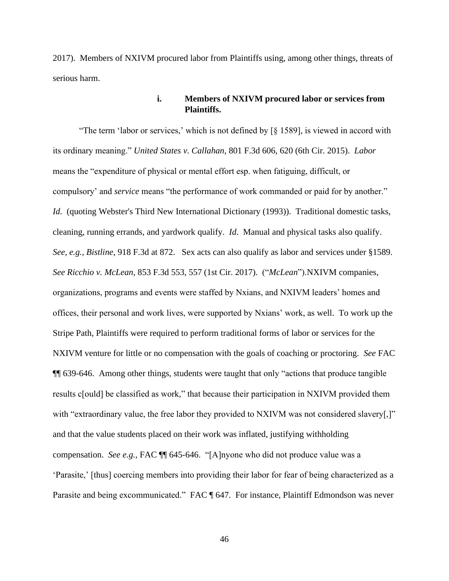2017). Members of NXIVM procured labor from Plaintiffs using, among other things, threats of serious harm.

## **i. Members of NXIVM procured labor or services from Plaintiffs.**

"The term 'labor or services,' which is not defined by [§ 1589], is viewed in accord with its ordinary meaning." *United States v. Callahan*, 801 F.3d 606, 620 (6th Cir. 2015). *Labor*  means the "expenditure of physical or mental effort esp. when fatiguing, difficult, or compulsory' and *service* means "the performance of work commanded or paid for by another." *Id.* (quoting Webster's Third New International Dictionary (1993)). Traditional domestic tasks, cleaning, running errands, and yardwork qualify. *Id*. Manual and physical tasks also qualify. *See, e.g., Bistline*, 918 F.3d at 872. Sex acts can also qualify as labor and services under §1589. *See Ricchio v. McLean*, 853 F.3d 553, 557 (1st Cir. 2017). ("*McLean*").NXIVM companies, organizations, programs and events were staffed by Nxians, and NXIVM leaders' homes and offices, their personal and work lives, were supported by Nxians' work, as well. To work up the Stripe Path, Plaintiffs were required to perform traditional forms of labor or services for the NXIVM venture for little or no compensation with the goals of coaching or proctoring. *See* FAC ¶¶ 639-646. Among other things, students were taught that only "actions that produce tangible results c[ould] be classified as work," that because their participation in NXIVM provided them with "extraordinary value, the free labor they provided to NXIVM was not considered slavery[,]" and that the value students placed on their work was inflated, justifying withholding compensation. *See e.g.,* FAC ¶¶ 645-646. "[A]nyone who did not produce value was a 'Parasite,' [thus] coercing members into providing their labor for fear of being characterized as a Parasite and being excommunicated." FAC ¶ 647. For instance, Plaintiff Edmondson was never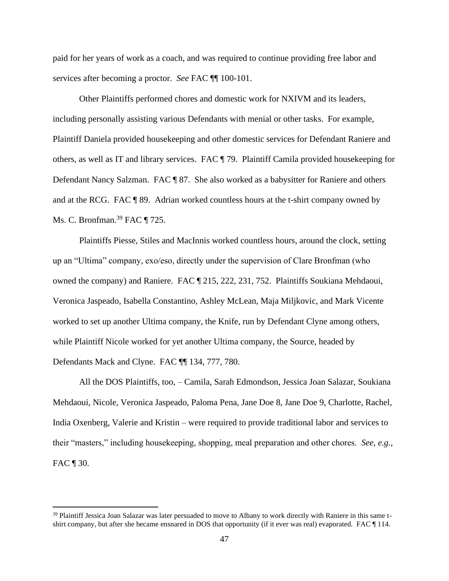paid for her years of work as a coach, and was required to continue providing free labor and services after becoming a proctor. *See* FAC ¶¶ 100-101.

Other Plaintiffs performed chores and domestic work for NXIVM and its leaders, including personally assisting various Defendants with menial or other tasks. For example, Plaintiff Daniela provided housekeeping and other domestic services for Defendant Raniere and others, as well as IT and library services. FAC ¶ 79. Plaintiff Camila provided housekeeping for Defendant Nancy Salzman. FAC ¶ 87. She also worked as a babysitter for Raniere and others and at the RCG. FAC ¶ 89. Adrian worked countless hours at the t-shirt company owned by Ms. C. Bronfman.<sup>39</sup> FAC ¶ 725.

Plaintiffs Piesse, Stiles and MacInnis worked countless hours, around the clock, setting up an "Ultima" company, exo/eso, directly under the supervision of Clare Bronfman (who owned the company) and Raniere. FAC ¶ 215, 222, 231, 752. Plaintiffs Soukiana Mehdaoui, Veronica Jaspeado, Isabella Constantino, Ashley McLean, Maja Miljkovic, and Mark Vicente worked to set up another Ultima company, the Knife, run by Defendant Clyne among others, while Plaintiff Nicole worked for yet another Ultima company, the Source, headed by Defendants Mack and Clyne. FAC ¶¶ 134, 777, 780.

All the DOS Plaintiffs, too, – Camila, Sarah Edmondson, Jessica Joan Salazar, Soukiana Mehdaoui, Nicole, Veronica Jaspeado, Paloma Pena, Jane Doe 8, Jane Doe 9, Charlotte, Rachel, India Oxenberg, Valerie and Kristin – were required to provide traditional labor and services to their "masters," including housekeeping, shopping, meal preparation and other chores. *See, e.g.,*  FAC  $\P$  30.

<sup>&</sup>lt;sup>39</sup> Plaintiff Jessica Joan Salazar was later persuaded to move to Albany to work directly with Raniere in this same tshirt company, but after she became ensnared in DOS that opportunity (if it ever was real) evaporated. FAC ¶ 114.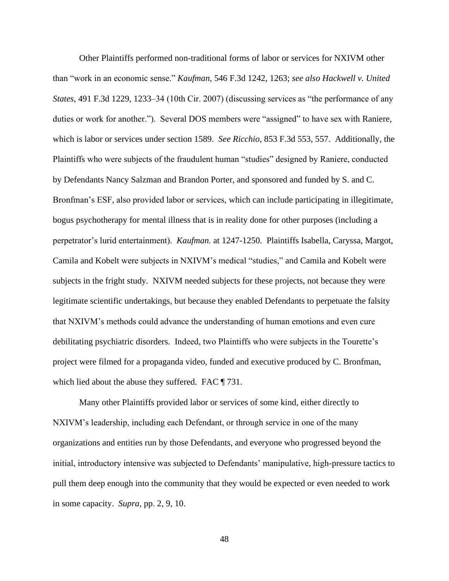Other Plaintiffs performed non-traditional forms of labor or services for NXIVM other than "work in an economic sense." *Kaufman*, 546 F.3d 1242, 1263; *see also Hackwell v. United States*, 491 F.3d 1229, 1233–34 (10th Cir. 2007) (discussing services as "the performance of any duties or work for another."). Several DOS members were "assigned" to have sex with Raniere, which is labor or services under section 1589. *See Ricchio*, 853 F.3d 553, 557. Additionally, the Plaintiffs who were subjects of the fraudulent human "studies" designed by Raniere, conducted by Defendants Nancy Salzman and Brandon Porter, and sponsored and funded by S. and C. Bronfman's ESF, also provided labor or services, which can include participating in illegitimate, bogus psychotherapy for mental illness that is in reality done for other purposes (including a perpetrator's lurid entertainment). *Kaufman.* at 1247-1250. Plaintiffs Isabella, Caryssa, Margot, Camila and Kobelt were subjects in NXIVM's medical "studies," and Camila and Kobelt were subjects in the fright study. NXIVM needed subjects for these projects, not because they were legitimate scientific undertakings, but because they enabled Defendants to perpetuate the falsity that NXIVM's methods could advance the understanding of human emotions and even cure debilitating psychiatric disorders. Indeed, two Plaintiffs who were subjects in the Tourette's project were filmed for a propaganda video, funded and executive produced by C. Bronfman, which lied about the abuse they suffered. FAC  $\P$  731.

Many other Plaintiffs provided labor or services of some kind, either directly to NXIVM's leadership, including each Defendant, or through service in one of the many organizations and entities run by those Defendants, and everyone who progressed beyond the initial, introductory intensive was subjected to Defendants' manipulative, high-pressure tactics to pull them deep enough into the community that they would be expected or even needed to work in some capacity. *Supra*, pp. 2, 9, 10.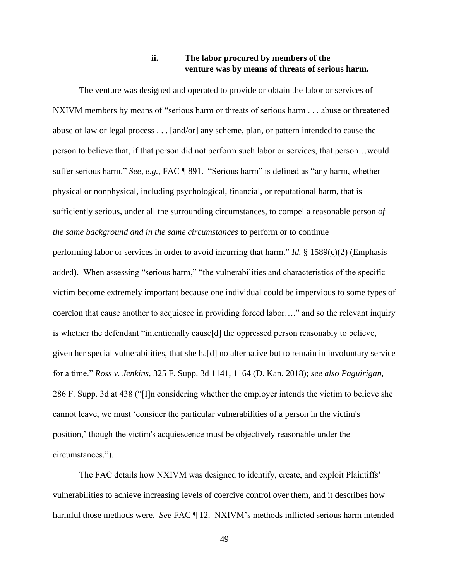# **ii. The labor procured by members of the venture was by means of threats of serious harm.**

The venture was designed and operated to provide or obtain the labor or services of NXIVM members by means of "serious harm or threats of serious harm . . . abuse or threatened abuse of law or legal process . . . [and/or] any scheme, plan, or pattern intended to cause the person to believe that, if that person did not perform such labor or services, that person…would suffer serious harm." *See, e.g.,* FAC ¶ 891. "Serious harm" is defined as "any harm, whether physical or nonphysical, including psychological, financial, or reputational harm, that is sufficiently serious, under all the surrounding circumstances, to compel a reasonable person *of the same background and in the same circumstances* to perform or to continue performing labor or services in order to avoid incurring that harm." *Id.* § 1589(c)(2) (Emphasis added). When assessing "serious harm," "the vulnerabilities and characteristics of the specific victim become extremely important because one individual could be impervious to some types of coercion that cause another to acquiesce in providing forced labor…." and so the relevant inquiry is whether the defendant "intentionally cause[d] the oppressed person reasonably to believe, given her special vulnerabilities, that she ha[d] no alternative but to remain in involuntary service for a time." *Ross v. Jenkins*, 325 F. Supp. 3d 1141, 1164 (D. Kan. 2018); *see also Paguirigan*, 286 F. Supp. 3d at 438 ("[I]n considering whether the employer intends the victim to believe she cannot leave, we must 'consider the particular vulnerabilities of a person in the victim's position,' though the victim's acquiescence must be objectively reasonable under the circumstances.").

The FAC details how NXIVM was designed to identify, create, and exploit Plaintiffs' vulnerabilities to achieve increasing levels of coercive control over them, and it describes how harmful those methods were. *See* FAC ¶ 12. NXIVM's methods inflicted serious harm intended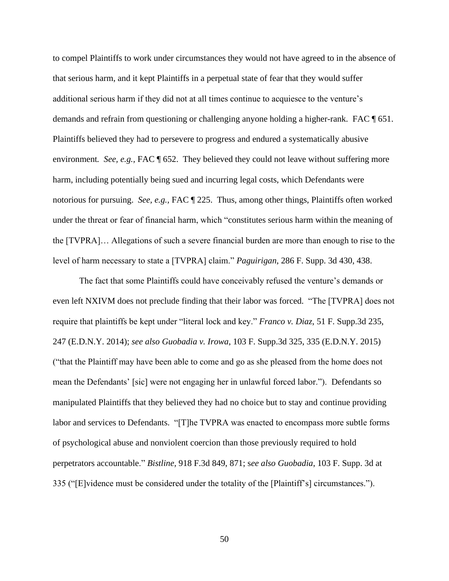to compel Plaintiffs to work under circumstances they would not have agreed to in the absence of that serious harm, and it kept Plaintiffs in a perpetual state of fear that they would suffer additional serious harm if they did not at all times continue to acquiesce to the venture's demands and refrain from questioning or challenging anyone holding a higher-rank. FAC ¶ 651. Plaintiffs believed they had to persevere to progress and endured a systematically abusive environment. *See, e.g.,* FAC ¶ 652. They believed they could not leave without suffering more harm, including potentially being sued and incurring legal costs, which Defendants were notorious for pursuing. *See, e.g.,* FAC ¶ 225. Thus, among other things, Plaintiffs often worked under the threat or fear of financial harm, which "constitutes serious harm within the meaning of the [TVPRA]… Allegations of such a severe financial burden are more than enough to rise to the level of harm necessary to state a [TVPRA] claim." *Paguirigan*, 286 F. Supp. 3d 430, 438.

The fact that some Plaintiffs could have conceivably refused the venture's demands or even left NXIVM does not preclude finding that their labor was forced. "The [TVPRA] does not require that plaintiffs be kept under "literal lock and key." *Franco v. Diaz*, 51 F. Supp.3d 235, 247 (E.D.N.Y. 2014); *see also Guobadia v. Irowa*, 103 F. Supp.3d 325, 335 (E.D.N.Y. 2015) ("that the Plaintiff may have been able to come and go as she pleased from the home does not mean the Defendants' [sic] were not engaging her in unlawful forced labor."). Defendants so manipulated Plaintiffs that they believed they had no choice but to stay and continue providing labor and services to Defendants. "[T]he TVPRA was enacted to encompass more subtle forms of psychological abuse and nonviolent coercion than those previously required to hold perpetrators accountable." *Bistline,* 918 F.3d 849, 871; s*ee also Guobadia*, 103 F. Supp. 3d at 335 ("[E]vidence must be considered under the totality of the [Plaintiff's] circumstances.").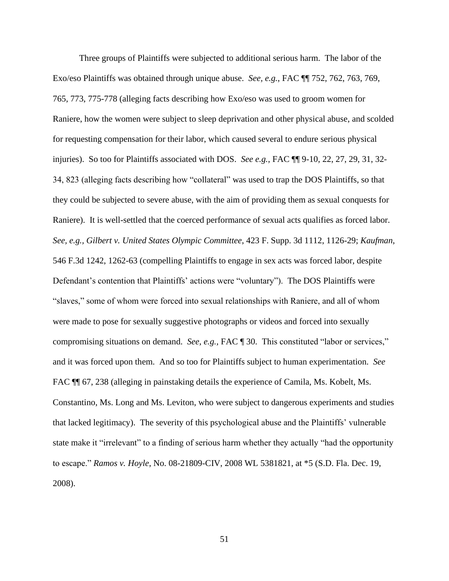Three groups of Plaintiffs were subjected to additional serious harm.The labor of the Exo/eso Plaintiffs was obtained through unique abuse. *See, e.g.*, FAC ¶¶ 752, 762, 763, 769, 765, 773, 775-778 (alleging facts describing how Exo/eso was used to groom women for Raniere, how the women were subject to sleep deprivation and other physical abuse, and scolded for requesting compensation for their labor, which caused several to endure serious physical injuries). So too for Plaintiffs associated with DOS. *See e.g.*, FAC ¶¶ 9-10, 22, 27, 29, 31, 32- 34, 823 (alleging facts describing how "collateral" was used to trap the DOS Plaintiffs, so that they could be subjected to severe abuse, with the aim of providing them as sexual conquests for Raniere).It is well-settled that the coerced performance of sexual acts qualifies as forced labor. *See, e.g., Gilbert v. United States Olympic Committee*, 423 F. Supp. 3d 1112, 1126-29; *Kaufman*, 546 F.3d 1242, 1262-63 (compelling Plaintiffs to engage in sex acts was forced labor, despite Defendant's contention that Plaintiffs' actions were "voluntary"). The DOS Plaintiffs were "slaves," some of whom were forced into sexual relationships with Raniere, and all of whom were made to pose for sexually suggestive photographs or videos and forced into sexually compromising situations on demand. *See, e.g.,* FAC ¶ 30. This constituted "labor or services," and it was forced upon them. And so too for Plaintiffs subject to human experimentation. *See*  FAC  $\P$  67, 238 (alleging in painstaking details the experience of Camila, Ms. Kobelt, Ms. Constantino, Ms. Long and Ms. Leviton, who were subject to dangerous experiments and studies that lacked legitimacy). The severity of this psychological abuse and the Plaintiffs' vulnerable state make it "irrelevant" to a finding of serious harm whether they actually "had the opportunity to escape." *Ramos v. Hoyle*, No. 08-21809-CIV, 2008 WL 5381821, at \*5 (S.D. Fla. Dec. 19, 2008).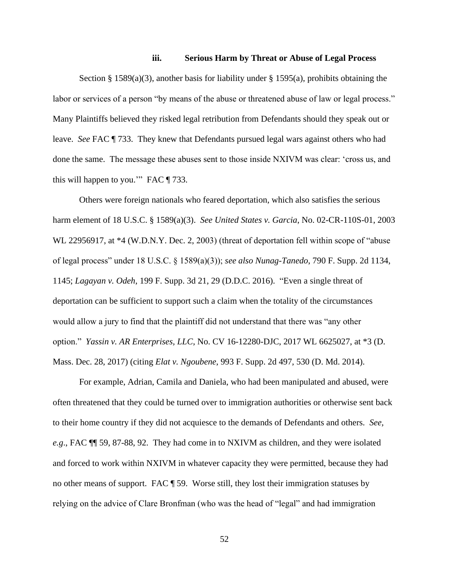#### **iii. Serious Harm by Threat or Abuse of Legal Process**

Section § 1589(a)(3), another basis for liability under § 1595(a), prohibits obtaining the labor or services of a person "by means of the abuse or threatened abuse of law or legal process." Many Plaintiffs believed they risked legal retribution from Defendants should they speak out or leave. *See* FAC ¶ 733. They knew that Defendants pursued legal wars against others who had done the same. The message these abuses sent to those inside NXIVM was clear: 'cross us, and this will happen to you.'" FAC ¶ 733.

Others were foreign nationals who feared deportation, which also satisfies the serious harm element of 18 U.S.C. § 1589(a)(3). *See United States v. Garcia*, No. 02-CR-110S-01, 2003 WL 22956917, at \*4 (W.D.N.Y. Dec. 2, 2003) (threat of deportation fell within scope of "abuse of legal process" under 18 U.S.C. § 1589(a)(3)); *see also Nunag-Tanedo*, 790 F. Supp. 2d 1134, 1145; *Lagayan v. Odeh*, 199 F. Supp. 3d 21, 29 (D.D.C. 2016). "Even a single threat of deportation can be sufficient to support such a claim when the totality of the circumstances would allow a jury to find that the plaintiff did not understand that there was "any other option." *Yassin v. AR Enterprises, LLC*, No. CV 16-12280-DJC, 2017 WL 6625027, at \*3 (D. Mass. Dec. 28, 2017) (citing *Elat v. Ngoubene*, 993 F. Supp. 2d 497, 530 (D. Md. 2014).

For example, Adrian, Camila and Daniela, who had been manipulated and abused, were often threatened that they could be turned over to immigration authorities or otherwise sent back to their home country if they did not acquiesce to the demands of Defendants and others. *See, e.g*., FAC ¶¶ 59, 87-88, 92. They had come in to NXIVM as children, and they were isolated and forced to work within NXIVM in whatever capacity they were permitted, because they had no other means of support. FAC ¶ 59. Worse still, they lost their immigration statuses by relying on the advice of Clare Bronfman (who was the head of "legal" and had immigration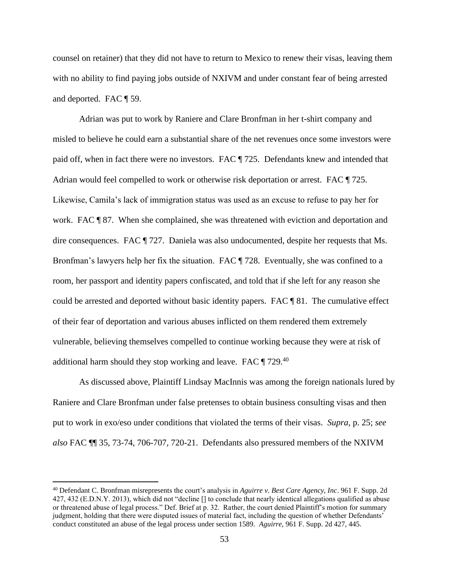counsel on retainer) that they did not have to return to Mexico to renew their visas, leaving them with no ability to find paying jobs outside of NXIVM and under constant fear of being arrested and deported. FAC ¶ 59.

Adrian was put to work by Raniere and Clare Bronfman in her t-shirt company and misled to believe he could earn a substantial share of the net revenues once some investors were paid off, when in fact there were no investors. FAC ¶ 725. Defendants knew and intended that Adrian would feel compelled to work or otherwise risk deportation or arrest. FAC ¶ 725. Likewise, Camila's lack of immigration status was used as an excuse to refuse to pay her for work. FAC ¶ 87. When she complained, she was threatened with eviction and deportation and dire consequences. FAC ¶ 727. Daniela was also undocumented, despite her requests that Ms. Bronfman's lawyers help her fix the situation. FAC ¶ 728. Eventually, she was confined to a room, her passport and identity papers confiscated, and told that if she left for any reason she could be arrested and deported without basic identity papers. FAC ¶ 81. The cumulative effect of their fear of deportation and various abuses inflicted on them rendered them extremely vulnerable, believing themselves compelled to continue working because they were at risk of additional harm should they stop working and leave. FAC ¶ 729.<sup>40</sup>

As discussed above, Plaintiff Lindsay MacInnis was among the foreign nationals lured by Raniere and Clare Bronfman under false pretenses to obtain business consulting visas and then put to work in exo/eso under conditions that violated the terms of their visas. *Supra,* p. 25; *see also* FAC ¶¶ 35, 73-74, 706-707, 720-21. Defendants also pressured members of the NXIVM

<sup>40</sup> Defendant C. Bronfman misrepresents the court's analysis in *Aguirre v. Best Care Agency, Inc*. 961 F. Supp. 2d 427, 432 (E.D.N.Y. 2013), which did not "decline [] to conclude that nearly identical allegations qualified as abuse or threatened abuse of legal process." Def. Brief at p. 32. Rather, the court denied Plaintiff's motion for summary judgment, holding that there were disputed issues of material fact, including the question of whether Defendants' conduct constituted an abuse of the legal process under section 1589. *Aguirre,* 961 F. Supp. 2d 427, 445.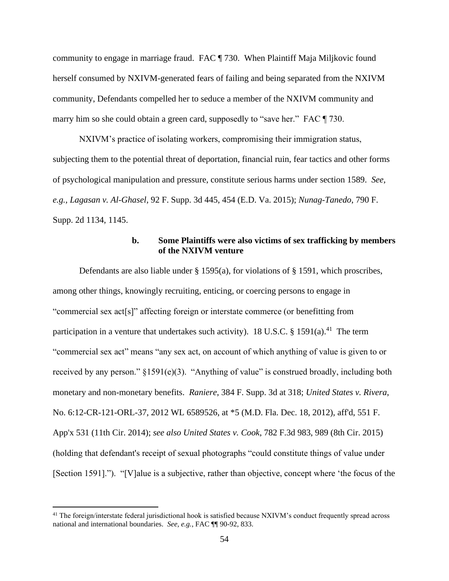community to engage in marriage fraud. FAC ¶ 730. When Plaintiff Maja Miljkovic found herself consumed by NXIVM-generated fears of failing and being separated from the NXIVM community, Defendants compelled her to seduce a member of the NXIVM community and marry him so she could obtain a green card, supposedly to "save her." FAC  $\P$  730.

NXIVM's practice of isolating workers, compromising their immigration status, subjecting them to the potential threat of deportation, financial ruin, fear tactics and other forms of psychological manipulation and pressure, constitute serious harms under section 1589. *See, e.g., Lagasan v. Al-Ghasel*, 92 F. Supp. 3d 445, 454 (E.D. Va. 2015); *Nunag-Tanedo*, 790 F. Supp. 2d 1134, 1145.

## **b. Some Plaintiffs were also victims of sex trafficking by members of the NXIVM venture**

Defendants are also liable under § 1595(a), for violations of § 1591, which proscribes, among other things, knowingly recruiting, enticing, or coercing persons to engage in "commercial sex act[s]" affecting foreign or interstate commerce (or benefitting from participation in a venture that undertakes such activity). 18 U.S.C. § 1591(a).<sup>41</sup> The term "commercial sex act" means "any sex act, on account of which anything of value is given to or received by any person."  $\S1591(e)(3)$ . "Anything of value" is construed broadly, including both monetary and non-monetary benefits. *Raniere*, 384 F. Supp. 3d at 318; *United States v. Rivera*, No. 6:12-CR-121-ORL-37, 2012 WL 6589526, at \*5 (M.D. Fla. Dec. 18, 2012), aff'd, 551 F. App'x 531 (11th Cir. 2014); *see also United States v. Cook*, 782 F.3d 983, 989 (8th Cir. 2015) (holding that defendant's receipt of sexual photographs "could constitute things of value under [Section 1591]."). "[V]alue is a subjective, rather than objective, concept where 'the focus of the

<sup>&</sup>lt;sup>41</sup> The foreign/interstate federal jurisdictional hook is satisfied because NXIVM's conduct frequently spread across national and international boundaries. *See, e.g.*, FAC ¶¶ 90-92, 833.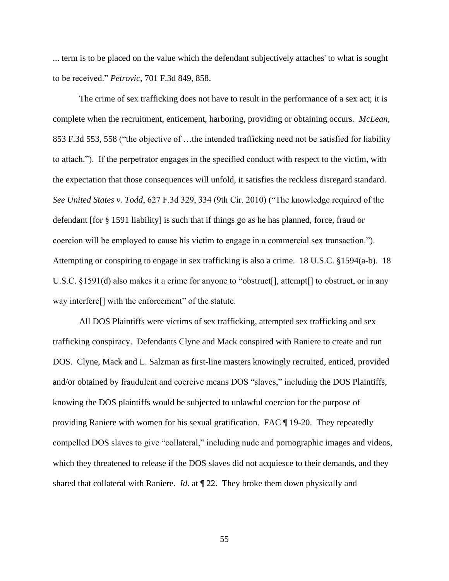... term is to be placed on the value which the defendant subjectively attaches' to what is sought to be received." *Petrovic*, 701 F.3d 849, 858.

The crime of sex trafficking does not have to result in the performance of a sex act; it is complete when the recruitment, enticement, harboring, providing or obtaining occurs. *McLean*, 853 F.3d 553, 558 ("the objective of …the intended trafficking need not be satisfied for liability to attach."). If the perpetrator engages in the specified conduct with respect to the victim, with the expectation that those consequences will unfold, it satisfies the reckless disregard standard. *See United States v. Todd*, 627 F.3d 329, 334 (9th Cir. 2010) ("The knowledge required of the defendant [for § 1591 liability] is such that if things go as he has planned, force, fraud or coercion will be employed to cause his victim to engage in a commercial sex transaction."). Attempting or conspiring to engage in sex trafficking is also a crime. 18 U.S.C. §1594(a-b). 18 U.S.C. §1591(d) also makes it a crime for anyone to "obstruct[], attempt[] to obstruct, or in any way interfere[] with the enforcement" of the statute.

All DOS Plaintiffs were victims of sex trafficking, attempted sex trafficking and sex trafficking conspiracy. Defendants Clyne and Mack conspired with Raniere to create and run DOS. Clyne, Mack and L. Salzman as first-line masters knowingly recruited, enticed, provided and/or obtained by fraudulent and coercive means DOS "slaves," including the DOS Plaintiffs, knowing the DOS plaintiffs would be subjected to unlawful coercion for the purpose of providing Raniere with women for his sexual gratification. FAC ¶ 19-20. They repeatedly compelled DOS slaves to give "collateral," including nude and pornographic images and videos, which they threatened to release if the DOS slaves did not acquiesce to their demands, and they shared that collateral with Raniere. *Id*. at ¶ 22. They broke them down physically and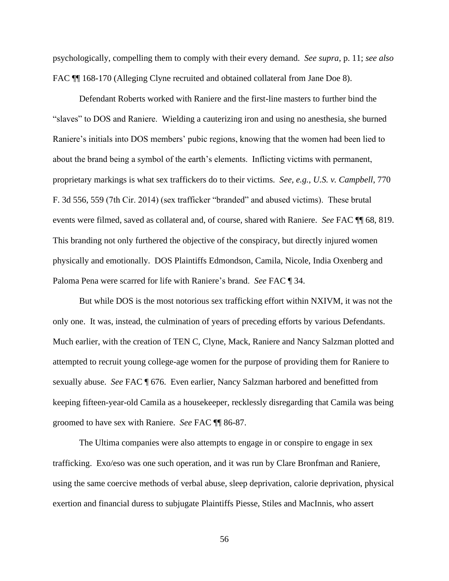psychologically, compelling them to comply with their every demand. *See supra,* p. 11; *see also* FAC  $\P$  168-170 (Alleging Clyne recruited and obtained collateral from Jane Doe 8).

Defendant Roberts worked with Raniere and the first-line masters to further bind the "slaves" to DOS and Raniere. Wielding a cauterizing iron and using no anesthesia, she burned Raniere's initials into DOS members' pubic regions, knowing that the women had been lied to about the brand being a symbol of the earth's elements. Inflicting victims with permanent, proprietary markings is what sex traffickers do to their victims. *See, e.g.*, *U.S. v. Campbell*, 770 F. 3d 556, 559 (7th Cir. 2014) (sex trafficker "branded" and abused victims). These brutal events were filmed, saved as collateral and, of course, shared with Raniere. *See* FAC ¶¶ 68, 819. This branding not only furthered the objective of the conspiracy, but directly injured women physically and emotionally. DOS Plaintiffs Edmondson, Camila, Nicole, India Oxenberg and Paloma Pena were scarred for life with Raniere's brand. *See* FAC ¶ 34.

But while DOS is the most notorious sex trafficking effort within NXIVM, it was not the only one. It was, instead, the culmination of years of preceding efforts by various Defendants. Much earlier, with the creation of TEN C, Clyne, Mack, Raniere and Nancy Salzman plotted and attempted to recruit young college-age women for the purpose of providing them for Raniere to sexually abuse. *See* FAC ¶ 676. Even earlier, Nancy Salzman harbored and benefitted from keeping fifteen-year-old Camila as a housekeeper, recklessly disregarding that Camila was being groomed to have sex with Raniere. *See* FAC ¶¶ 86-87.

The Ultima companies were also attempts to engage in or conspire to engage in sex trafficking. Exo/eso was one such operation, and it was run by Clare Bronfman and Raniere, using the same coercive methods of verbal abuse, sleep deprivation, calorie deprivation, physical exertion and financial duress to subjugate Plaintiffs Piesse, Stiles and MacInnis, who assert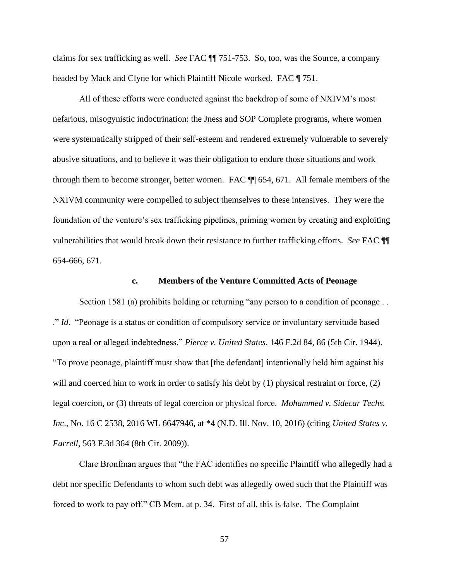claims for sex trafficking as well. *See* FAC ¶¶ 751-753. So, too, was the Source, a company headed by Mack and Clyne for which Plaintiff Nicole worked. FAC ¶ 751.

All of these efforts were conducted against the backdrop of some of NXIVM's most nefarious, misogynistic indoctrination: the Jness and SOP Complete programs, where women were systematically stripped of their self-esteem and rendered extremely vulnerable to severely abusive situations, and to believe it was their obligation to endure those situations and work through them to become stronger, better women. FAC ¶¶ 654, 671. All female members of the NXIVM community were compelled to subject themselves to these intensives. They were the foundation of the venture's sex trafficking pipelines, priming women by creating and exploiting vulnerabilities that would break down their resistance to further trafficking efforts. *See* FAC ¶¶ 654-666, 671.

#### **c. Members of the Venture Committed Acts of Peonage**

Section 1581 (a) prohibits holding or returning "any person to a condition of peonage . . ." *Id*. "Peonage is a status or condition of compulsory service or involuntary servitude based upon a real or alleged indebtedness." *Pierce v. United States*, 146 F.2d 84, 86 (5th Cir. 1944). "To prove peonage, plaintiff must show that [the defendant] intentionally held him against his will and coerced him to work in order to satisfy his debt by (1) physical restraint or force, (2) legal coercion, or (3) threats of legal coercion or physical force. *Mohammed v. Sidecar Techs. Inc*., No. 16 C 2538, 2016 WL 6647946, at \*4 (N.D. Ill. Nov. 10, 2016) (citing *United States v. Farrell*, 563 F.3d 364 (8th Cir. 2009)).

Clare Bronfman argues that "the FAC identifies no specific Plaintiff who allegedly had a debt nor specific Defendants to whom such debt was allegedly owed such that the Plaintiff was forced to work to pay off." CB Mem. at p. 34. First of all, this is false. The Complaint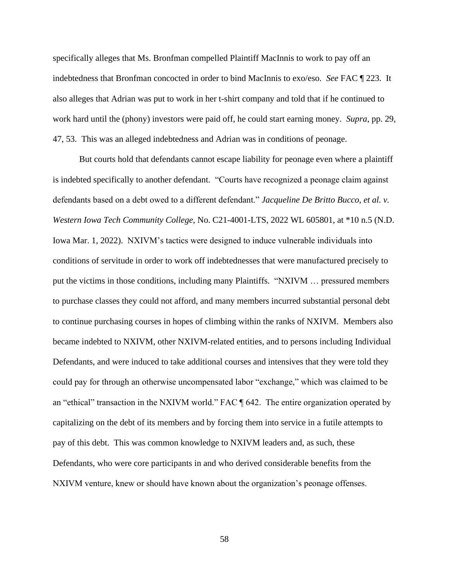specifically alleges that Ms. Bronfman compelled Plaintiff MacInnis to work to pay off an indebtedness that Bronfman concocted in order to bind MacInnis to exo/eso. *See* FAC ¶ 223. It also alleges that Adrian was put to work in her t-shirt company and told that if he continued to work hard until the (phony) investors were paid off, he could start earning money. *Supra*, pp. 29, 47, 53. This was an alleged indebtedness and Adrian was in conditions of peonage.

But courts hold that defendants cannot escape liability for peonage even where a plaintiff is indebted specifically to another defendant. "Courts have recognized a peonage claim against defendants based on a debt owed to a different defendant." *Jacqueline De Britto Bucco, et al. v. Western Iowa Tech Community College*, No. C21-4001-LTS, 2022 WL 605801, at \*10 n.5 (N.D. Iowa Mar. 1, 2022). NXIVM's tactics were designed to induce vulnerable individuals into conditions of servitude in order to work off indebtednesses that were manufactured precisely to put the victims in those conditions, including many Plaintiffs. "NXIVM … pressured members to purchase classes they could not afford, and many members incurred substantial personal debt to continue purchasing courses in hopes of climbing within the ranks of NXIVM. Members also became indebted to NXIVM, other NXIVM-related entities, and to persons including Individual Defendants, and were induced to take additional courses and intensives that they were told they could pay for through an otherwise uncompensated labor "exchange," which was claimed to be an "ethical" transaction in the NXIVM world." FAC ¶ 642. The entire organization operated by capitalizing on the debt of its members and by forcing them into service in a futile attempts to pay of this debt. This was common knowledge to NXIVM leaders and, as such, these Defendants, who were core participants in and who derived considerable benefits from the NXIVM venture, knew or should have known about the organization's peonage offenses.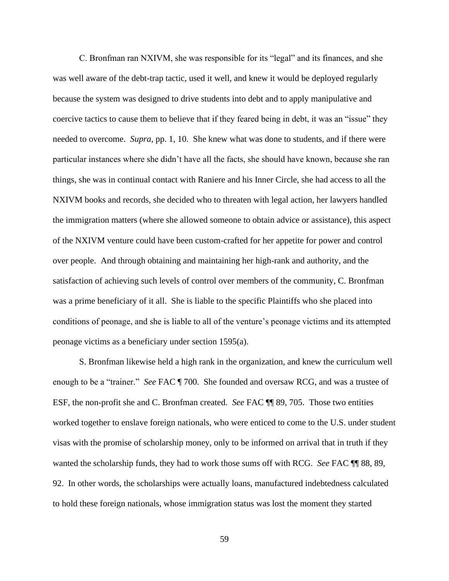C. Bronfman ran NXIVM, she was responsible for its "legal" and its finances, and she was well aware of the debt-trap tactic, used it well, and knew it would be deployed regularly because the system was designed to drive students into debt and to apply manipulative and coercive tactics to cause them to believe that if they feared being in debt, it was an "issue" they needed to overcome. *Supra,* pp. 1, 10. She knew what was done to students, and if there were particular instances where she didn't have all the facts, she should have known, because she ran things, she was in continual contact with Raniere and his Inner Circle, she had access to all the NXIVM books and records, she decided who to threaten with legal action, her lawyers handled the immigration matters (where she allowed someone to obtain advice or assistance), this aspect of the NXIVM venture could have been custom-crafted for her appetite for power and control over people. And through obtaining and maintaining her high-rank and authority, and the satisfaction of achieving such levels of control over members of the community, C. Bronfman was a prime beneficiary of it all. She is liable to the specific Plaintiffs who she placed into conditions of peonage, and she is liable to all of the venture's peonage victims and its attempted peonage victims as a beneficiary under section 1595(a).

S. Bronfman likewise held a high rank in the organization, and knew the curriculum well enough to be a "trainer." *See* FAC ¶ 700. She founded and oversaw RCG, and was a trustee of ESF, the non-profit she and C. Bronfman created. *See* FAC ¶¶ 89, 705. Those two entities worked together to enslave foreign nationals, who were enticed to come to the U.S. under student visas with the promise of scholarship money, only to be informed on arrival that in truth if they wanted the scholarship funds, they had to work those sums off with RCG. *See* FAC ¶¶ 88, 89, 92. In other words, the scholarships were actually loans, manufactured indebtedness calculated to hold these foreign nationals, whose immigration status was lost the moment they started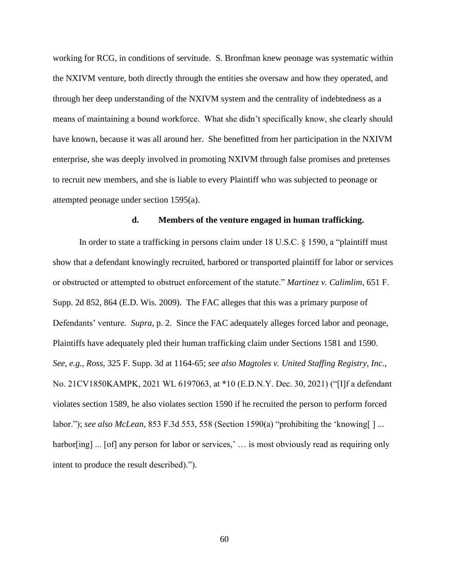working for RCG, in conditions of servitude. S. Bronfman knew peonage was systematic within the NXIVM venture, both directly through the entities she oversaw and how they operated, and through her deep understanding of the NXIVM system and the centrality of indebtedness as a means of maintaining a bound workforce. What she didn't specifically know, she clearly should have known, because it was all around her. She benefitted from her participation in the NXIVM enterprise, she was deeply involved in promoting NXIVM through false promises and pretenses to recruit new members, and she is liable to every Plaintiff who was subjected to peonage or attempted peonage under section 1595(a).

#### **d. Members of the venture engaged in human trafficking.**

In order to state a trafficking in persons claim under 18 U.S.C. § 1590, a "plaintiff must show that a defendant knowingly recruited, harbored or transported plaintiff for labor or services or obstructed or attempted to obstruct enforcement of the statute." *Martinez v. Calimlim*, 651 F. Supp. 2d 852, 864 (E.D. Wis. 2009). The FAC alleges that this was a primary purpose of Defendants' venture. *Supra*, p. 2. Since the FAC adequately alleges forced labor and peonage, Plaintiffs have adequately pled their human trafficking claim under Sections 1581 and 1590. *See, e.g., Ross*, 325 F. Supp. 3d at 1164-65; *see also Magtoles v. United Staffing Registry, Inc*., No. 21CV1850KAMPK, 2021 WL 6197063, at \*10 (E.D.N.Y. Dec. 30, 2021) ("[I]f a defendant violates section 1589, he also violates section 1590 if he recruited the person to perform forced labor."); *see also McLean*, 853 F.3d 553, 558 (Section 1590(a) "prohibiting the 'knowing[ ] ... harbor[ing] ... [of] any person for labor or services,' ... is most obviously read as requiring only intent to produce the result described).").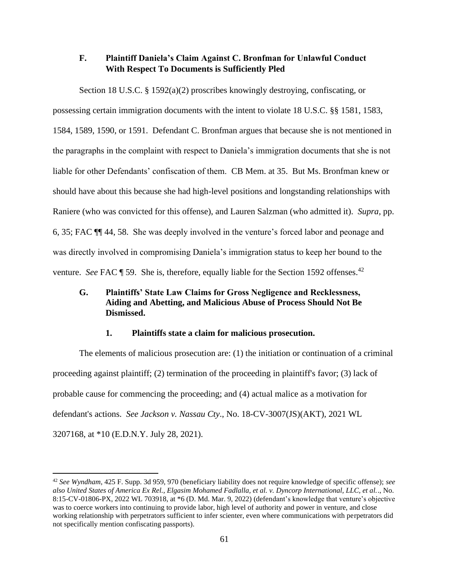# **F. Plaintiff Daniela's Claim Against C. Bronfman for Unlawful Conduct With Respect To Documents is Sufficiently Pled**

Section 18 U.S.C. § 1592(a)(2) proscribes knowingly destroying, confiscating, or possessing certain immigration documents with the intent to violate 18 U.S.C. §§ 1581, 1583, 1584, 1589, 1590, or 1591. Defendant C. Bronfman argues that because she is not mentioned in the paragraphs in the complaint with respect to Daniela's immigration documents that she is not liable for other Defendants' confiscation of them. CB Mem. at 35. But Ms. Bronfman knew or should have about this because she had high-level positions and longstanding relationships with Raniere (who was convicted for this offense), and Lauren Salzman (who admitted it). *Supra,* pp. 6, 35; FAC ¶¶ 44, 58. She was deeply involved in the venture's forced labor and peonage and was directly involved in compromising Daniela's immigration status to keep her bound to the venture. *See* FAC ¶ 59. She is, therefore, equally liable for the Section 1592 offenses.<sup>42</sup>

# **G. Plaintiffs' State Law Claims for Gross Negligence and Recklessness, Aiding and Abetting, and Malicious Abuse of Process Should Not Be Dismissed.**

### **1. Plaintiffs state a claim for malicious prosecution.**

The elements of malicious prosecution are: (1) the initiation or continuation of a criminal proceeding against plaintiff; (2) termination of the proceeding in plaintiff's favor; (3) lack of probable cause for commencing the proceeding; and (4) actual malice as a motivation for defendant's actions. *See Jackson v. Nassau Cty*., No. 18-CV-3007(JS)(AKT), 2021 WL 3207168, at \*10 (E.D.N.Y. July 28, 2021).

<sup>42</sup> *See Wyndham*, 425 F. Supp. 3d 959, 970 (beneficiary liability does not require knowledge of specific offense); *see also United States of America Ex Rel., Elgasim Mohamed Fadlalla, et al. v. Dyncorp International, LLC, et al.*., No. 8:15-CV-01806-PX, 2022 WL 703918, at \*6 (D. Md. Mar. 9, 2022) (defendant's knowledge that venture's objective was to coerce workers into continuing to provide labor, high level of authority and power in venture, and close working relationship with perpetrators sufficient to infer scienter, even where communications with perpetrators did not specifically mention confiscating passports).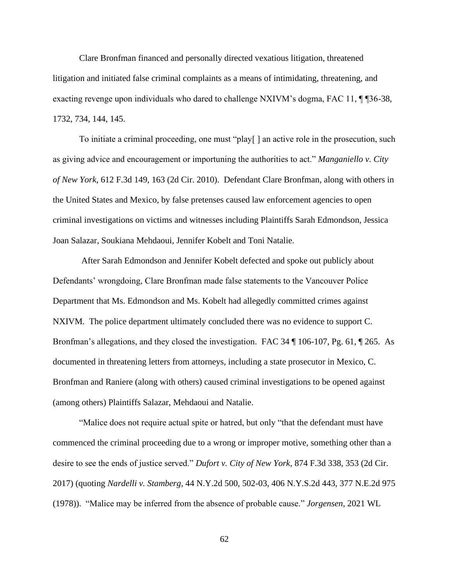Clare Bronfman financed and personally directed vexatious litigation, threatened litigation and initiated false criminal complaints as a means of intimidating, threatening, and exacting revenge upon individuals who dared to challenge NXIVM's dogma, FAC 11, ¶ ¶36-38, 1732, 734, 144, 145.

To initiate a criminal proceeding, one must "play[ ] an active role in the prosecution, such as giving advice and encouragement or importuning the authorities to act." *Manganiello v. City of New York*, 612 F.3d 149, 163 (2d Cir. 2010). Defendant Clare Bronfman, along with others in the United States and Mexico, by false pretenses caused law enforcement agencies to open criminal investigations on victims and witnesses including Plaintiffs Sarah Edmondson, Jessica Joan Salazar, Soukiana Mehdaoui, Jennifer Kobelt and Toni Natalie.

After Sarah Edmondson and Jennifer Kobelt defected and spoke out publicly about Defendants' wrongdoing, Clare Bronfman made false statements to the Vancouver Police Department that Ms. Edmondson and Ms. Kobelt had allegedly committed crimes against NXIVM. The police department ultimately concluded there was no evidence to support C. Bronfman's allegations, and they closed the investigation. FAC 34 ¶ 106-107, Pg. 61, ¶ 265. As documented in threatening letters from attorneys, including a state prosecutor in Mexico, C. Bronfman and Raniere (along with others) caused criminal investigations to be opened against (among others) Plaintiffs Salazar, Mehdaoui and Natalie.

"Malice does not require actual spite or hatred, but only "that the defendant must have commenced the criminal proceeding due to a wrong or improper motive, something other than a desire to see the ends of justice served." *Dufort v. City of New York*, 874 F.3d 338, 353 (2d Cir. 2017) (quoting *Nardelli v. Stamberg*, 44 N.Y.2d 500, 502-03, 406 N.Y.S.2d 443, 377 N.E.2d 975 (1978)). "Malice may be inferred from the absence of probable cause." *Jorgensen*, 2021 WL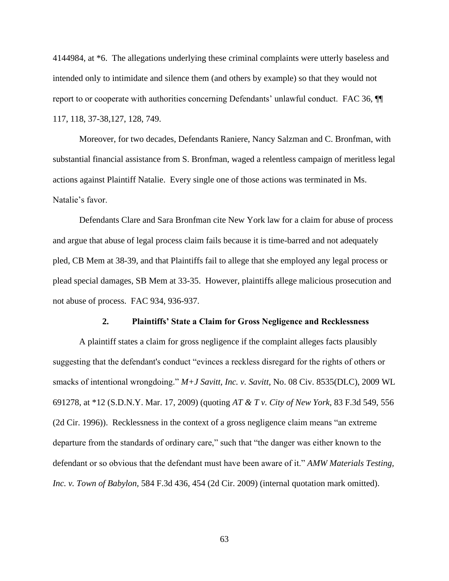4144984, at \*6. The allegations underlying these criminal complaints were utterly baseless and intended only to intimidate and silence them (and others by example) so that they would not report to or cooperate with authorities concerning Defendants' unlawful conduct. FAC 36, ¶¶ 117, 118, 37-38,127, 128, 749.

Moreover, for two decades, Defendants Raniere, Nancy Salzman and C. Bronfman, with substantial financial assistance from S. Bronfman, waged a relentless campaign of meritless legal actions against Plaintiff Natalie. Every single one of those actions was terminated in Ms. Natalie's favor.

Defendants Clare and Sara Bronfman cite New York law for a claim for abuse of process and argue that abuse of legal process claim fails because it is time-barred and not adequately pled, CB Mem at 38-39, and that Plaintiffs fail to allege that she employed any legal process or plead special damages, SB Mem at 33-35. However, plaintiffs allege malicious prosecution and not abuse of process. FAC 934, 936-937.

#### **2. Plaintiffs' State a Claim for Gross Negligence and Recklessness**

A plaintiff states a claim for gross negligence if the complaint alleges facts plausibly suggesting that the defendant's conduct "evinces a reckless disregard for the rights of others or smacks of intentional wrongdoing." *M+J Savitt, Inc. v. Savitt,* No. 08 Civ. 8535(DLC), 2009 WL 691278, at \*12 (S.D.N.Y. Mar. 17, 2009) (quoting *AT & T v. City of New York,* 83 F.3d 549, 556 (2d Cir. 1996)). Recklessness in the context of a gross negligence claim means "an extreme departure from the standards of ordinary care," such that "the danger was either known to the defendant or so obvious that the defendant must have been aware of it." *AMW Materials Testing, Inc. v. Town of Babylon,* 584 F.3d 436, 454 (2d Cir. 2009) (internal quotation mark omitted).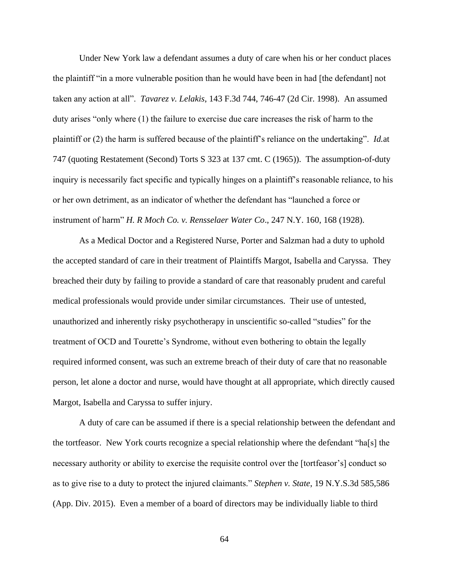Under New York law a defendant assumes a duty of care when his or her conduct places the plaintiff "in a more vulnerable position than he would have been in had [the defendant] not taken any action at all". *Tavarez v. Lelakis*, 143 F.3d 744, 746-47 (2d Cir. 1998). An assumed duty arises "only where (1) the failure to exercise due care increases the risk of harm to the plaintiff or (2) the harm is suffered because of the plaintiff's reliance on the undertaking". *Id.*at 747 (quoting Restatement (Second) Torts S 323 at 137 cmt. C (1965)). The assumption-of-duty inquiry is necessarily fact specific and typically hinges on a plaintiff's reasonable reliance, to his or her own detriment, as an indicator of whether the defendant has "launched a force or instrument of harm" *H. R Moch Co. v. Rensselaer Water Co*., 247 N.Y. 160, 168 (1928).

As a Medical Doctor and a Registered Nurse, Porter and Salzman had a duty to uphold the accepted standard of care in their treatment of Plaintiffs Margot, Isabella and Caryssa. They breached their duty by failing to provide a standard of care that reasonably prudent and careful medical professionals would provide under similar circumstances. Their use of untested, unauthorized and inherently risky psychotherapy in unscientific so-called "studies" for the treatment of OCD and Tourette's Syndrome, without even bothering to obtain the legally required informed consent, was such an extreme breach of their duty of care that no reasonable person, let alone a doctor and nurse, would have thought at all appropriate, which directly caused Margot, Isabella and Caryssa to suffer injury.

A duty of care can be assumed if there is a special relationship between the defendant and the tortfeasor. New York courts recognize a special relationship where the defendant "ha[s] the necessary authority or ability to exercise the requisite control over the [tortfeasor's] conduct so as to give rise to a duty to protect the injured claimants." *Stephen v. State*, 19 N.Y.S.3d 585,586 (App. Div. 2015). Even a member of a board of directors may be individually liable to third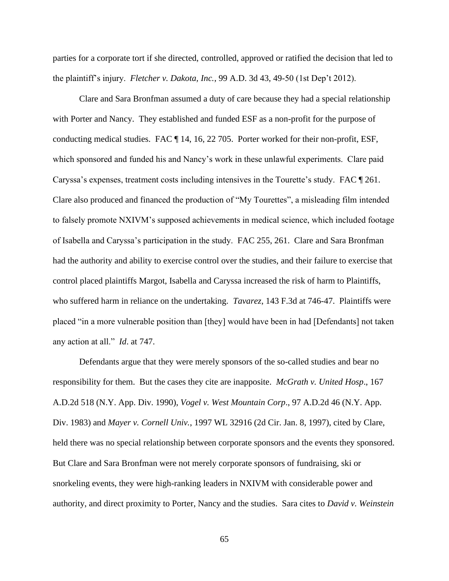parties for a corporate tort if she directed, controlled, approved or ratified the decision that led to the plaintiff's injury. *Fletcher v. Dakota, Inc.*, 99 A.D. 3d 43, 49-50 (1st Dep't 2012).

Clare and Sara Bronfman assumed a duty of care because they had a special relationship with Porter and Nancy. They established and funded ESF as a non-profit for the purpose of conducting medical studies. FAC ¶ 14, 16, 22 705. Porter worked for their non-profit, ESF, which sponsored and funded his and Nancy's work in these unlawful experiments. Clare paid Caryssa's expenses, treatment costs including intensives in the Tourette's study. FAC ¶ 261. Clare also produced and financed the production of "My Tourettes", a misleading film intended to falsely promote NXIVM's supposed achievements in medical science, which included footage of Isabella and Caryssa's participation in the study. FAC 255, 261. Clare and Sara Bronfman had the authority and ability to exercise control over the studies, and their failure to exercise that control placed plaintiffs Margot, Isabella and Caryssa increased the risk of harm to Plaintiffs, who suffered harm in reliance on the undertaking. *Tavarez*, 143 F.3d at 746-47. Plaintiffs were placed "in a more vulnerable position than [they] would have been in had [Defendants] not taken any action at all." *Id*. at 747.

Defendants argue that they were merely sponsors of the so-called studies and bear no responsibility for them. But the cases they cite are inapposite. *McGrath v. United Hosp*., 167 A.D.2d 518 (N.Y. App. Div. 1990), *Vogel v. West Mountain Corp*., 97 A.D.2d 46 (N.Y. App. Div. 1983) and *Mayer v. Cornell Univ.*, 1997 WL 32916 (2d Cir. Jan. 8, 1997), cited by Clare, held there was no special relationship between corporate sponsors and the events they sponsored. But Clare and Sara Bronfman were not merely corporate sponsors of fundraising, ski or snorkeling events, they were high-ranking leaders in NXIVM with considerable power and authority, and direct proximity to Porter, Nancy and the studies. Sara cites to *David v. Weinstein*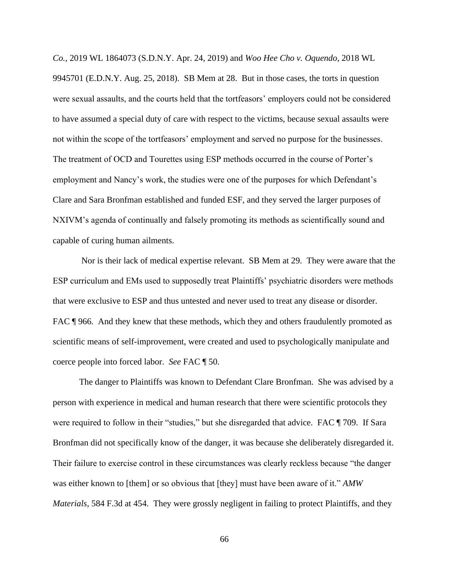*Co.*, 2019 WL 1864073 (S.D.N.Y. Apr. 24, 2019) and *Woo Hee Cho v. Oquendo*, 2018 WL 9945701 (E.D.N.Y. Aug. 25, 2018). SB Mem at 28. But in those cases, the torts in question were sexual assaults, and the courts held that the tortfeasors' employers could not be considered to have assumed a special duty of care with respect to the victims, because sexual assaults were not within the scope of the tortfeasors' employment and served no purpose for the businesses. The treatment of OCD and Tourettes using ESP methods occurred in the course of Porter's employment and Nancy's work, the studies were one of the purposes for which Defendant's Clare and Sara Bronfman established and funded ESF, and they served the larger purposes of NXIVM's agenda of continually and falsely promoting its methods as scientifically sound and capable of curing human ailments.

Nor is their lack of medical expertise relevant. SB Mem at 29. They were aware that the ESP curriculum and EMs used to supposedly treat Plaintiffs' psychiatric disorders were methods that were exclusive to ESP and thus untested and never used to treat any disease or disorder. FAC  $\P$  966. And they knew that these methods, which they and others fraudulently promoted as scientific means of self-improvement, were created and used to psychologically manipulate and coerce people into forced labor. *See* FAC ¶ 50.

The danger to Plaintiffs was known to Defendant Clare Bronfman. She was advised by a person with experience in medical and human research that there were scientific protocols they were required to follow in their "studies," but she disregarded that advice. FAC ¶ 709. If Sara Bronfman did not specifically know of the danger, it was because she deliberately disregarded it. Their failure to exercise control in these circumstances was clearly reckless because "the danger was either known to [them] or so obvious that [they] must have been aware of it." *AMW Materials,* 584 F.3d at 454. They were grossly negligent in failing to protect Plaintiffs, and they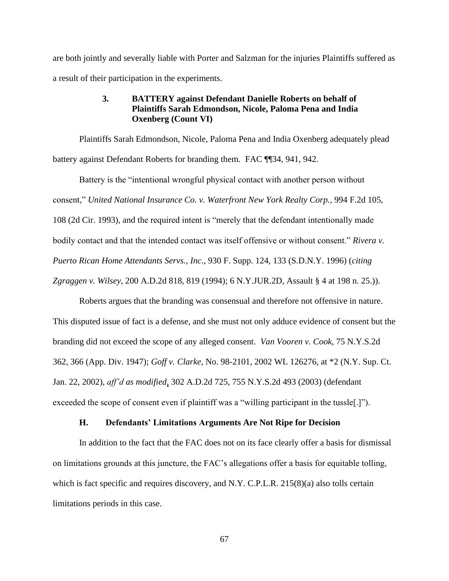are both jointly and severally liable with Porter and Salzman for the injuries Plaintiffs suffered as a result of their participation in the experiments.

## **3. BATTERY against Defendant Danielle Roberts on behalf of Plaintiffs Sarah Edmondson, Nicole, Paloma Pena and India Oxenberg (Count VI)**

Plaintiffs Sarah Edmondson, Nicole, Paloma Pena and India Oxenberg adequately plead battery against Defendant Roberts for branding them. FAC ¶¶34, 941, 942.

Battery is the "intentional wrongful physical contact with another person without consent," *United National Insurance Co. v. Waterfront New York Realty Corp.,* 994 F.2d 105, 108 (2d Cir. 1993), and the required intent is "merely that the defendant intentionally made bodily contact and that the intended contact was itself offensive or without consent." *Rivera v. Puerto Rican Home Attendants Servs., Inc*., 930 F. Supp. 124, 133 (S.D.N.Y. 1996) (*citing Zgraggen v. Wilsey*, 200 A.D.2d 818, 819 (1994); 6 N.Y.JUR.2D, Assault § 4 at 198 n. 25.)).

Roberts argues that the branding was consensual and therefore not offensive in nature. This disputed issue of fact is a defense, and she must not only adduce evidence of consent but the branding did not exceed the scope of any alleged consent. *Van Vooren v. Cook*, 75 N.Y.S.2d 362, 366 (App. Div. 1947); *Goff v. Clarke*, No. 98-2101, 2002 WL 126276, at \*2 (N.Y. Sup. Ct. Jan. 22, 2002), *aff'd as modified*, 302 A.D.2d 725, 755 N.Y.S.2d 493 (2003) (defendant exceeded the scope of consent even if plaintiff was a "willing participant in the tussle[.]").

#### **H. Defendants' Limitations Arguments Are Not Ripe for Decision**

In addition to the fact that the FAC does not on its face clearly offer a basis for dismissal on limitations grounds at this juncture, the FAC's allegations offer a basis for equitable tolling, which is fact specific and requires discovery, and N.Y. C.P.L.R. 215(8)(a) also tolls certain limitations periods in this case.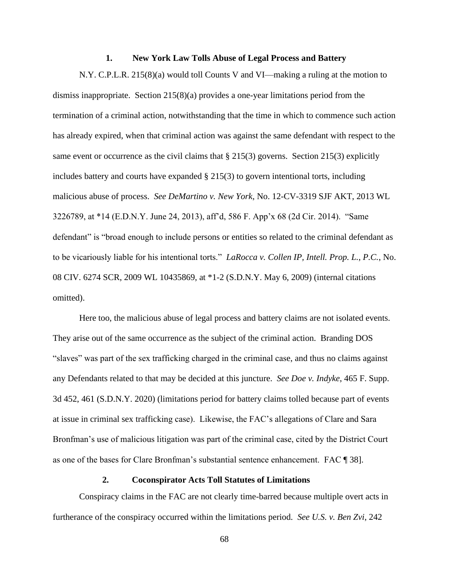#### **1. New York Law Tolls Abuse of Legal Process and Battery**

N.Y. C.P.L.R. 215(8)(a) would toll Counts V and VI—making a ruling at the motion to dismiss inappropriate. Section 215(8)(a) provides a one-year limitations period from the termination of a criminal action, notwithstanding that the time in which to commence such action has already expired, when that criminal action was against the same defendant with respect to the same event or occurrence as the civil claims that  $\S 215(3)$  governs. Section 215(3) explicitly includes battery and courts have expanded  $\S 215(3)$  to govern intentional torts, including malicious abuse of process. *See DeMartino v. New York*, No. 12-CV-3319 SJF AKT, 2013 WL 3226789, at \*14 (E.D.N.Y. June 24, 2013), aff'd, 586 F. App'x 68 (2d Cir. 2014). "Same defendant" is "broad enough to include persons or entities so related to the criminal defendant as to be vicariously liable for his intentional torts." *LaRocca v. Collen IP, Intell. Prop. L., P.C.*, No. 08 CIV. 6274 SCR, 2009 WL 10435869, at \*1-2 (S.D.N.Y. May 6, 2009) (internal citations omitted).

Here too, the malicious abuse of legal process and battery claims are not isolated events. They arise out of the same occurrence as the subject of the criminal action. Branding DOS "slaves" was part of the sex trafficking charged in the criminal case, and thus no claims against any Defendants related to that may be decided at this juncture. *See Doe v. Indyke*, 465 F. Supp. 3d 452, 461 (S.D.N.Y. 2020) (limitations period for battery claims tolled because part of events at issue in criminal sex trafficking case). Likewise, the FAC's allegations of Clare and Sara Bronfman's use of malicious litigation was part of the criminal case, cited by the District Court as one of the bases for Clare Bronfman's substantial sentence enhancement. FAC ¶ 38].

## **2. Coconspirator Acts Toll Statutes of Limitations**

Conspiracy claims in the FAC are not clearly time-barred because multiple overt acts in furtherance of the conspiracy occurred within the limitations period. *See U.S. v. Ben Zvi*, 242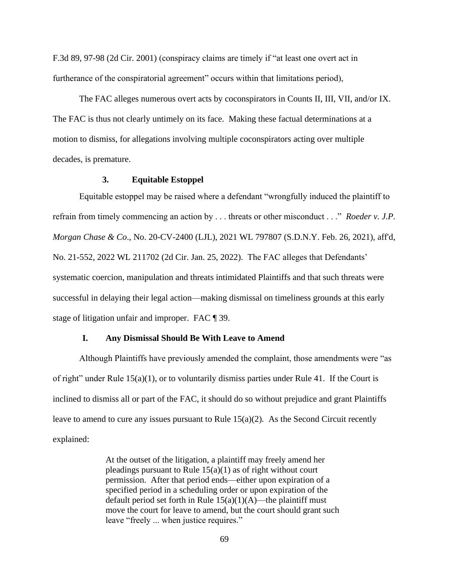F.3d 89, 97-98 (2d Cir. 2001) (conspiracy claims are timely if "at least one overt act in furtherance of the conspiratorial agreement" occurs within that limitations period),

The FAC alleges numerous overt acts by coconspirators in Counts II, III, VII, and/or IX. The FAC is thus not clearly untimely on its face. Making these factual determinations at a motion to dismiss, for allegations involving multiple coconspirators acting over multiple decades, is premature.

## **3. Equitable Estoppel**

Equitable estoppel may be raised where a defendant "wrongfully induced the plaintiff to refrain from timely commencing an action by . . . threats or other misconduct . . ." *Roeder v. J.P. Morgan Chase & Co*., No. 20-CV-2400 (LJL), 2021 WL 797807 (S.D.N.Y. Feb. 26, 2021), aff'd, No. 21-552, 2022 WL 211702 (2d Cir. Jan. 25, 2022). The FAC alleges that Defendants' systematic coercion, manipulation and threats intimidated Plaintiffs and that such threats were successful in delaying their legal action—making dismissal on timeliness grounds at this early stage of litigation unfair and improper. FAC ¶ 39.

### **I. Any Dismissal Should Be With Leave to Amend**

Although Plaintiffs have previously amended the complaint, those amendments were "as of right" under Rule  $15(a)(1)$ , or to voluntarily dismiss parties under Rule 41. If the Court is inclined to dismiss all or part of the FAC, it should do so without prejudice and grant Plaintiffs leave to amend to cure any issues pursuant to Rule 15(a)(2). As the Second Circuit recently explained:

> At the outset of the litigation, a plaintiff may freely amend her pleadings pursuant to Rule  $15(a)(1)$  as of right without court permission. After that period ends—either upon expiration of a specified period in a scheduling order or upon expiration of the default period set forth in Rule  $15(a)(1)(A)$ —the plaintiff must move the court for leave to amend, but the court should grant such leave "freely ... when justice requires."